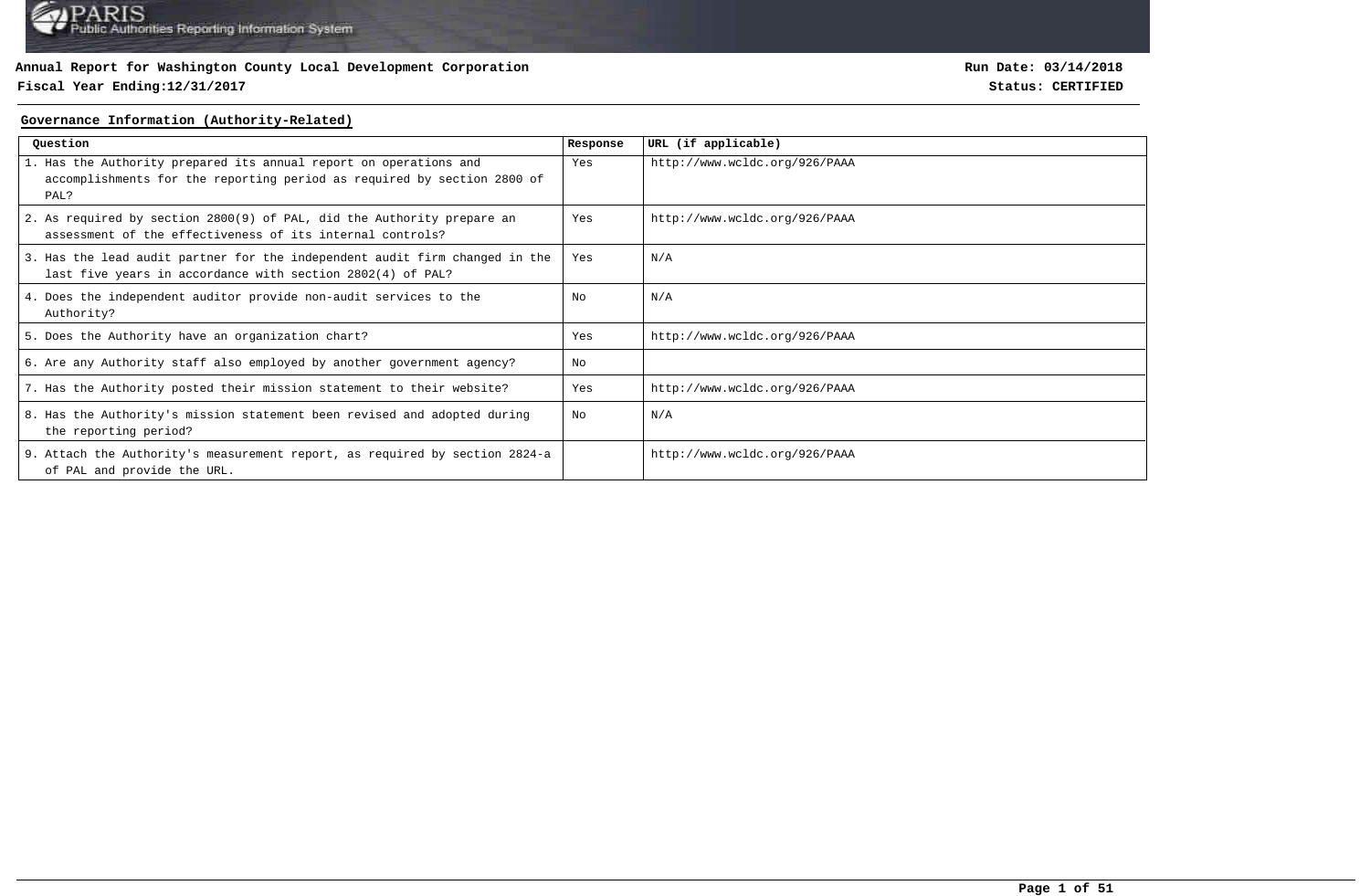## **Fiscal Year Ending:12/31/2017 Status: CERTIFIED**

**Run Date: 03/14/2018**

#### **Governance Information (Authority-Related)**

| Ouestion                                                                                                                                             | Response | URL (if applicable)           |
|------------------------------------------------------------------------------------------------------------------------------------------------------|----------|-------------------------------|
| 1. Has the Authority prepared its annual report on operations and<br>accomplishments for the reporting period as required by section 2800 of<br>PAL? | Yes      | http://www.wcldc.org/926/PAAA |
| 2. As required by section 2800(9) of PAL, did the Authority prepare an<br>assessment of the effectiveness of its internal controls?                  | Yes      | http://www.wcldc.org/926/PAAA |
| 3. Has the lead audit partner for the independent audit firm changed in the<br>last five years in accordance with section 2802(4) of PAL?            | Yes      | N/A                           |
| 4. Does the independent auditor provide non-audit services to the<br>Authority?                                                                      | No       | N/A                           |
| 5. Does the Authority have an organization chart?                                                                                                    | Yes      | http://www.wcldc.org/926/PAAA |
| 6. Are any Authority staff also employed by another government agency?                                                                               | No       |                               |
| 7. Has the Authority posted their mission statement to their website?                                                                                | Yes      | http://www.wcldc.org/926/PAAA |
| 8. Has the Authority's mission statement been revised and adopted during<br>the reporting period?                                                    | No       | N/A                           |
| 9. Attach the Authority's measurement report, as required by section 2824-a<br>of PAL and provide the URL.                                           |          | http://www.wcldc.org/926/PAAA |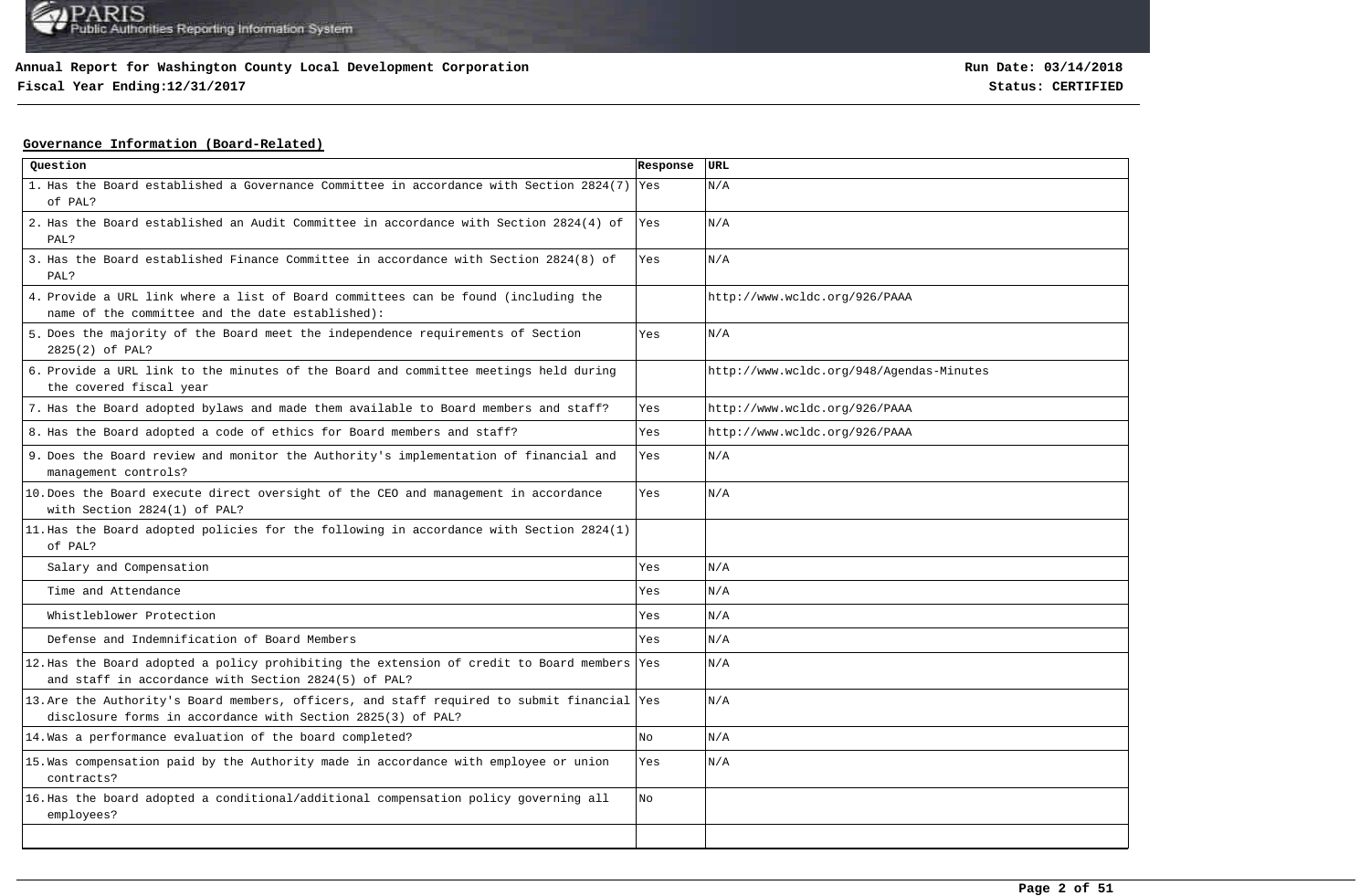**Fiscal Year Ending:12/31/2017 Status: CERTIFIED**

## **Governance Information (Board-Related)**

| Question                                                                                                                                                   | Response | URL                                      |
|------------------------------------------------------------------------------------------------------------------------------------------------------------|----------|------------------------------------------|
| 1. Has the Board established a Governance Committee in accordance with Section 2824(7) Yes<br>of PAL?                                                      |          | N/A                                      |
| 2. Has the Board established an Audit Committee in accordance with Section 2824(4) of<br>PAL?                                                              | Yes      | N/A                                      |
| 3. Has the Board established Finance Committee in accordance with Section 2824(8) of<br>PAL?                                                               | Yes      | N/A                                      |
| 4. Provide a URL link where a list of Board committees can be found (including the<br>name of the committee and the date established):                     |          | http://www.wcldc.org/926/PAAA            |
| 5. Does the majority of the Board meet the independence requirements of Section<br>2825(2) of PAL?                                                         | Yes      | N/A                                      |
| 6. Provide a URL link to the minutes of the Board and committee meetings held during<br>the covered fiscal year                                            |          | http://www.wcldc.org/948/Agendas-Minutes |
| 7. Has the Board adopted bylaws and made them available to Board members and staff?                                                                        | Yes      | http://www.wcldc.org/926/PAAA            |
| 8. Has the Board adopted a code of ethics for Board members and staff?                                                                                     | Yes      | http://www.wcldc.org/926/PAAA            |
| 9. Does the Board review and monitor the Authority's implementation of financial and<br>management controls?                                               | Yes      | N/A                                      |
| 10. Does the Board execute direct oversight of the CEO and management in accordance<br>with Section 2824(1) of PAL?                                        | Yes      | N/A                                      |
| 11. Has the Board adopted policies for the following in accordance with Section $2824(1)$<br>of PAL?                                                       |          |                                          |
| Salary and Compensation                                                                                                                                    | Yes      | N/A                                      |
| Time and Attendance                                                                                                                                        | Yes      | N/A                                      |
| Whistleblower Protection                                                                                                                                   | Yes      | N/A                                      |
| Defense and Indemnification of Board Members                                                                                                               | Yes      | N/A                                      |
| 12. Has the Board adopted a policy prohibiting the extension of credit to Board members Yes<br>and staff in accordance with Section 2824(5) of PAL?        |          | N/A                                      |
| 13. Are the Authority's Board members, officers, and staff required to submit financial Yes<br>disclosure forms in accordance with Section 2825(3) of PAL? |          | N/A                                      |
| 14. Was a performance evaluation of the board completed?                                                                                                   | No       | N/A                                      |
| 15. Was compensation paid by the Authority made in accordance with employee or union<br>contracts?                                                         | Yes      | N/A                                      |
| 16. Has the board adopted a conditional/additional compensation policy governing all<br>employees?                                                         | No       |                                          |
|                                                                                                                                                            |          |                                          |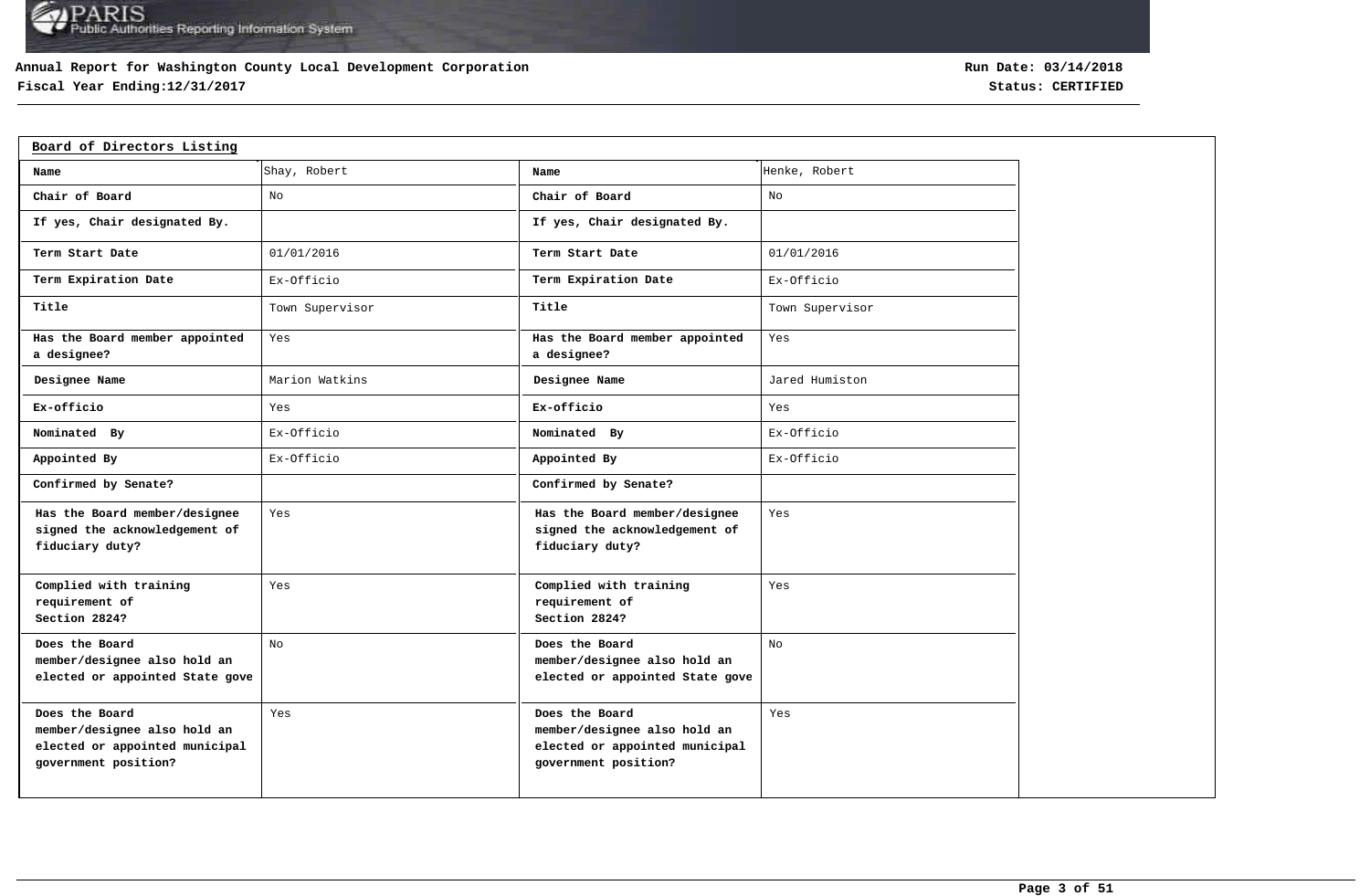## **Annual Report for Washington County Local Development Corporation**

## **Fiscal Year Ending:12/31/2017 Status: CERTIFIED**

| Board of Directors Listing                                                                               |                 |                                                                                                          |                 |
|----------------------------------------------------------------------------------------------------------|-----------------|----------------------------------------------------------------------------------------------------------|-----------------|
| Name                                                                                                     | Shay, Robert    | Name                                                                                                     | Henke, Robert   |
| Chair of Board                                                                                           | No              | Chair of Board                                                                                           | No              |
| If yes, Chair designated By.                                                                             |                 | If yes, Chair designated By.                                                                             |                 |
| Term Start Date                                                                                          | 01/01/2016      | Term Start Date                                                                                          | 01/01/2016      |
| Term Expiration Date                                                                                     | Ex-Officio      | Term Expiration Date                                                                                     | Ex-Officio      |
| Title                                                                                                    | Town Supervisor | Title                                                                                                    | Town Supervisor |
| Has the Board member appointed<br>a designee?                                                            | Yes             | Has the Board member appointed<br>a designee?                                                            | Yes             |
| Designee Name                                                                                            | Marion Watkins  | Designee Name                                                                                            | Jared Humiston  |
| Ex-officio                                                                                               | Yes             | Ex-officio                                                                                               | Yes             |
| Nominated By                                                                                             | Ex-Officio      | Nominated By                                                                                             | Ex-Officio      |
| Appointed By                                                                                             | Ex-Officio      | Appointed By                                                                                             | Ex-Officio      |
| Confirmed by Senate?                                                                                     |                 | Confirmed by Senate?                                                                                     |                 |
| Has the Board member/designee<br>signed the acknowledgement of<br>fiduciary duty?                        | Yes             | Has the Board member/designee<br>signed the acknowledgement of<br>fiduciary duty?                        | Yes             |
| Complied with training<br>requirement of<br>Section 2824?                                                | Yes             | Complied with training<br>requirement of<br>Section 2824?                                                | Yes             |
| Does the Board<br>member/designee also hold an<br>elected or appointed State gove                        | No              | Does the Board<br>member/designee also hold an<br>elected or appointed State gove                        | No              |
| Does the Board<br>member/designee also hold an<br>elected or appointed municipal<br>government position? | Yes             | Does the Board<br>member/designee also hold an<br>elected or appointed municipal<br>government position? | Yes             |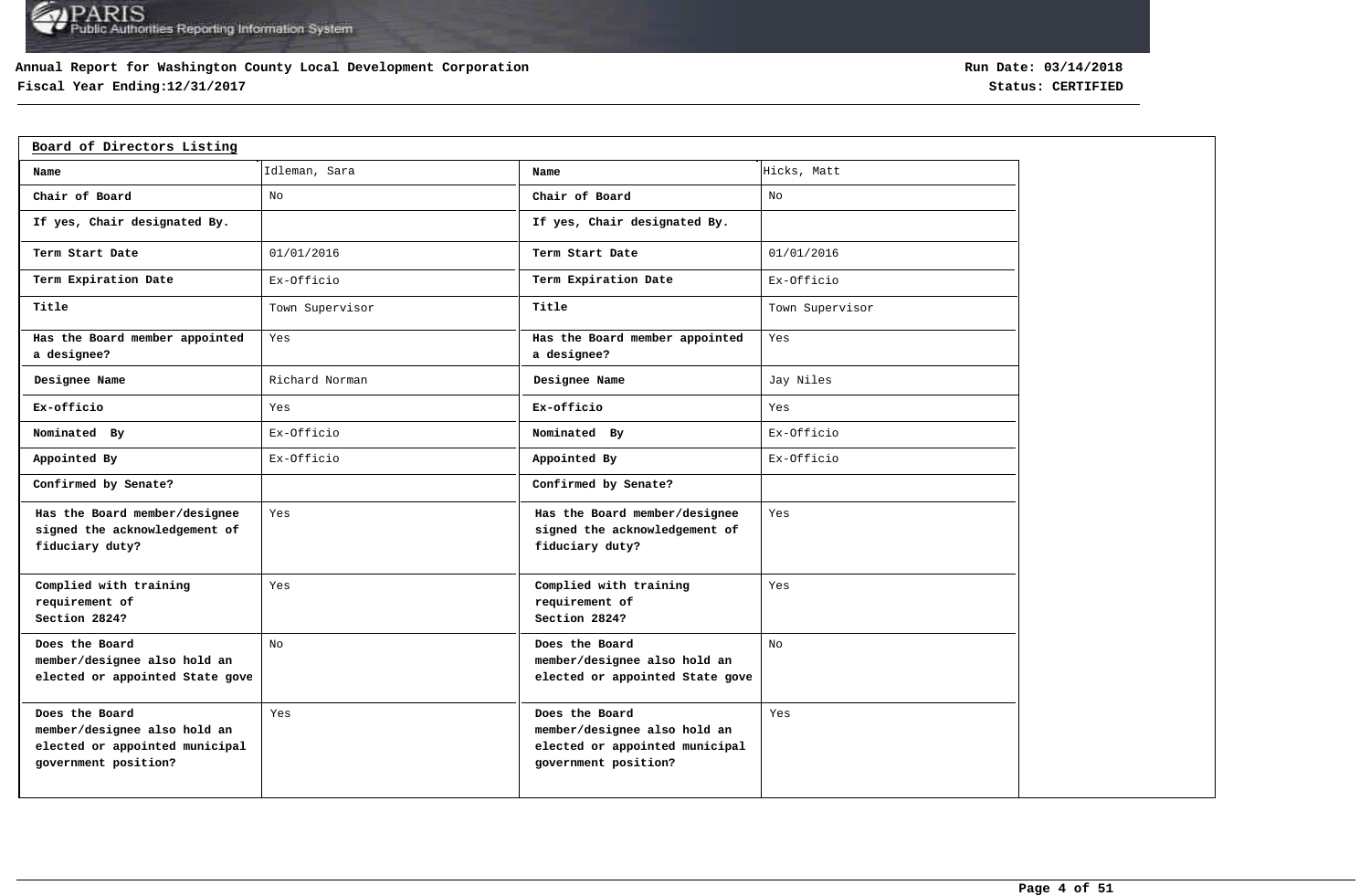## **Annual Report for Washington County Local Development Corporation**

## **Fiscal Year Ending:12/31/2017 Status: CERTIFIED**

| Board of Directors Listing                                                                               |                 |                                                                                                          |                 |
|----------------------------------------------------------------------------------------------------------|-----------------|----------------------------------------------------------------------------------------------------------|-----------------|
| Name                                                                                                     | Idleman, Sara   | Name                                                                                                     | Hicks, Matt     |
| Chair of Board                                                                                           | No              | Chair of Board                                                                                           | No              |
| If yes, Chair designated By.                                                                             |                 | If yes, Chair designated By.                                                                             |                 |
| Term Start Date                                                                                          | 01/01/2016      | Term Start Date                                                                                          | 01/01/2016      |
| Term Expiration Date                                                                                     | Ex-Officio      | Term Expiration Date                                                                                     | Ex-Officio      |
| Title                                                                                                    | Town Supervisor | Title                                                                                                    | Town Supervisor |
| Has the Board member appointed<br>a designee?                                                            | Yes             | Has the Board member appointed<br>a designee?                                                            | Yes             |
| Designee Name                                                                                            | Richard Norman  | Designee Name                                                                                            | Jay Niles       |
| Ex-officio                                                                                               | Yes             | Ex-officio                                                                                               | Yes             |
| Nominated By                                                                                             | Ex-Officio      | Nominated By                                                                                             | Ex-Officio      |
| Appointed By                                                                                             | Ex-Officio      | Appointed By                                                                                             | Ex-Officio      |
| Confirmed by Senate?                                                                                     |                 | Confirmed by Senate?                                                                                     |                 |
| Has the Board member/designee<br>signed the acknowledgement of<br>fiduciary duty?                        | Yes             | Has the Board member/designee<br>signed the acknowledgement of<br>fiduciary duty?                        | Yes             |
| Complied with training<br>requirement of<br>Section 2824?                                                | Yes             | Complied with training<br>requirement of<br>Section 2824?                                                | Yes             |
| Does the Board<br>member/designee also hold an<br>elected or appointed State gove                        | No              | Does the Board<br>member/designee also hold an<br>elected or appointed State gove                        | No              |
| Does the Board<br>member/designee also hold an<br>elected or appointed municipal<br>government position? | Yes             | Does the Board<br>member/designee also hold an<br>elected or appointed municipal<br>government position? | Yes             |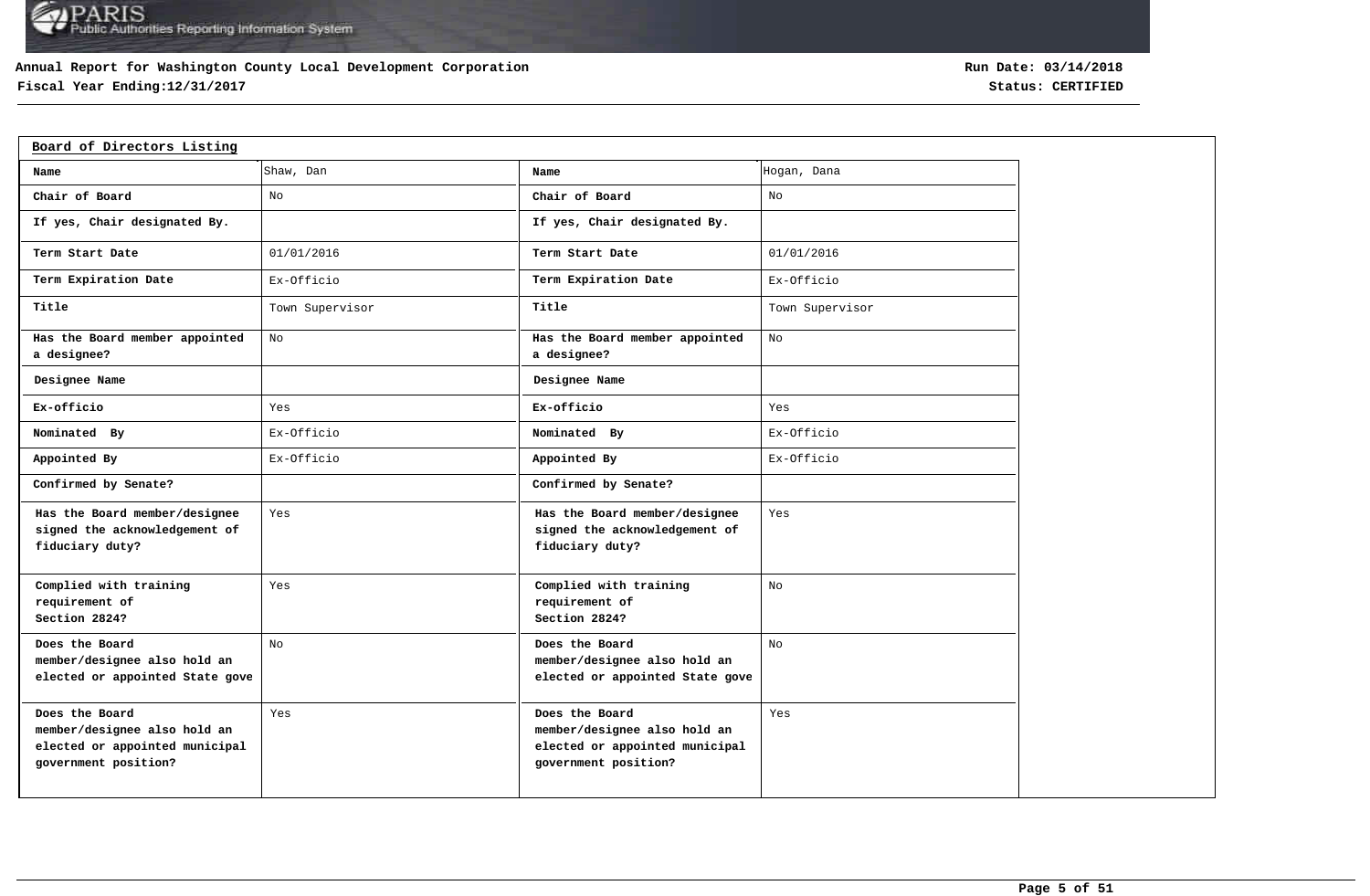## **Annual Report for Washington County Local Development Corporation**

## **Fiscal Year Ending:12/31/2017 Status: CERTIFIED**

| Board of Directors Listing                                                                               |                 |                                                                                                          |                 |
|----------------------------------------------------------------------------------------------------------|-----------------|----------------------------------------------------------------------------------------------------------|-----------------|
| Name                                                                                                     | Shaw, Dan       | Name                                                                                                     | Hogan, Dana     |
| Chair of Board                                                                                           | No              | Chair of Board                                                                                           | No              |
| If yes, Chair designated By.                                                                             |                 | If yes, Chair designated By.                                                                             |                 |
| Term Start Date                                                                                          | 01/01/2016      | Term Start Date                                                                                          | 01/01/2016      |
| Term Expiration Date                                                                                     | Ex-Officio      | Term Expiration Date                                                                                     | Ex-Officio      |
| Title                                                                                                    | Town Supervisor | Title                                                                                                    | Town Supervisor |
| Has the Board member appointed<br>a designee?                                                            | No              | Has the Board member appointed<br>a designee?                                                            | No              |
| Designee Name                                                                                            |                 | Designee Name                                                                                            |                 |
| Ex-officio                                                                                               | Yes             | Ex-officio                                                                                               | Yes             |
| Nominated By                                                                                             | Ex-Officio      | Nominated By                                                                                             | Ex-Officio      |
| Appointed By                                                                                             | Ex-Officio      | Appointed By                                                                                             | Ex-Officio      |
| Confirmed by Senate?                                                                                     |                 | Confirmed by Senate?                                                                                     |                 |
| Has the Board member/designee<br>signed the acknowledgement of<br>fiduciary duty?                        | Yes             | Has the Board member/designee<br>signed the acknowledgement of<br>fiduciary duty?                        | Yes             |
| Complied with training<br>requirement of<br>Section 2824?                                                | Yes             | Complied with training<br>requirement of<br>Section 2824?                                                | No              |
| Does the Board<br>member/designee also hold an<br>elected or appointed State gove                        | No              | Does the Board<br>member/designee also hold an<br>elected or appointed State gove                        | No              |
| Does the Board<br>member/designee also hold an<br>elected or appointed municipal<br>government position? | Yes             | Does the Board<br>member/designee also hold an<br>elected or appointed municipal<br>government position? | Yes             |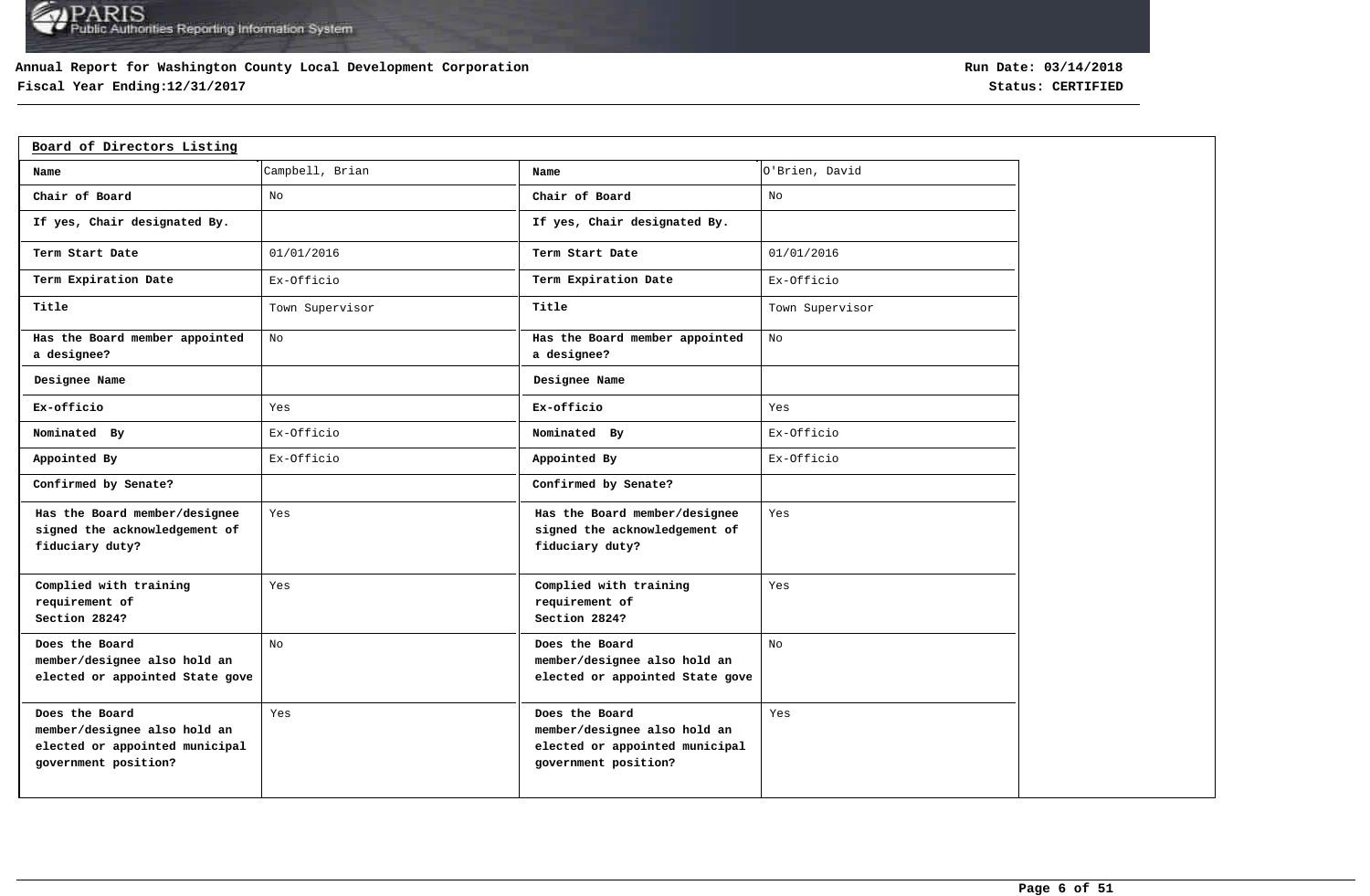## **Annual Report for Washington County Local Development Corporation**

## **Fiscal Year Ending:12/31/2017 Status: CERTIFIED**

| Board of Directors Listing                                                                               |                 |                                                                                                          |                 |
|----------------------------------------------------------------------------------------------------------|-----------------|----------------------------------------------------------------------------------------------------------|-----------------|
| Name                                                                                                     | Campbell, Brian | Name                                                                                                     | O'Brien, David  |
| Chair of Board                                                                                           | No              | Chair of Board                                                                                           | No              |
| If yes, Chair designated By.                                                                             |                 | If yes, Chair designated By.                                                                             |                 |
| Term Start Date                                                                                          | 01/01/2016      | Term Start Date                                                                                          | 01/01/2016      |
| Term Expiration Date                                                                                     | Ex-Officio      | Term Expiration Date                                                                                     | Ex-Officio      |
| Title                                                                                                    | Town Supervisor | Title                                                                                                    | Town Supervisor |
| Has the Board member appointed<br>a designee?                                                            | No              | Has the Board member appointed<br>a designee?                                                            | No              |
| Designee Name                                                                                            |                 | Designee Name                                                                                            |                 |
| Ex-officio                                                                                               | Yes             | Ex-officio                                                                                               | Yes             |
| Nominated By                                                                                             | Ex-Officio      | Nominated By                                                                                             | Ex-Officio      |
| Appointed By                                                                                             | Ex-Officio      | Appointed By                                                                                             | Ex-Officio      |
| Confirmed by Senate?                                                                                     |                 | Confirmed by Senate?                                                                                     |                 |
| Has the Board member/designee<br>signed the acknowledgement of<br>fiduciary duty?                        | Yes             | Has the Board member/designee<br>signed the acknowledgement of<br>fiduciary duty?                        | Yes             |
| Complied with training<br>requirement of<br>Section 2824?                                                | Yes             | Complied with training<br>requirement of<br>Section 2824?                                                | Yes             |
| Does the Board<br>member/designee also hold an<br>elected or appointed State gove                        | No              | Does the Board<br>member/designee also hold an<br>elected or appointed State gove                        | No              |
| Does the Board<br>member/designee also hold an<br>elected or appointed municipal<br>government position? | Yes             | Does the Board<br>member/designee also hold an<br>elected or appointed municipal<br>government position? | Yes             |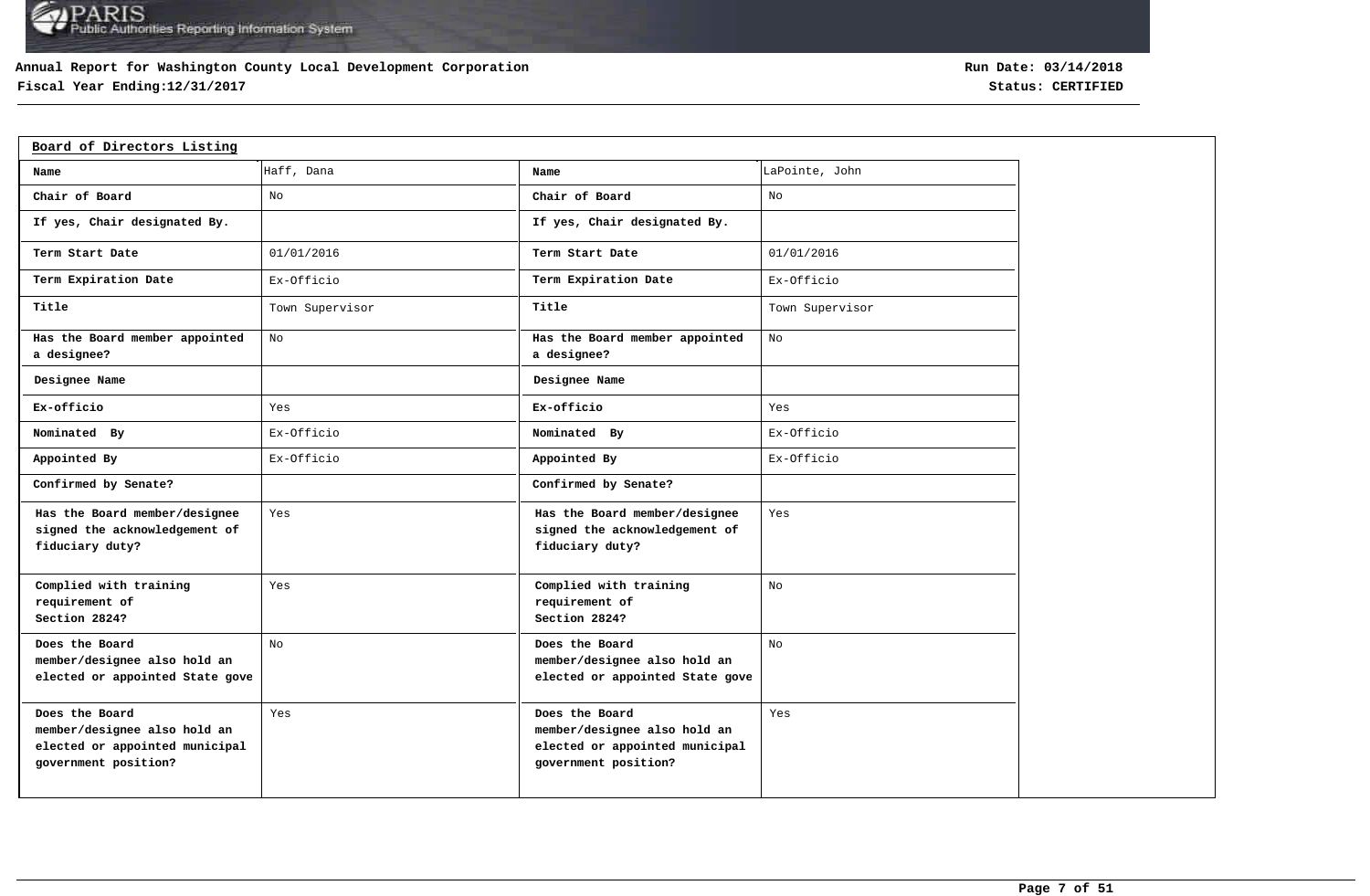## **Annual Report for Washington County Local Development Corporation**

## **Fiscal Year Ending:12/31/2017 Status: CERTIFIED**

| Board of Directors Listing                                                                               |                 |                                                                                                          |                 |
|----------------------------------------------------------------------------------------------------------|-----------------|----------------------------------------------------------------------------------------------------------|-----------------|
| Name                                                                                                     | Haff, Dana      | Name                                                                                                     | LaPointe, John  |
| Chair of Board                                                                                           | No              | Chair of Board                                                                                           | No              |
| If yes, Chair designated By.                                                                             |                 | If yes, Chair designated By.                                                                             |                 |
| Term Start Date                                                                                          | 01/01/2016      | Term Start Date                                                                                          | 01/01/2016      |
| Term Expiration Date                                                                                     | Ex-Officio      | Term Expiration Date                                                                                     | Ex-Officio      |
| Title                                                                                                    | Town Supervisor | Title                                                                                                    | Town Supervisor |
| Has the Board member appointed<br>a designee?                                                            | No              | Has the Board member appointed<br>a designee?                                                            | No              |
| Designee Name                                                                                            |                 | Designee Name                                                                                            |                 |
| Ex-officio                                                                                               | Yes             | Ex-officio                                                                                               | Yes             |
| Nominated By                                                                                             | Ex-Officio      | Nominated By                                                                                             | Ex-Officio      |
| Appointed By                                                                                             | Ex-Officio      | Appointed By                                                                                             | Ex-Officio      |
| Confirmed by Senate?                                                                                     |                 | Confirmed by Senate?                                                                                     |                 |
| Has the Board member/designee<br>signed the acknowledgement of<br>fiduciary duty?                        | Yes             | Has the Board member/designee<br>signed the acknowledgement of<br>fiduciary duty?                        | Yes             |
| Complied with training<br>requirement of<br>Section 2824?                                                | Yes             | Complied with training<br>requirement of<br>Section 2824?                                                | No              |
| Does the Board<br>member/designee also hold an<br>elected or appointed State gove                        | No              | Does the Board<br>member/designee also hold an<br>elected or appointed State gove                        | No              |
| Does the Board<br>member/designee also hold an<br>elected or appointed municipal<br>government position? | Yes             | Does the Board<br>member/designee also hold an<br>elected or appointed municipal<br>government position? | Yes             |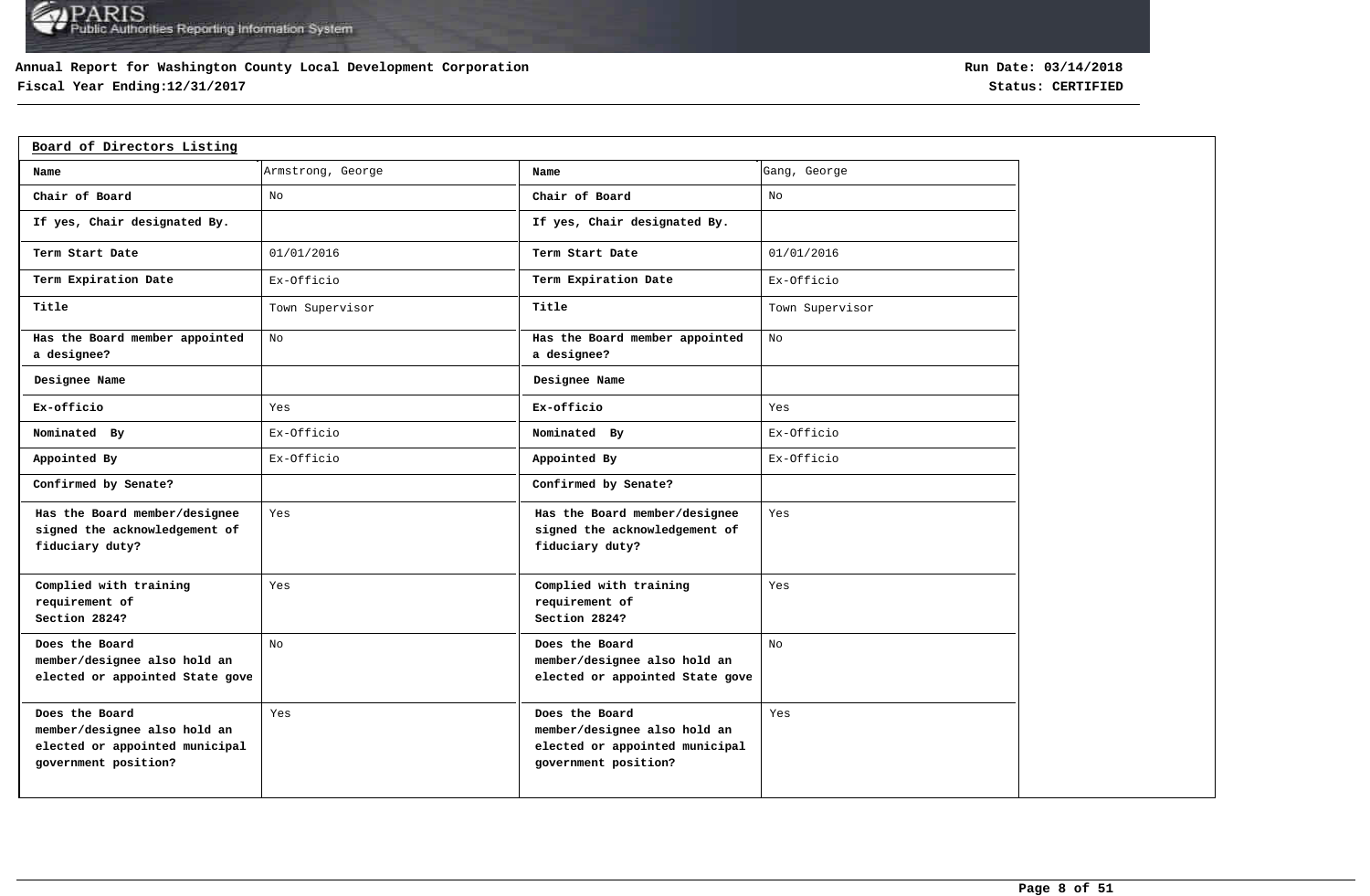## **Annual Report for Washington County Local Development Corporation**

## **Fiscal Year Ending:12/31/2017 Status: CERTIFIED**

| Board of Directors Listing                                                                               |                   |                                                                                                          |                 |
|----------------------------------------------------------------------------------------------------------|-------------------|----------------------------------------------------------------------------------------------------------|-----------------|
| Name                                                                                                     | Armstrong, George | Name                                                                                                     | Gang, George    |
| Chair of Board                                                                                           | No                | Chair of Board                                                                                           | No              |
| If yes, Chair designated By.                                                                             |                   | If yes, Chair designated By.                                                                             |                 |
| Term Start Date                                                                                          | 01/01/2016        | Term Start Date                                                                                          | 01/01/2016      |
| Term Expiration Date                                                                                     | Ex-Officio        | Term Expiration Date                                                                                     | Ex-Officio      |
| Title                                                                                                    | Town Supervisor   | Title                                                                                                    | Town Supervisor |
| Has the Board member appointed<br>a designee?                                                            | No                | Has the Board member appointed<br>a designee?                                                            | No              |
| Designee Name                                                                                            |                   | Designee Name                                                                                            |                 |
| Ex-officio                                                                                               | Yes               | Ex-officio                                                                                               | Yes             |
| Nominated By                                                                                             | Ex-Officio        | Nominated By                                                                                             | Ex-Officio      |
| Appointed By                                                                                             | Ex-Officio        | Appointed By                                                                                             | Ex-Officio      |
| Confirmed by Senate?                                                                                     |                   | Confirmed by Senate?                                                                                     |                 |
| Has the Board member/designee<br>signed the acknowledgement of<br>fiduciary duty?                        | Yes               | Has the Board member/designee<br>signed the acknowledgement of<br>fiduciary duty?                        | Yes             |
| Complied with training<br>requirement of<br>Section 2824?                                                | Yes               | Complied with training<br>requirement of<br>Section 2824?                                                | Yes             |
| Does the Board<br>member/designee also hold an<br>elected or appointed State gove                        | No                | Does the Board<br>member/designee also hold an<br>elected or appointed State gove                        | No.             |
| Does the Board<br>member/designee also hold an<br>elected or appointed municipal<br>government position? | Yes               | Does the Board<br>member/designee also hold an<br>elected or appointed municipal<br>government position? | Yes             |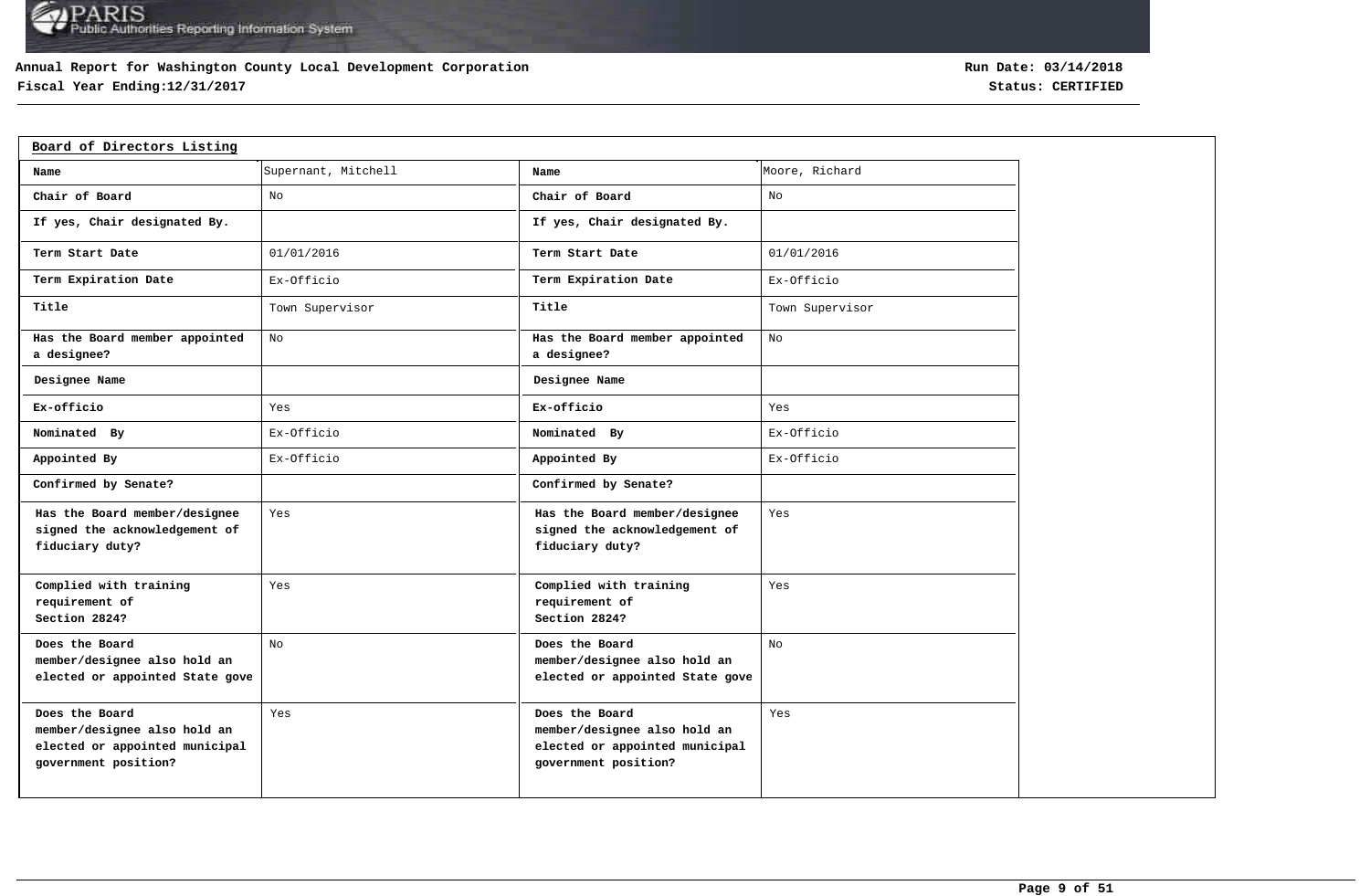## **Annual Report for Washington County Local Development Corporation**

## **Fiscal Year Ending:12/31/2017 Status: CERTIFIED**

| Board of Directors Listing                                                                               |                     |                                                                                                          |                 |
|----------------------------------------------------------------------------------------------------------|---------------------|----------------------------------------------------------------------------------------------------------|-----------------|
| Name                                                                                                     | Supernant, Mitchell | Name                                                                                                     | Moore, Richard  |
| Chair of Board                                                                                           | No                  | Chair of Board                                                                                           | No              |
| If yes, Chair designated By.                                                                             |                     | If yes, Chair designated By.                                                                             |                 |
| Term Start Date                                                                                          | 01/01/2016          | Term Start Date                                                                                          | 01/01/2016      |
| Term Expiration Date                                                                                     | Ex-Officio          | Term Expiration Date                                                                                     | Ex-Officio      |
| Title                                                                                                    | Town Supervisor     | Title                                                                                                    | Town Supervisor |
| Has the Board member appointed<br>a designee?                                                            | No                  | Has the Board member appointed<br>a designee?                                                            | No              |
| Designee Name                                                                                            |                     | Designee Name                                                                                            |                 |
| Ex-officio                                                                                               | Yes                 | Ex-officio                                                                                               | Yes             |
| Nominated By                                                                                             | Ex-Officio          | Nominated By                                                                                             | Ex-Officio      |
| Appointed By                                                                                             | Ex-Officio          | Appointed By                                                                                             | Ex-Officio      |
| Confirmed by Senate?                                                                                     |                     | Confirmed by Senate?                                                                                     |                 |
| Has the Board member/designee<br>signed the acknowledgement of<br>fiduciary duty?                        | Yes                 | Has the Board member/designee<br>signed the acknowledgement of<br>fiduciary duty?                        | Yes             |
| Complied with training<br>requirement of<br>Section 2824?                                                | Yes                 | Complied with training<br>requirement of<br>Section 2824?                                                | Yes             |
| Does the Board<br>member/designee also hold an<br>elected or appointed State gove                        | No                  | Does the Board<br>member/designee also hold an<br>elected or appointed State gove                        | No              |
| Does the Board<br>member/designee also hold an<br>elected or appointed municipal<br>government position? | Yes                 | Does the Board<br>member/designee also hold an<br>elected or appointed municipal<br>government position? | Yes             |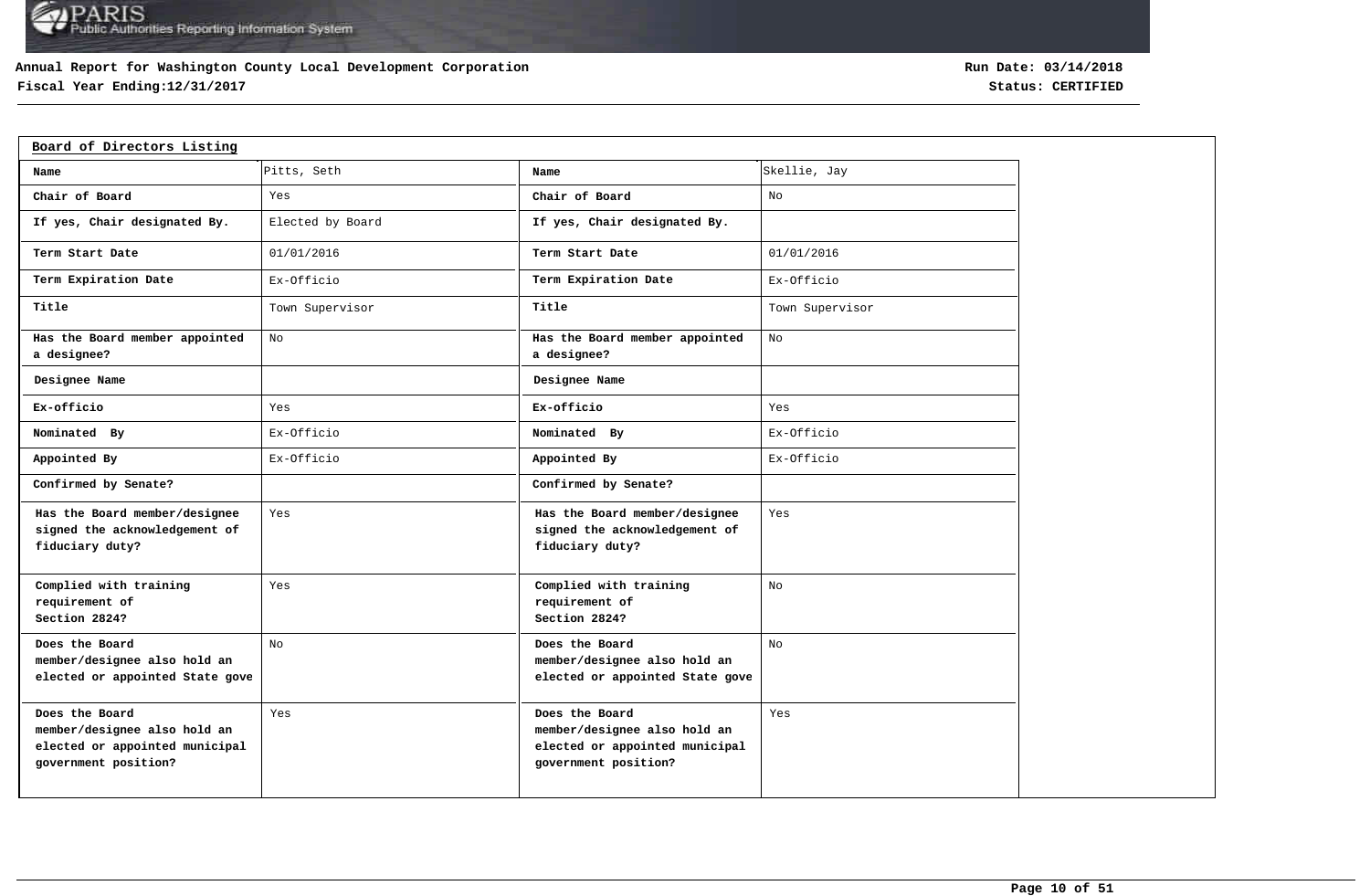## **Annual Report for Washington County Local Development Corporation**

## **Fiscal Year Ending:12/31/2017 Status: CERTIFIED**

| Board of Directors Listing                                                                               |                  |                                                                                                          |                 |
|----------------------------------------------------------------------------------------------------------|------------------|----------------------------------------------------------------------------------------------------------|-----------------|
| Name                                                                                                     | Pitts, Seth      | Name                                                                                                     | Skellie, Jay    |
| Chair of Board                                                                                           | Yes              | Chair of Board                                                                                           | No              |
| If yes, Chair designated By.                                                                             | Elected by Board | If yes, Chair designated By.                                                                             |                 |
| Term Start Date                                                                                          | 01/01/2016       | Term Start Date                                                                                          | 01/01/2016      |
| Term Expiration Date                                                                                     | Ex-Officio       | Term Expiration Date                                                                                     | Ex-Officio      |
| Title                                                                                                    | Town Supervisor  | Title                                                                                                    | Town Supervisor |
| Has the Board member appointed<br>a designee?                                                            | No               | Has the Board member appointed<br>a designee?                                                            | No              |
| Designee Name                                                                                            |                  | Designee Name                                                                                            |                 |
| Ex-officio                                                                                               | Yes              | Ex-officio                                                                                               | Yes             |
| Nominated By                                                                                             | Ex-Officio       | Nominated By                                                                                             | Ex-Officio      |
| Appointed By                                                                                             | Ex-Officio       | Appointed By                                                                                             | Ex-Officio      |
| Confirmed by Senate?                                                                                     |                  | Confirmed by Senate?                                                                                     |                 |
| Has the Board member/designee<br>signed the acknowledgement of<br>fiduciary duty?                        | Yes              | Has the Board member/designee<br>signed the acknowledgement of<br>fiduciary duty?                        | Yes             |
| Complied with training<br>requirement of<br>Section 2824?                                                | Yes              | Complied with training<br>requirement of<br>Section 2824?                                                | No              |
| Does the Board<br>member/designee also hold an<br>elected or appointed State gove                        | No               | Does the Board<br>member/designee also hold an<br>elected or appointed State gove                        | No              |
| Does the Board<br>member/designee also hold an<br>elected or appointed municipal<br>government position? | Yes              | Does the Board<br>member/designee also hold an<br>elected or appointed municipal<br>government position? | Yes             |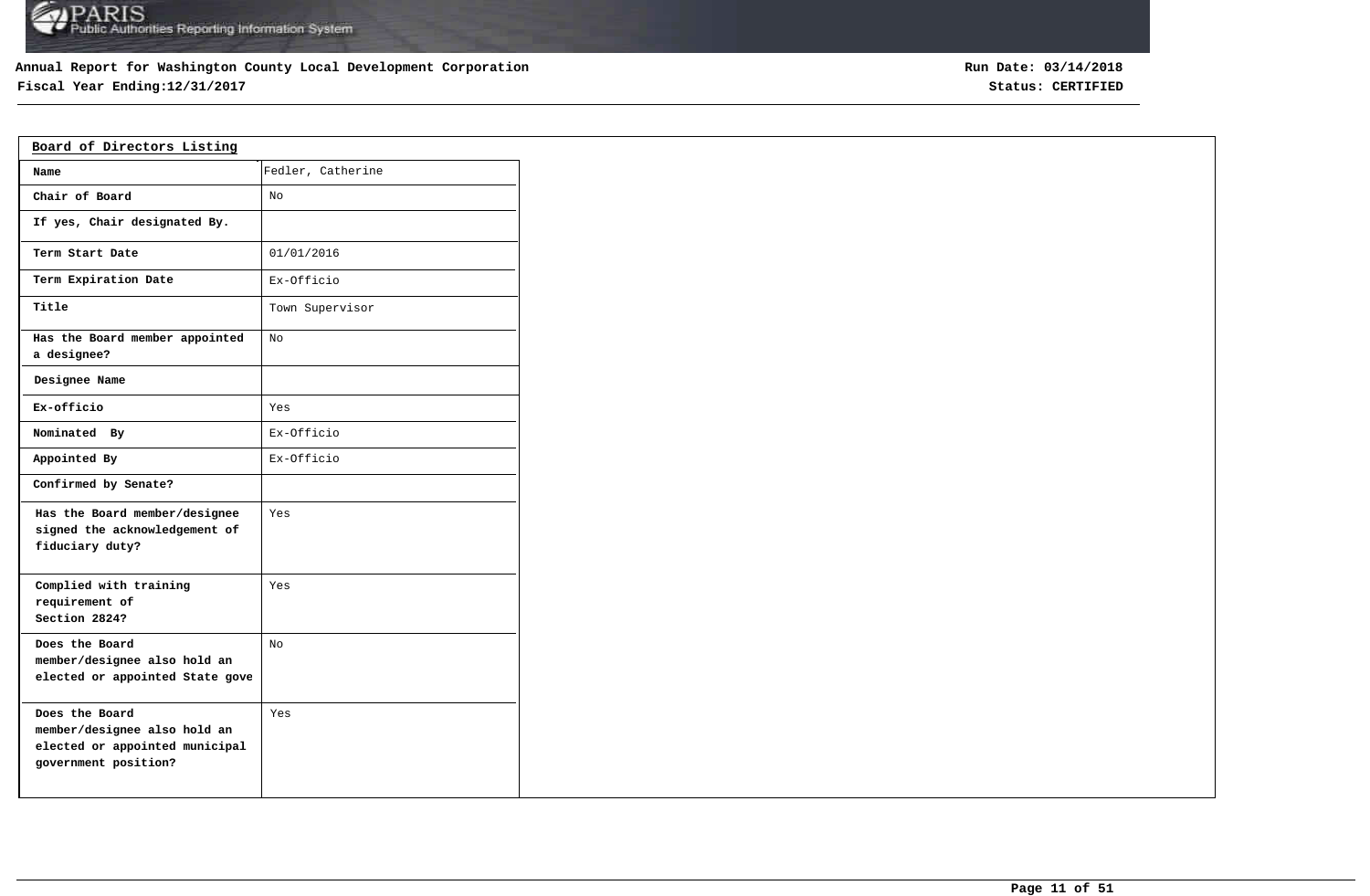## **Annual Report for Washington County Local Development Corporation**

## **Fiscal Year Ending:12/31/2017 Status: CERTIFIED**

| Board of Directors Listing                                                                               |                   |  |  |  |  |  |  |
|----------------------------------------------------------------------------------------------------------|-------------------|--|--|--|--|--|--|
| Name                                                                                                     | Fedler, Catherine |  |  |  |  |  |  |
| Chair of Board                                                                                           | No                |  |  |  |  |  |  |
| If yes, Chair designated By.                                                                             |                   |  |  |  |  |  |  |
| Term Start Date                                                                                          | 01/01/2016        |  |  |  |  |  |  |
| Term Expiration Date                                                                                     | Ex-Officio        |  |  |  |  |  |  |
| Title                                                                                                    | Town Supervisor   |  |  |  |  |  |  |
| Has the Board member appointed<br>a designee?                                                            | No                |  |  |  |  |  |  |
| Designee Name                                                                                            |                   |  |  |  |  |  |  |
| Ex-officio                                                                                               | Yes               |  |  |  |  |  |  |
| Nominated By                                                                                             | Ex-Officio        |  |  |  |  |  |  |
| Appointed By                                                                                             | Ex-Officio        |  |  |  |  |  |  |
| Confirmed by Senate?                                                                                     |                   |  |  |  |  |  |  |
| Has the Board member/designee<br>signed the acknowledgement of<br>fiduciary duty?                        | Yes               |  |  |  |  |  |  |
| Complied with training<br>requirement of<br>Section 2824?                                                | Yes               |  |  |  |  |  |  |
| Does the Board<br>member/designee also hold an<br>elected or appointed State gove                        | No                |  |  |  |  |  |  |
| Does the Board<br>member/designee also hold an<br>elected or appointed municipal<br>government position? | Yes               |  |  |  |  |  |  |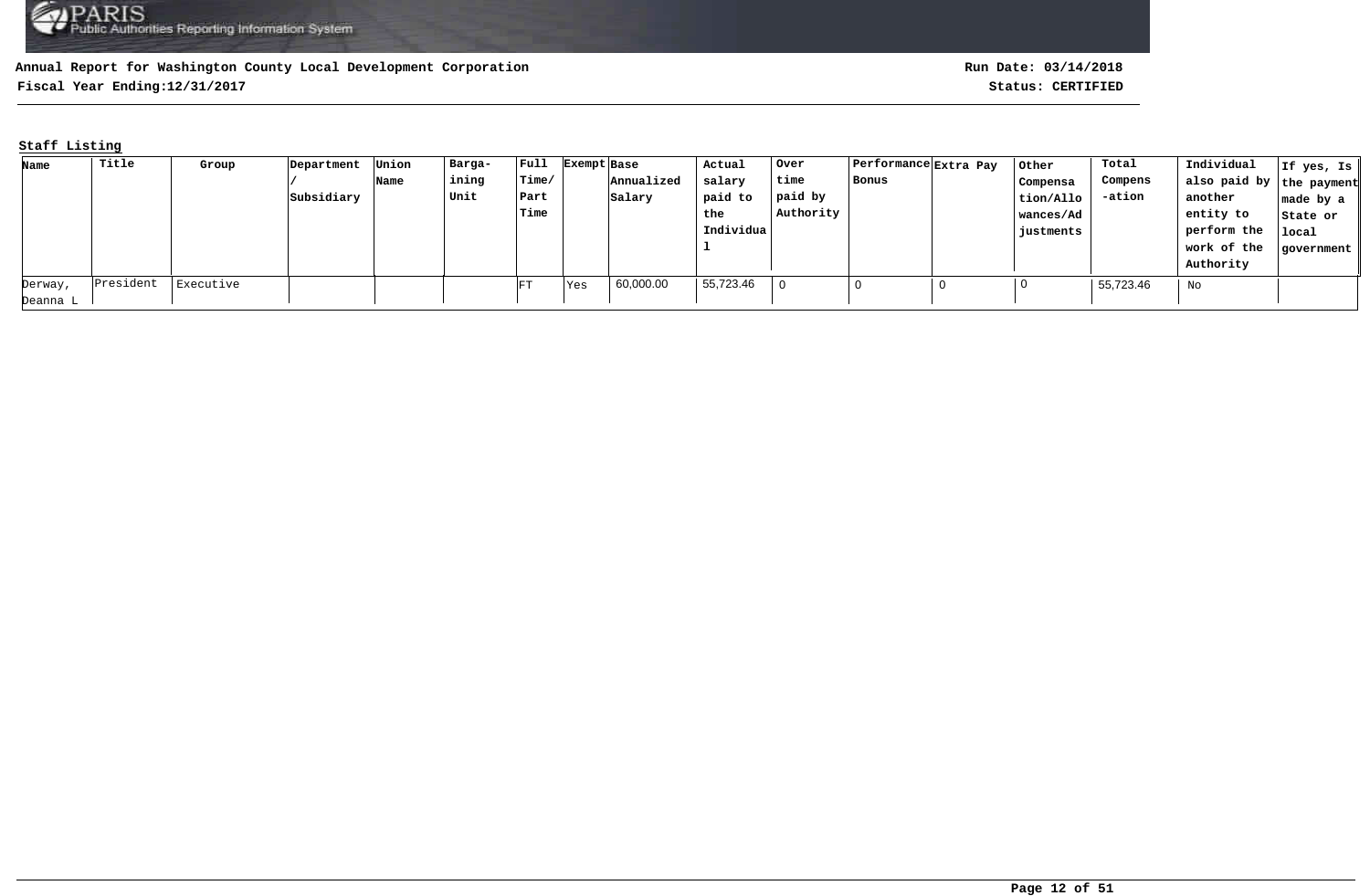**Fiscal Year Ending:12/31/2017 Status: CERTIFIED**

## **Staff Listing**

| Name     | Title     | Group     | Department | Union | Barga- | $ $ Full | Exempt Base |            | Actual    | Over      | Performance Extra Pay | Other     | Total     | Individual               | If yes, Is |
|----------|-----------|-----------|------------|-------|--------|----------|-------------|------------|-----------|-----------|-----------------------|-----------|-----------|--------------------------|------------|
|          |           |           |            | Name  | ining  | Time/    |             | Annualized | salary    | time      | Bonus                 | Compensa  | Compens   | also paid by the payment |            |
|          |           |           | Subsidiary |       | Unit   | Part     |             | Salary     | paid to   | paid by   |                       | tion/Allo | -ation    | another                  | made by a  |
|          |           |           |            |       |        | Time     |             |            | the       | Authority |                       | wances/Ad |           | entity to                | State or   |
|          |           |           |            |       |        |          |             |            | Individua |           |                       | justments |           | perform the              | local      |
|          |           |           |            |       |        |          |             |            |           |           |                       |           |           | work of the              | government |
|          |           |           |            |       |        |          |             |            |           |           |                       |           |           | Authority                |            |
| Derway,  | President | Executive |            |       |        | FT       | Yes         | 60,000.00  | 55,723.46 |           |                       |           | 55,723.46 | No                       |            |
| Deanna L |           |           |            |       |        |          |             |            |           |           |                       |           |           |                          |            |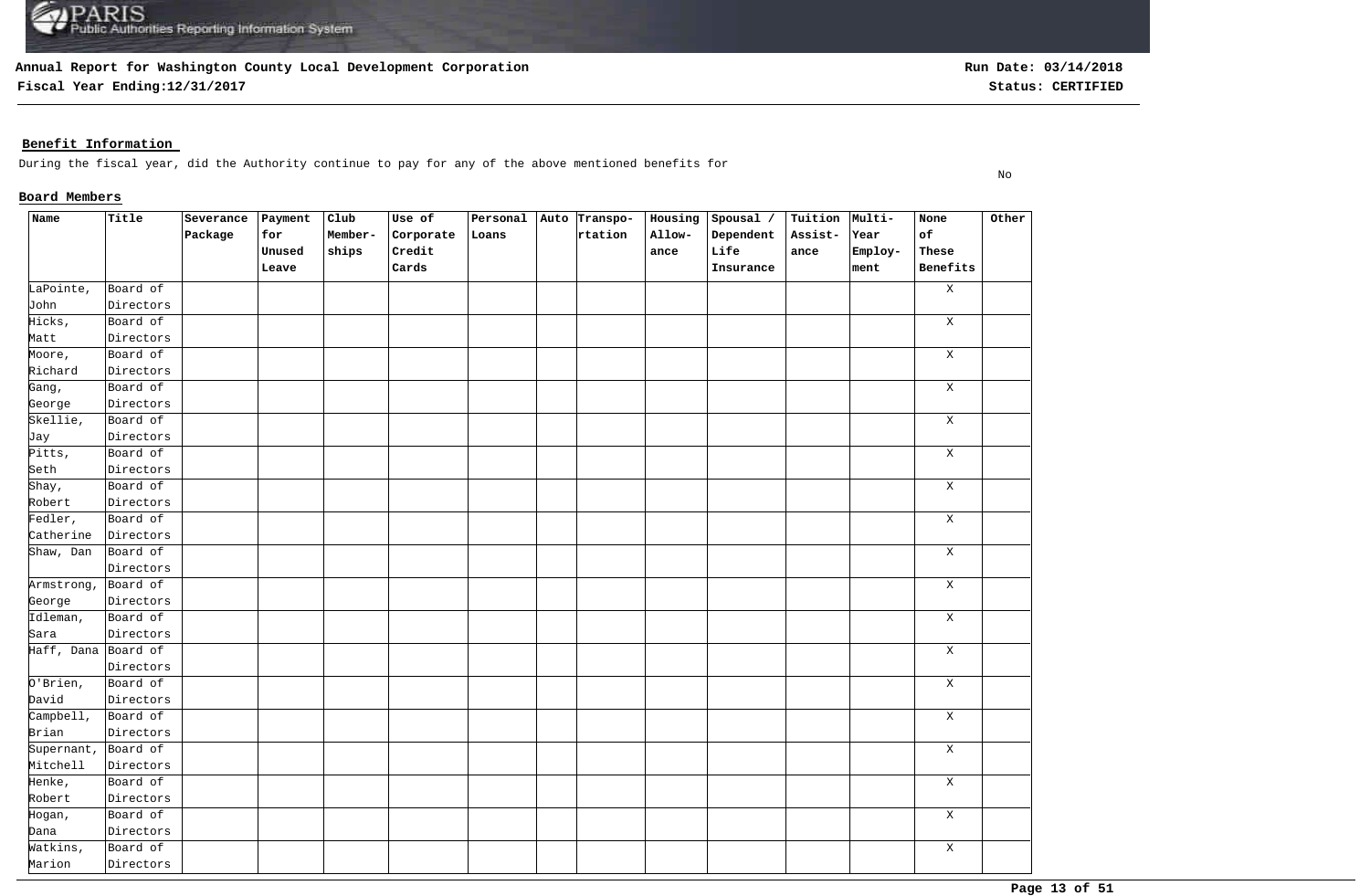**Fiscal Year Ending:12/31/2017 Status: CERTIFIED**

## **Benefit Information**

During the fiscal year, did the Authority continue to pay for any of the above mentioned benefits for

## **Board Members**

| Name                | Title     | Severance | $ $ Payment | Club    | Use of    | Personal Auto Transpo- |         | Housing | Spousal / | Tuition Multi- |         | None        | Other |
|---------------------|-----------|-----------|-------------|---------|-----------|------------------------|---------|---------|-----------|----------------|---------|-------------|-------|
|                     |           | Package   | for         | Member- | Corporate | Loans                  | rtation | Allow-  | Dependent | Assist-        | Year    | of          |       |
|                     |           |           | Unused      | ships   | Credit    |                        |         | ance    | Life      | $_{\tt anc}$   | Employ- | These       |       |
|                     |           |           | Leave       |         | Cards     |                        |         |         | Insurance |                | ment    | Benefits    |       |
| LaPointe,           | Board of  |           |             |         |           |                        |         |         |           |                |         | $\mathbf X$ |       |
| John                | Directors |           |             |         |           |                        |         |         |           |                |         |             |       |
| Hicks,              | Board of  |           |             |         |           |                        |         |         |           |                |         | $\mathbf X$ |       |
| Matt                | Directors |           |             |         |           |                        |         |         |           |                |         |             |       |
| Moore,              | Board of  |           |             |         |           |                        |         |         |           |                |         | X           |       |
| Richard             | Directors |           |             |         |           |                        |         |         |           |                |         |             |       |
| Gang,               | Board of  |           |             |         |           |                        |         |         |           |                |         | $\mathbf X$ |       |
| George              | Directors |           |             |         |           |                        |         |         |           |                |         |             |       |
| Skellie,            | Board of  |           |             |         |           |                        |         |         |           |                |         | X           |       |
| Jay                 | Directors |           |             |         |           |                        |         |         |           |                |         |             |       |
| Pitts,              | Board of  |           |             |         |           |                        |         |         |           |                |         | X           |       |
| Seth                | Directors |           |             |         |           |                        |         |         |           |                |         |             |       |
| Shay,               | Board of  |           |             |         |           |                        |         |         |           |                |         | X           |       |
| Robert              | Directors |           |             |         |           |                        |         |         |           |                |         |             |       |
| Fedler,             | Board of  |           |             |         |           |                        |         |         |           |                |         | X           |       |
| Catherine           | Directors |           |             |         |           |                        |         |         |           |                |         |             |       |
| Shaw, Dan           | Board of  |           |             |         |           |                        |         |         |           |                |         | X           |       |
|                     | Directors |           |             |         |           |                        |         |         |           |                |         |             |       |
| Armstrong,          | Board of  |           |             |         |           |                        |         |         |           |                |         | X           |       |
| George              | Directors |           |             |         |           |                        |         |         |           |                |         |             |       |
| Idleman,            | Board of  |           |             |         |           |                        |         |         |           |                |         | $\mathbf X$ |       |
| Sara                | Directors |           |             |         |           |                        |         |         |           |                |         |             |       |
| Haff, Dana Board of |           |           |             |         |           |                        |         |         |           |                |         | $\mathbf X$ |       |
|                     | Directors |           |             |         |           |                        |         |         |           |                |         |             |       |
| $0'$ Brien,         | Board of  |           |             |         |           |                        |         |         |           |                |         | $\mathbf X$ |       |
| David               | Directors |           |             |         |           |                        |         |         |           |                |         |             |       |
| $Cample$ $11,$      | Board of  |           |             |         |           |                        |         |         |           |                |         | $\mathbf X$ |       |
| Brian               | Directors |           |             |         |           |                        |         |         |           |                |         |             |       |
| Supernant,          | Board of  |           |             |         |           |                        |         |         |           |                |         | $\mathbf X$ |       |
| Mitchell            | Directors |           |             |         |           |                        |         |         |           |                |         |             |       |
| Henke,              | Board of  |           |             |         |           |                        |         |         |           |                |         | $\mathbf X$ |       |
| Robert              | Directors |           |             |         |           |                        |         |         |           |                |         |             |       |
| Hogan,              | Board of  |           |             |         |           |                        |         |         |           |                |         | $\mathbf X$ |       |
| Dana                | Directors |           |             |         |           |                        |         |         |           |                |         |             |       |
| Watkins,            | Board of  |           |             |         |           |                        |         |         |           |                |         | $\mathbf X$ |       |
| Marion              | Directors |           |             |         |           |                        |         |         |           |                |         |             |       |

No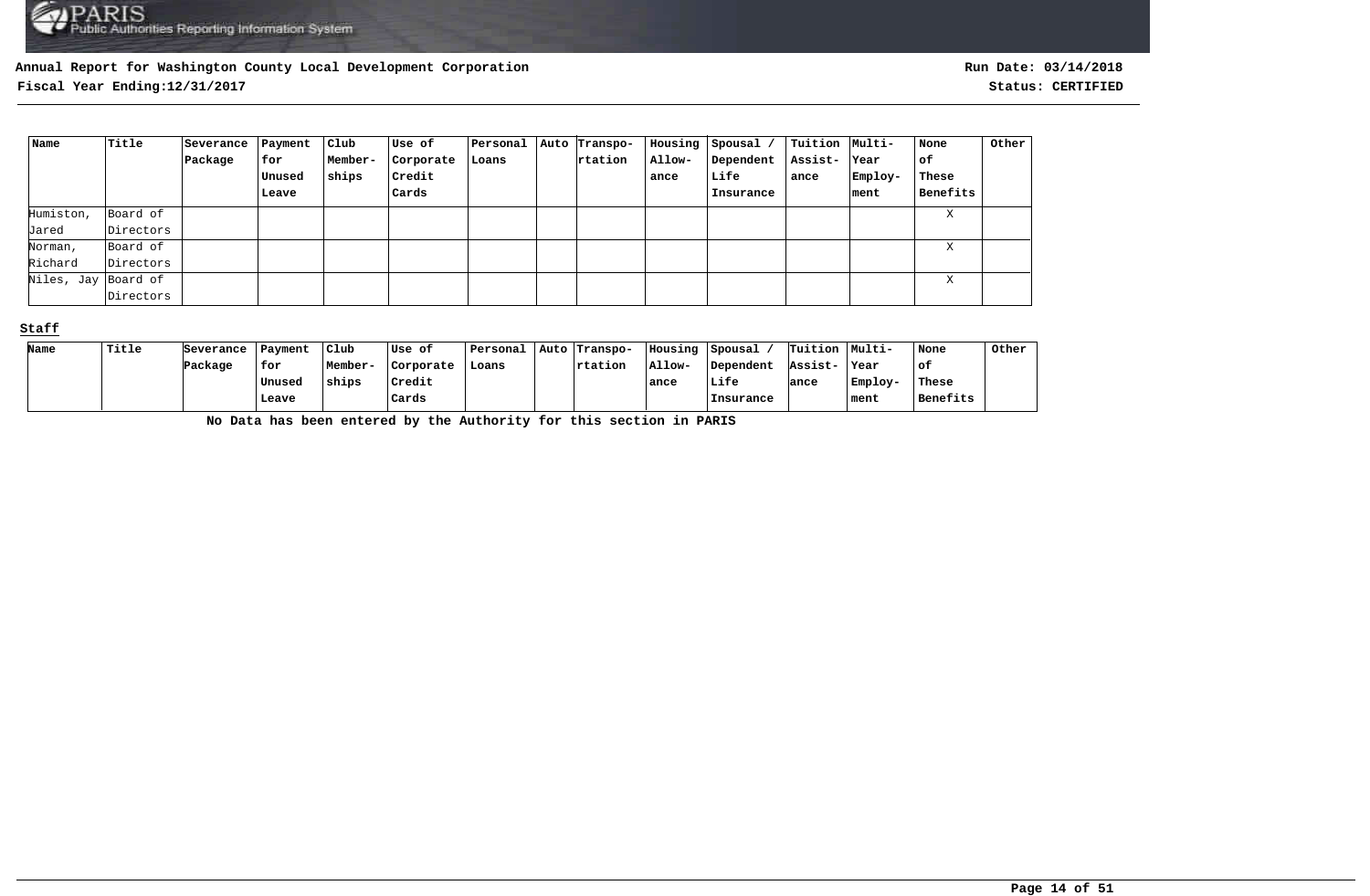**Fiscal Year Ending:12/31/2017 Status: CERTIFIED**

| Name                | Title     | Severance | Payment | Club    | Use of        | Personal | Auto Transpo- |        | Housing Spousal / | Tuition  Multi- |         | None     | Other |
|---------------------|-----------|-----------|---------|---------|---------------|----------|---------------|--------|-------------------|-----------------|---------|----------|-------|
|                     |           | Package   | for     | Member- | Corporate     | Loans    | rtation       | Allow- | Dependent         | Assist-         | Year    | оf       |       |
|                     |           |           | Unused  | ships   | <b>Credit</b> |          |               | ance   | Life              | ance            | Employ- | These    |       |
|                     |           |           | Leave   |         | Cards         |          |               |        | Insurance         |                 | ment    | Benefits |       |
| Humiston,           | Board of  |           |         |         |               |          |               |        |                   |                 |         | X        |       |
| Jared               | Directors |           |         |         |               |          |               |        |                   |                 |         |          |       |
| Norman,             | Board of  |           |         |         |               |          |               |        |                   |                 |         | X        |       |
| Richard             | Directors |           |         |         |               |          |               |        |                   |                 |         |          |       |
| Niles, Jay Board of |           |           |         |         |               |          |               |        |                   |                 |         | Χ        |       |
|                     | Directors |           |         |         |               |          |               |        |                   |                 |         |          |       |

#### **Staff**

| Name | Title | Severance | Payment | Club    | Use of    | Personal | Auto Transpo- | Housing | Spousal   | Tuition Multi- |         | None     | Other |
|------|-------|-----------|---------|---------|-----------|----------|---------------|---------|-----------|----------------|---------|----------|-------|
|      |       | Package   | for     | Member- | Corporate | Loans    | $ $ rtation   | Allow-  | Dependent | Assist-        | Year    | ∣of      |       |
|      |       |           | Unused  | ships   | Credit    |          |               | ance    | Life      | ance           | Employ- | These    |       |
|      |       |           | Leave   |         | Cards     |          |               |         | Insurance |                | ment    | Benefits |       |

**No Data has been entered by the Authority for this section in PARIS**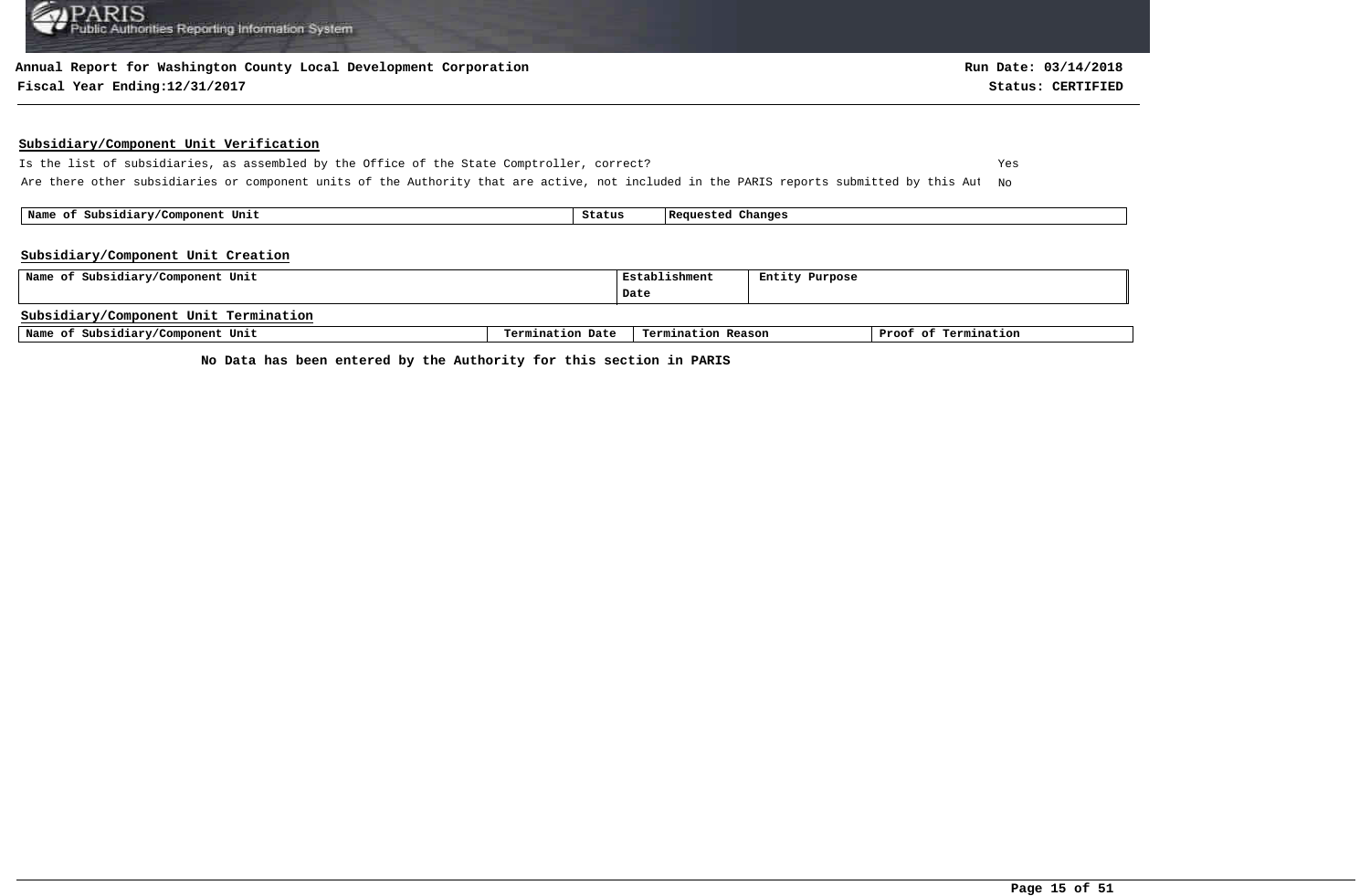#### **Annual Report for Washington County Local Development Corporation**

#### **Fiscal Year Ending:12/31/2017 Status: CERTIFIED**

#### **Subsidiary/Component Unit Verification**

Is the list of subsidiaries, as assembled by the Office of the State Comptroller, correct? Yes Are there other subsidiaries or component units of the Authority that are active, not included in the PARIS reports submitted by this Aut No

 **Name of Subsidiary/Component Unit Status Requested Changes** 

#### **Subsidiary/Component Unit Creation**

| Name of Subsidiary/Component Unit     | Establishment    | Entity Purpose     |  |                      |
|---------------------------------------|------------------|--------------------|--|----------------------|
|                                       |                  | Date               |  |                      |
| Subsidiary/Component Unit Termination |                  |                    |  |                      |
| Name of Subsidiary/Component Unit     | Termination Date | Termination Reason |  | Proof of Termination |

**No Data has been entered by the Authority for this section in PARIS**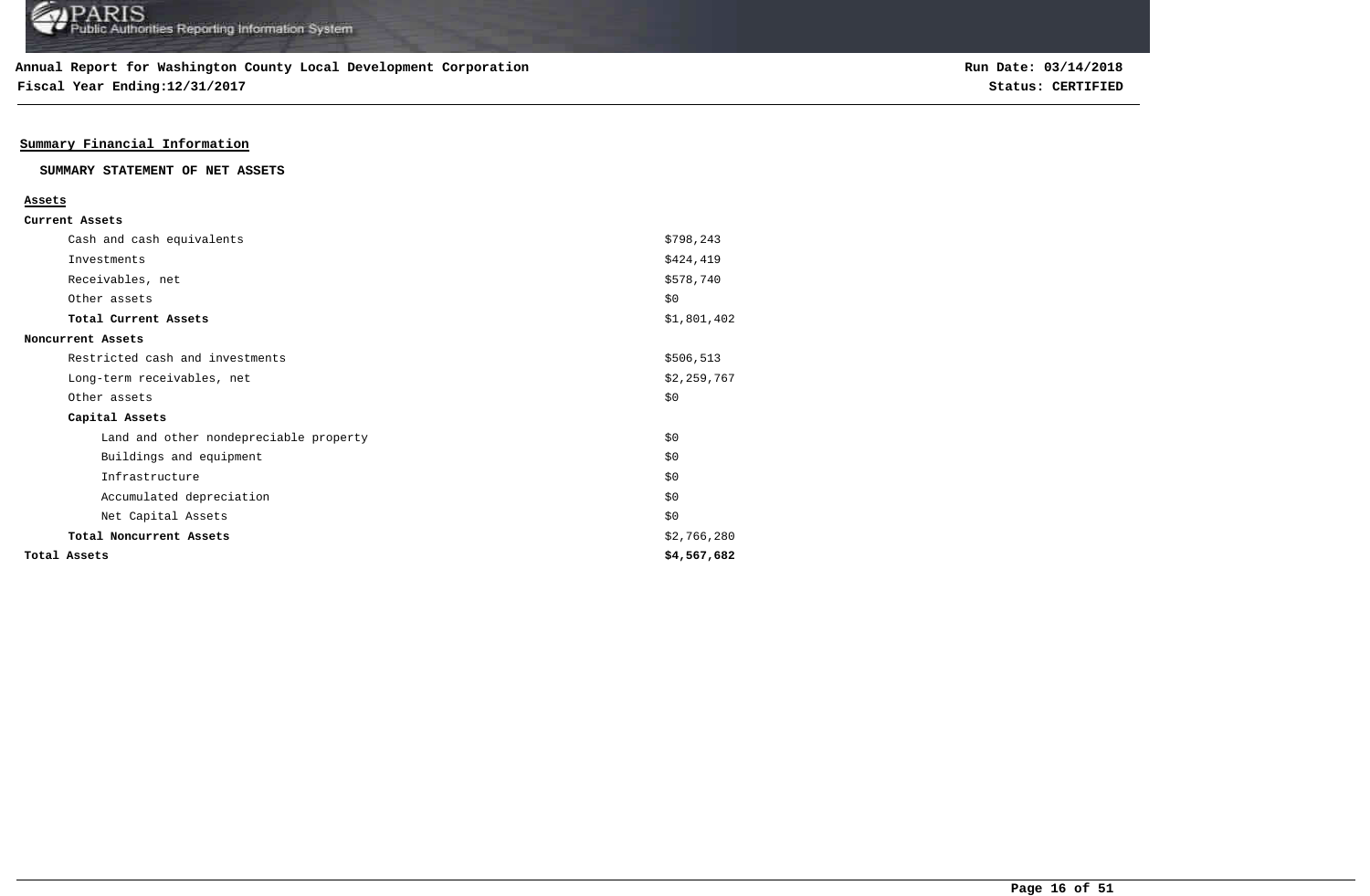**Fiscal Year Ending:12/31/2017 Status: CERTIFIED**

## **Summary Financial Information**

#### **SUMMARY STATEMENT OF NET ASSETS**

| Assets       |                                        |             |
|--------------|----------------------------------------|-------------|
|              | Current Assets                         |             |
|              | Cash and cash equivalents              | \$798,243   |
|              | Investments                            | \$424,419   |
|              | Receivables, net                       | \$578,740   |
|              | Other assets                           | \$0         |
|              | Total Current Assets                   | \$1,801,402 |
|              | Noncurrent Assets                      |             |
|              | Restricted cash and investments        | \$506,513   |
|              | Long-term receivables, net             | \$2,259,767 |
|              | Other assets                           | \$0         |
|              | Capital Assets                         |             |
|              | Land and other nondepreciable property | \$0         |
|              | Buildings and equipment                | \$0         |
|              | Infrastructure                         | \$0         |
|              | Accumulated depreciation               | \$0         |
|              | Net Capital Assets                     | \$0         |
|              | Total Noncurrent Assets                | \$2,766,280 |
| Total Assets |                                        | \$4,567,682 |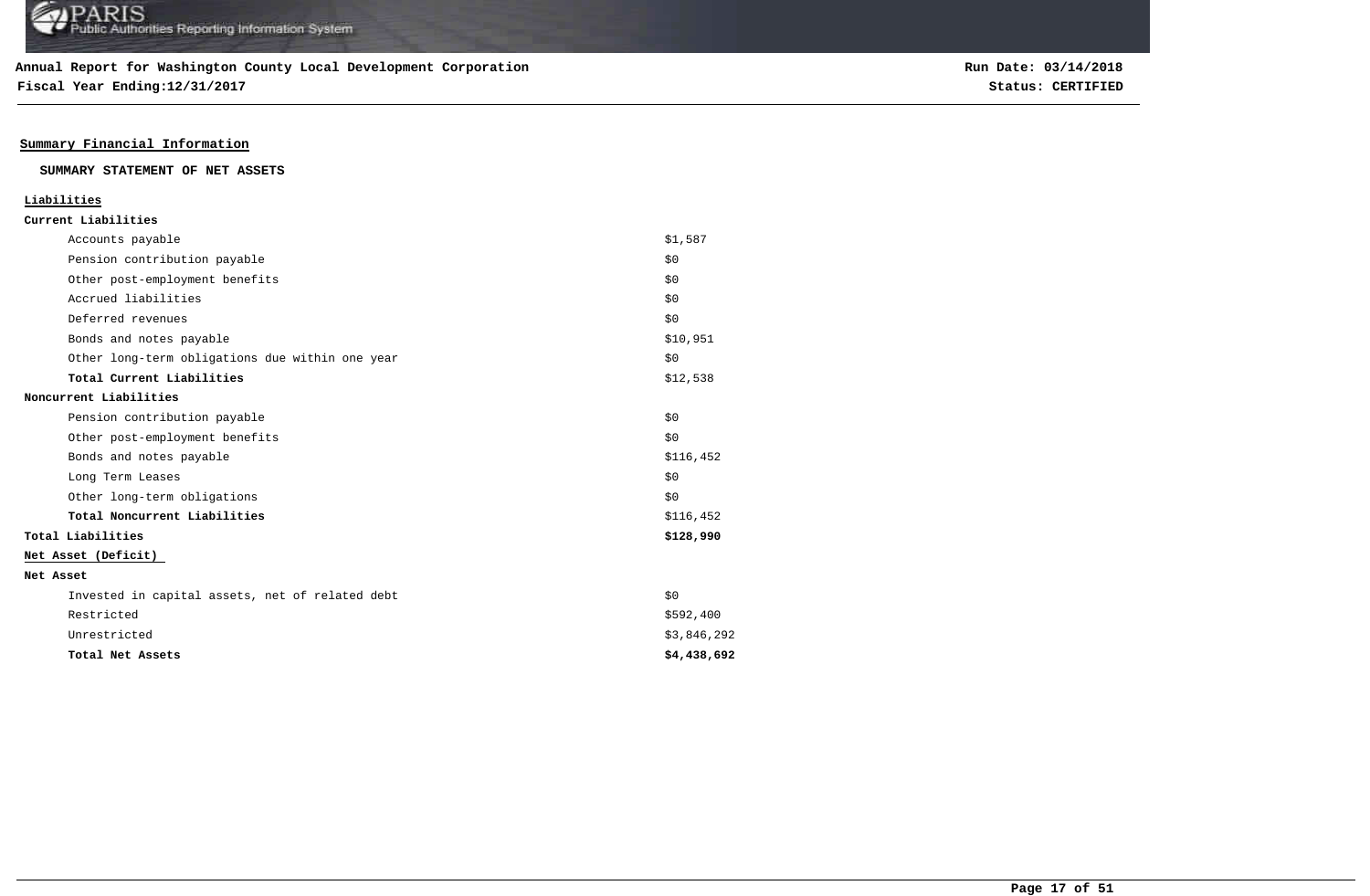**Fiscal Year Ending:12/31/2017 Status: CERTIFIED**

## **Summary Financial Information**

**SUMMARY STATEMENT OF NET ASSETS**

| Liabilities                                     |             |
|-------------------------------------------------|-------------|
| Current Liabilities                             |             |
| Accounts payable                                | \$1,587     |
| Pension contribution payable                    | \$0         |
| Other post-employment benefits                  | \$0         |
| Accrued liabilities                             | \$0         |
| Deferred revenues                               | \$0         |
| Bonds and notes payable                         | \$10,951    |
| Other long-term obligations due within one year | \$0         |
| Total Current Liabilities                       | \$12,538    |
| Noncurrent Liabilities                          |             |
| Pension contribution payable                    | \$0         |
| Other post-employment benefits                  | \$0         |
| Bonds and notes payable                         | \$116,452   |
| Long Term Leases                                | \$0         |
| Other long-term obligations                     | \$0         |
| Total Noncurrent Liabilities                    | \$116,452   |
| Total Liabilities                               | \$128,990   |
| Net Asset (Deficit)                             |             |
| Net Asset                                       |             |
| Invested in capital assets, net of related debt | \$0         |
| Restricted                                      | \$592,400   |
| Unrestricted                                    | \$3,846,292 |
| Total Net Assets                                | \$4,438,692 |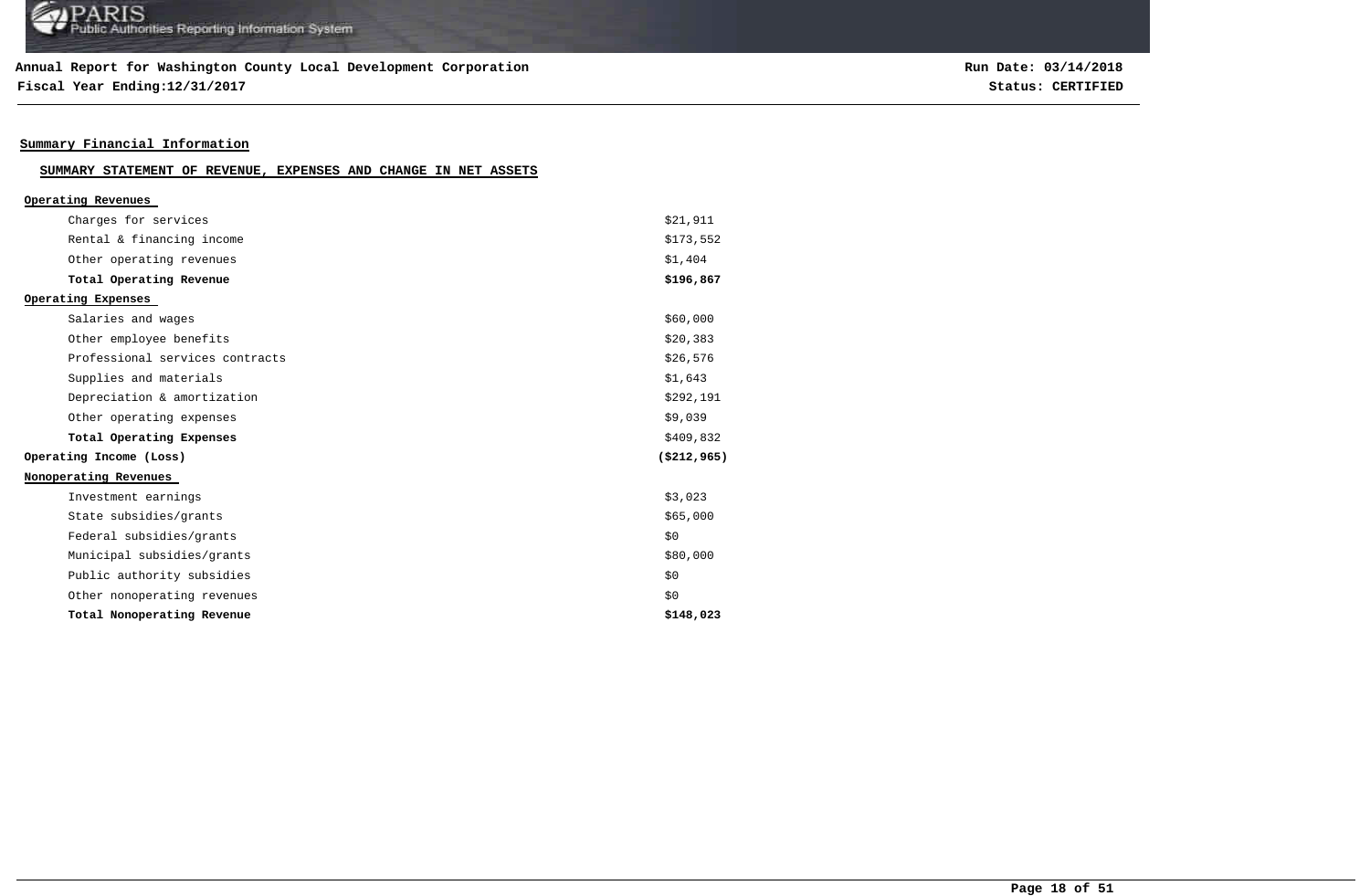## **Annual Report for Washington County Local Development Corporation**

**Fiscal Year Ending:12/31/2017 Status: CERTIFIED**

**Run Date: 03/14/2018**

## **Summary Financial Information**

| SUMMARY STATEMENT OF REVENUE, EXPENSES AND CHANGE IN NET ASSETS |  |  |  |  |  |  |  |  |
|-----------------------------------------------------------------|--|--|--|--|--|--|--|--|
|-----------------------------------------------------------------|--|--|--|--|--|--|--|--|

| Operating Revenues              |               |
|---------------------------------|---------------|
| Charges for services            | \$21,911      |
| Rental & financing income       | \$173,552     |
| Other operating revenues        | \$1,404       |
| Total Operating Revenue         | \$196,867     |
| Operating Expenses              |               |
| Salaries and wages              | \$60,000      |
| Other employee benefits         | \$20,383      |
| Professional services contracts | \$26,576      |
| Supplies and materials          | \$1,643       |
| Depreciation & amortization     | \$292,191     |
| Other operating expenses        | \$9,039       |
| Total Operating Expenses        | \$409,832     |
| Operating Income (Loss)         | ( \$212, 965) |
| Nonoperating Revenues           |               |
| Investment earnings             | \$3,023       |
| State subsidies/grants          | \$65,000      |
| Federal subsidies/grants        | \$0           |
| Municipal subsidies/grants      | \$80,000      |
| Public authority subsidies      | \$0           |
| Other nonoperating revenues     | \$0           |
| Total Nonoperating Revenue      | \$148,023     |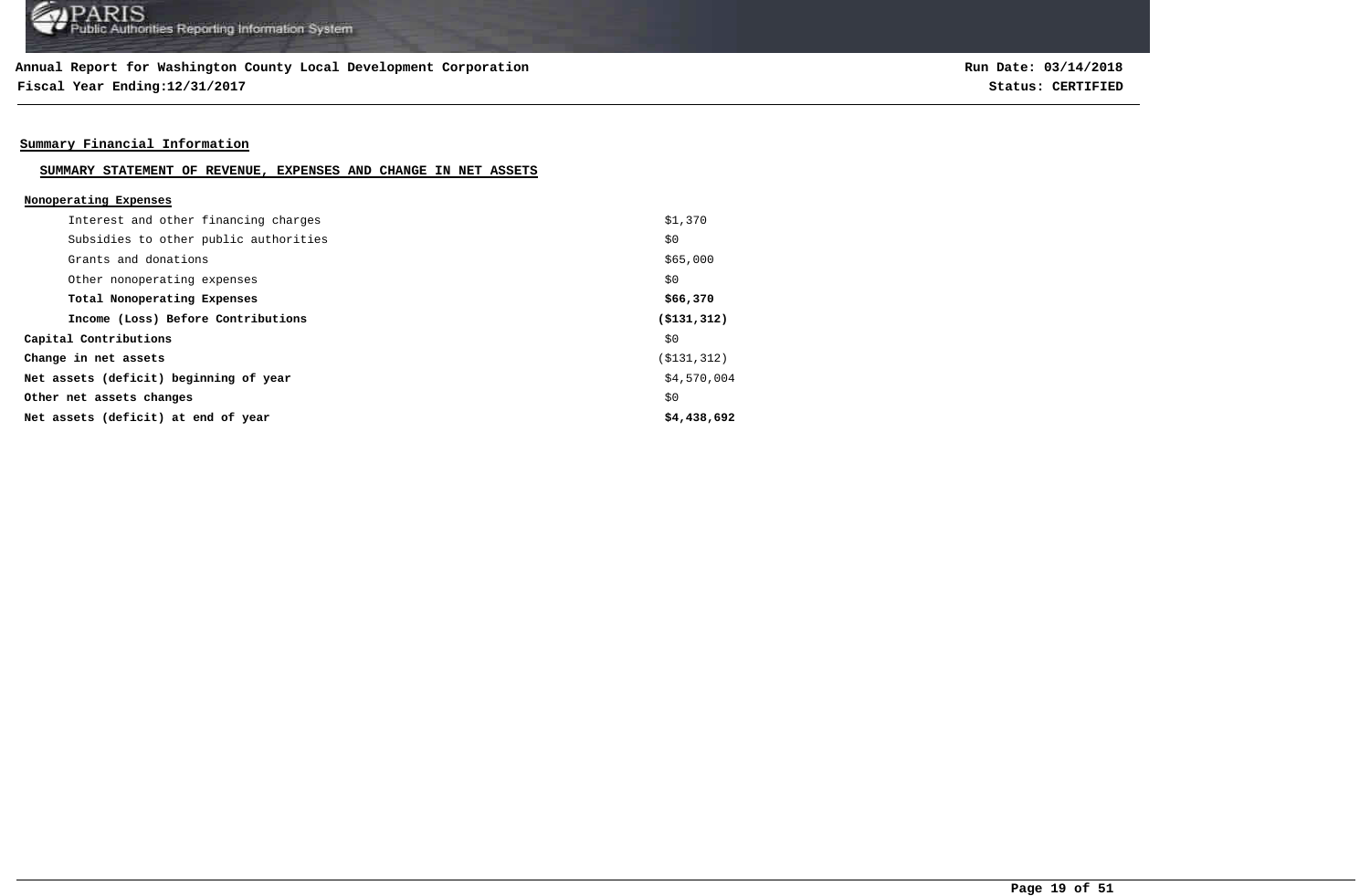**Fiscal Year Ending:12/31/2017 Status: CERTIFIED**

## **Summary Financial Information**

## **SUMMARY STATEMENT OF REVENUE, EXPENSES AND CHANGE IN NET ASSETS**

| Nonoperating Expenses                  |               |
|----------------------------------------|---------------|
| Interest and other financing charges   | \$1,370       |
| Subsidies to other public authorities  | \$0           |
| Grants and donations                   | \$65,000      |
| Other nonoperating expenses            | \$0           |
| Total Nonoperating Expenses            | \$66,370      |
| Income (Loss) Before Contributions     | ( \$131, 312) |
| Capital Contributions                  | \$0           |
| Change in net assets                   | ( \$131, 312) |
| Net assets (deficit) beginning of year | \$4,570,004   |
| Other net assets changes               | \$0           |
| Net assets (deficit) at end of year    | \$4,438,692   |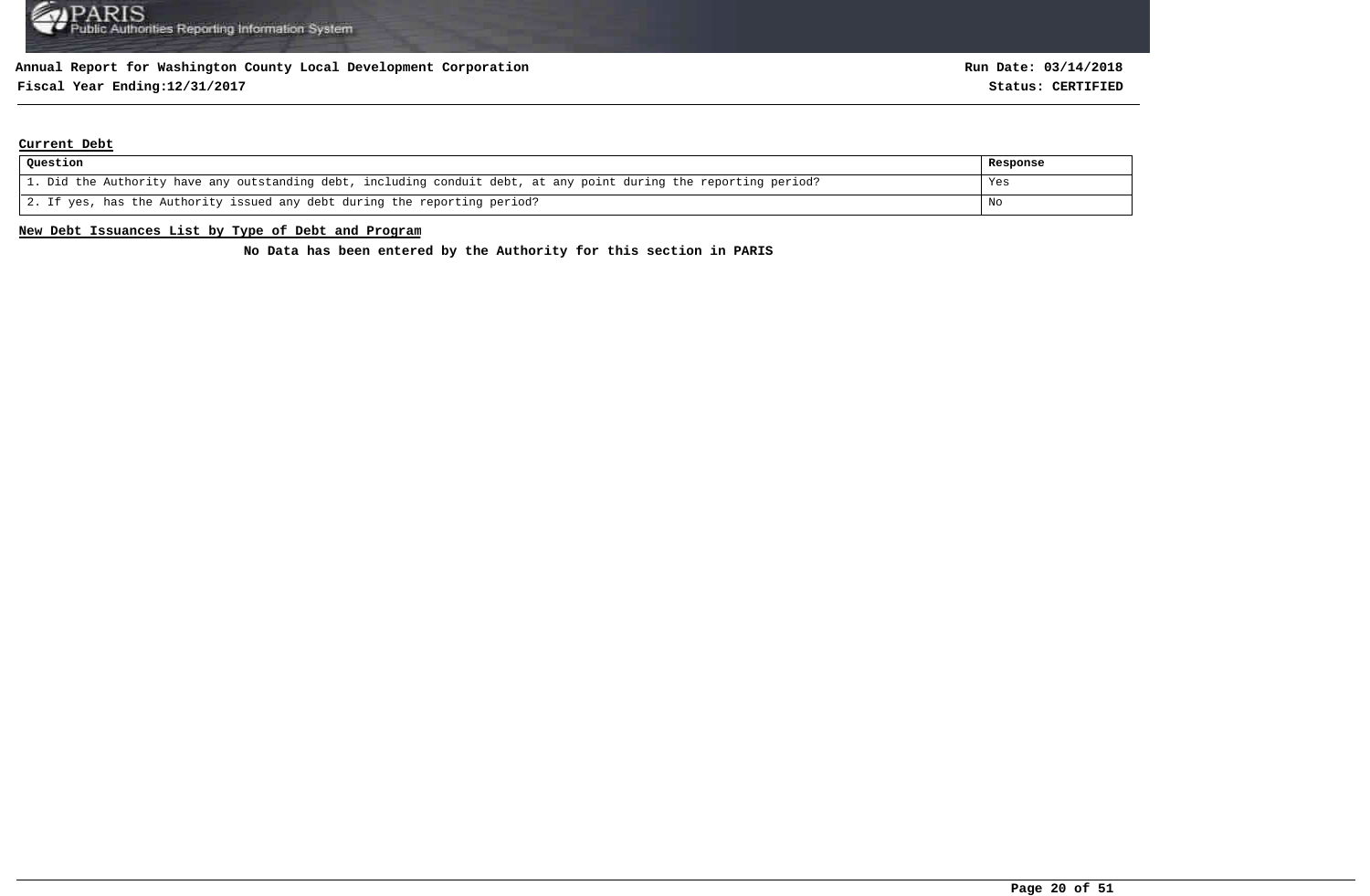## **Fiscal Year Ending:12/31/2017 Status: CERTIFIED**

#### **Current Debt**

| Question                                                                                                          | Response |
|-------------------------------------------------------------------------------------------------------------------|----------|
| 1. Did the Authority have any outstanding debt, including conduit debt, at any point during the reporting period? | Yes      |
| 2. If yes, has the Authority issued any debt during the reporting period?                                         | No       |

#### **New Debt Issuances List by Type of Debt and Program**

**No Data has been entered by the Authority for this section in PARIS**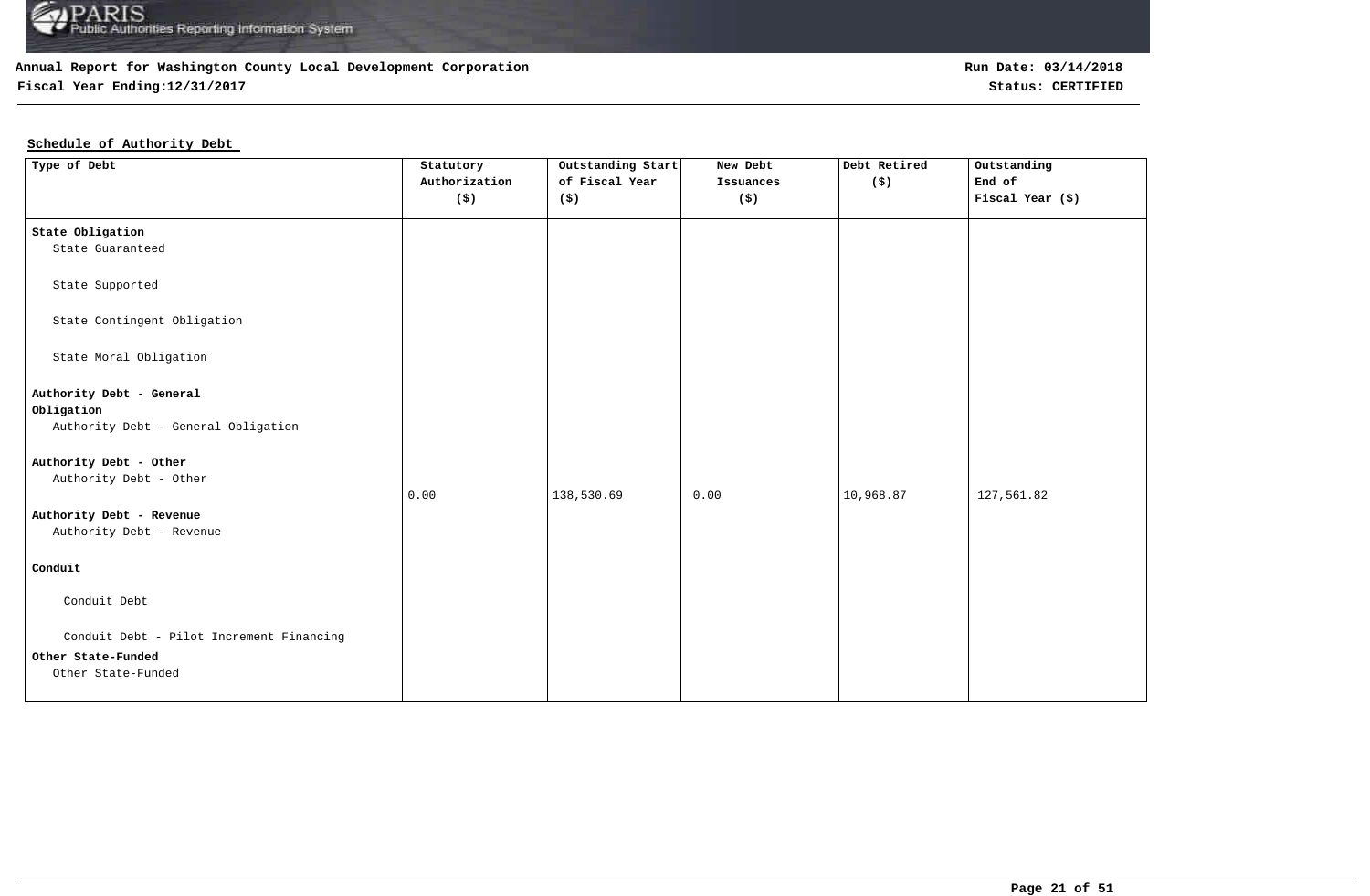

**Fiscal Year Ending:12/31/2017 Status: CERTIFIED**

## **Schedule of Authority Debt**

| Type of Debt                                         | Statutory<br>Authorization<br>$(\boldsymbol{\mathsf{S}})$ | Outstanding Start<br>of Fiscal Year<br>(S) | New Debt<br>Issuances<br>(\$) | Debt Retired<br>$($ \$) | Outstanding<br>End of<br>Fiscal Year (\$) |
|------------------------------------------------------|-----------------------------------------------------------|--------------------------------------------|-------------------------------|-------------------------|-------------------------------------------|
| State Obligation                                     |                                                           |                                            |                               |                         |                                           |
| State Guaranteed                                     |                                                           |                                            |                               |                         |                                           |
| State Supported                                      |                                                           |                                            |                               |                         |                                           |
| State Contingent Obligation                          |                                                           |                                            |                               |                         |                                           |
| State Moral Obligation                               |                                                           |                                            |                               |                         |                                           |
| Authority Debt - General<br>Obligation               |                                                           |                                            |                               |                         |                                           |
| Authority Debt - General Obligation                  |                                                           |                                            |                               |                         |                                           |
| Authority Debt - Other                               |                                                           |                                            |                               |                         |                                           |
| Authority Debt - Other                               | 0.00                                                      | 138,530.69                                 | 0.00                          | 10,968.87               | 127,561.82                                |
| Authority Debt - Revenue<br>Authority Debt - Revenue |                                                           |                                            |                               |                         |                                           |
|                                                      |                                                           |                                            |                               |                         |                                           |
| Conduit                                              |                                                           |                                            |                               |                         |                                           |
| Conduit Debt                                         |                                                           |                                            |                               |                         |                                           |
| Conduit Debt - Pilot Increment Financing             |                                                           |                                            |                               |                         |                                           |
| Other State-Funded                                   |                                                           |                                            |                               |                         |                                           |
| Other State-Funded                                   |                                                           |                                            |                               |                         |                                           |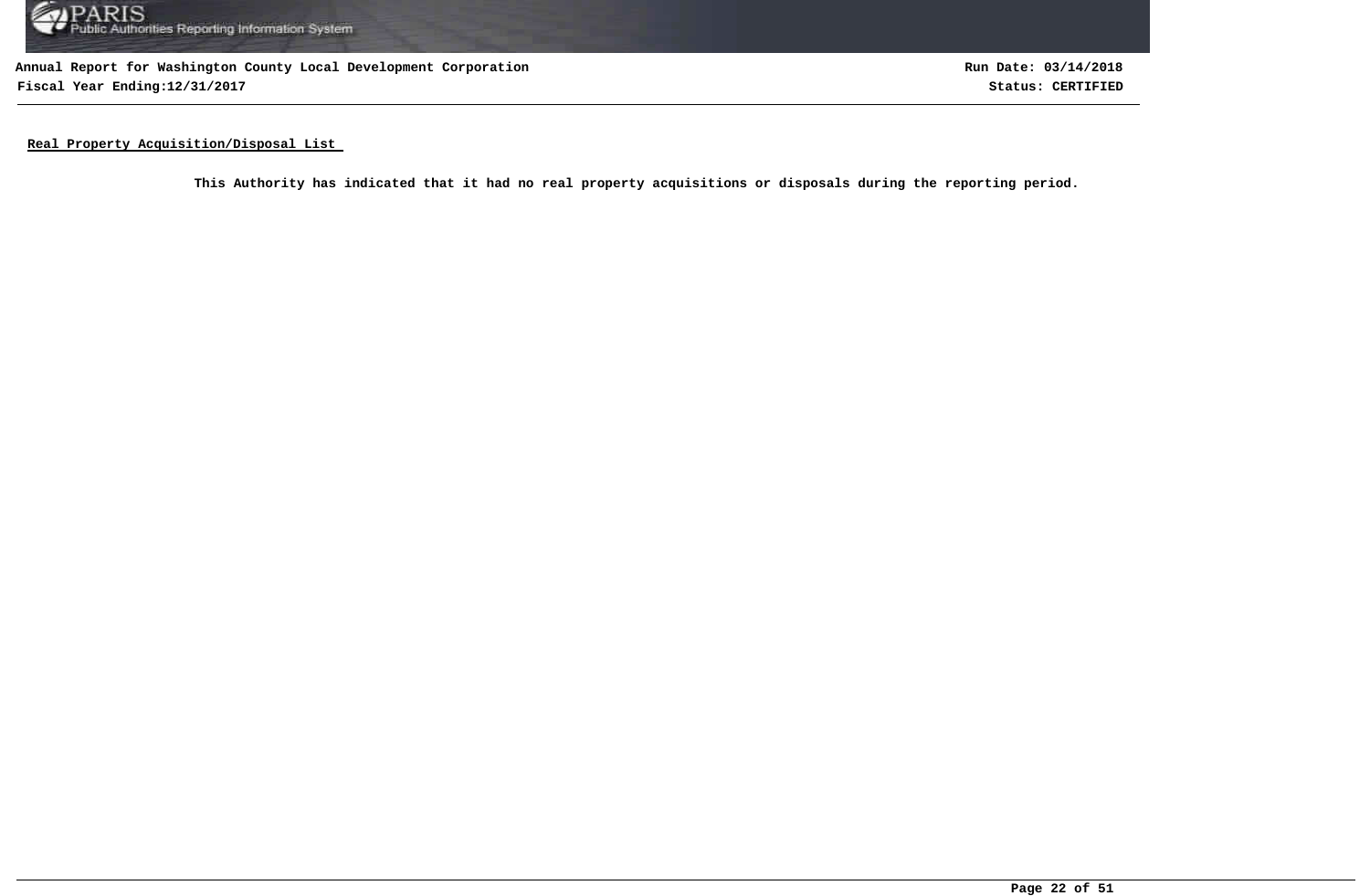

**Annual Report for Washington County Local Development Corporation Fiscal Year Ending:12/31/2017 Status: CERTIFIED**

**Run Date: 03/14/2018**

**Real Property Acquisition/Disposal List** 

**This Authority has indicated that it had no real property acquisitions or disposals during the reporting period.**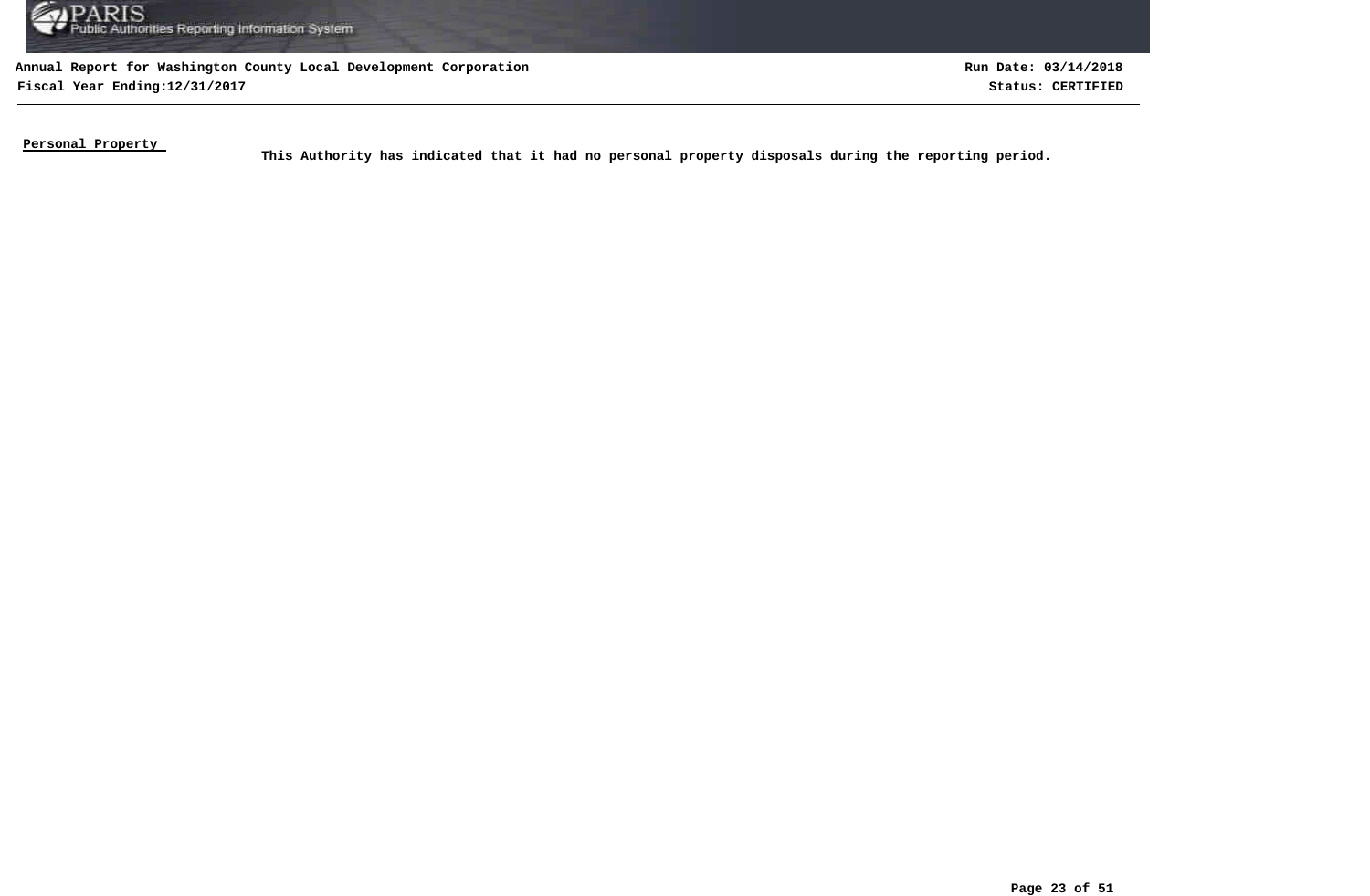

**Fiscal Year Ending:12/31/2017 Status: CERTIFIED**

**Run Date: 03/14/2018**

**Personal Property** 

This Authority has indicated that it had no personal property disposals during the reporting period.<br>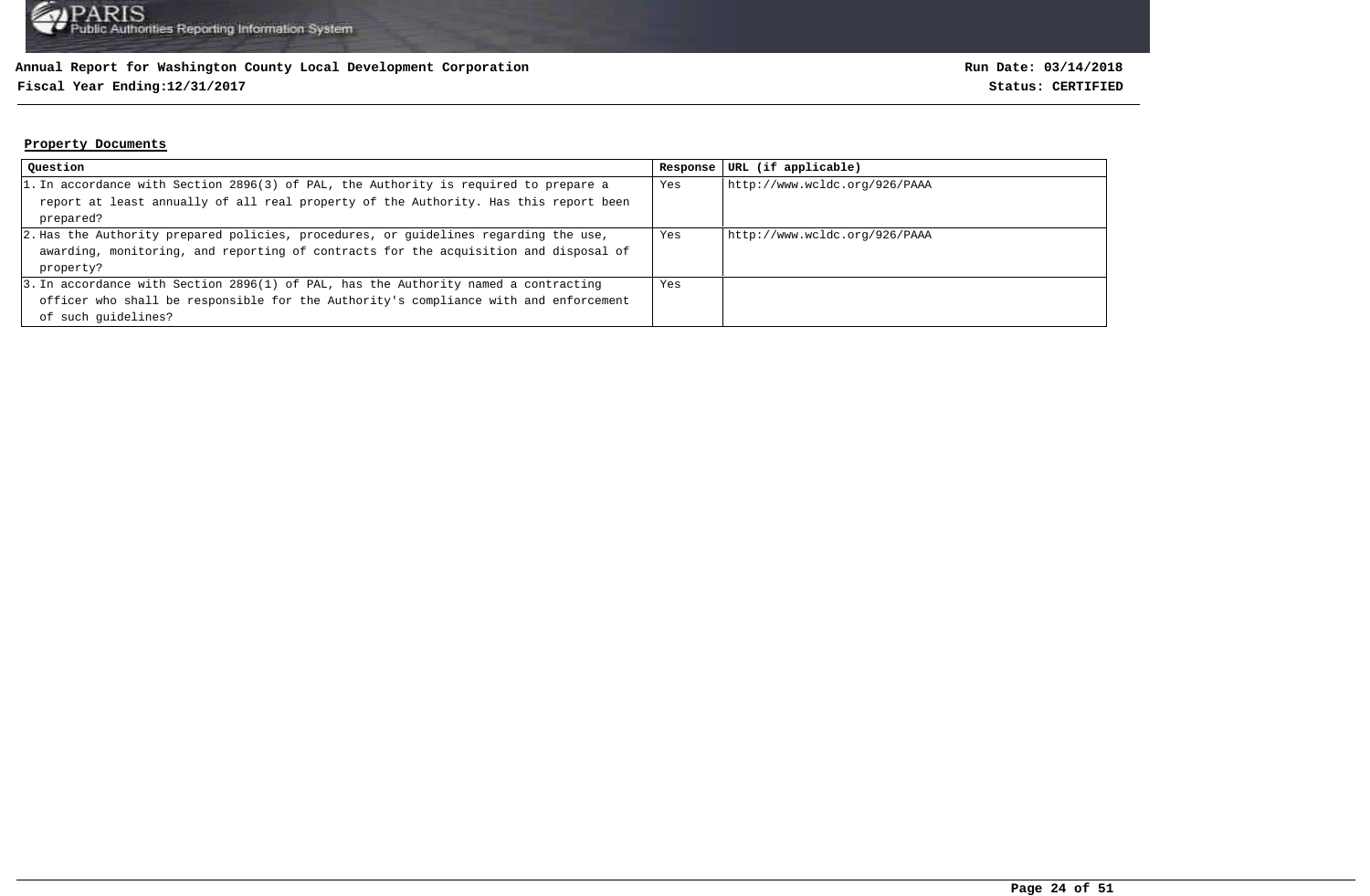## **Fiscal Year Ending:12/31/2017 Status: CERTIFIED**

#### **Property Documents**

| Question                                                                                | Response | URL (if applicable)           |
|-----------------------------------------------------------------------------------------|----------|-------------------------------|
| $ 1.$ In accordance with Section 2896(3) of PAL, the Authority is required to prepare a | Yes      | http://www.wcldc.org/926/PAAA |
| report at least annually of all real property of the Authority. Has this report been    |          |                               |
| prepared?                                                                               |          |                               |
| 2. Has the Authority prepared policies, procedures, or quidelines regarding the use,    | Yes      | http://www.wcldc.org/926/PAAA |
| awarding, monitoring, and reporting of contracts for the acquisition and disposal of    |          |                               |
| property?                                                                               |          |                               |
| 3. In accordance with Section 2896(1) of PAL, has the Authority named a contracting     | Yes      |                               |
| officer who shall be responsible for the Authority's compliance with and enforcement    |          |                               |
| of such quidelines?                                                                     |          |                               |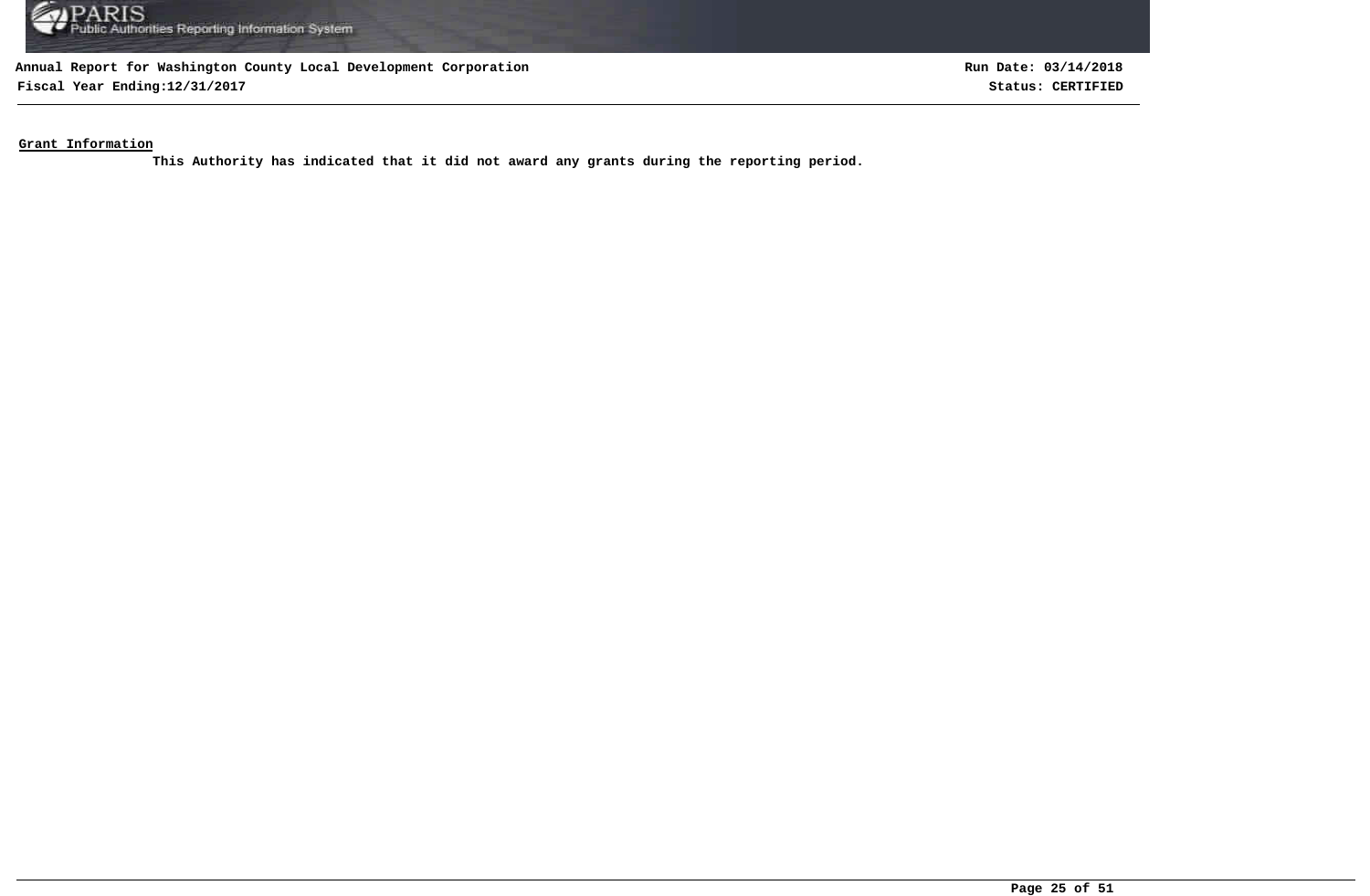

**Fiscal Year Ending:12/31/2017 Status: CERTIFIED**

**Run Date: 03/14/2018**

**Grant Information**

**This Authority has indicated that it did not award any grants during the reporting period.**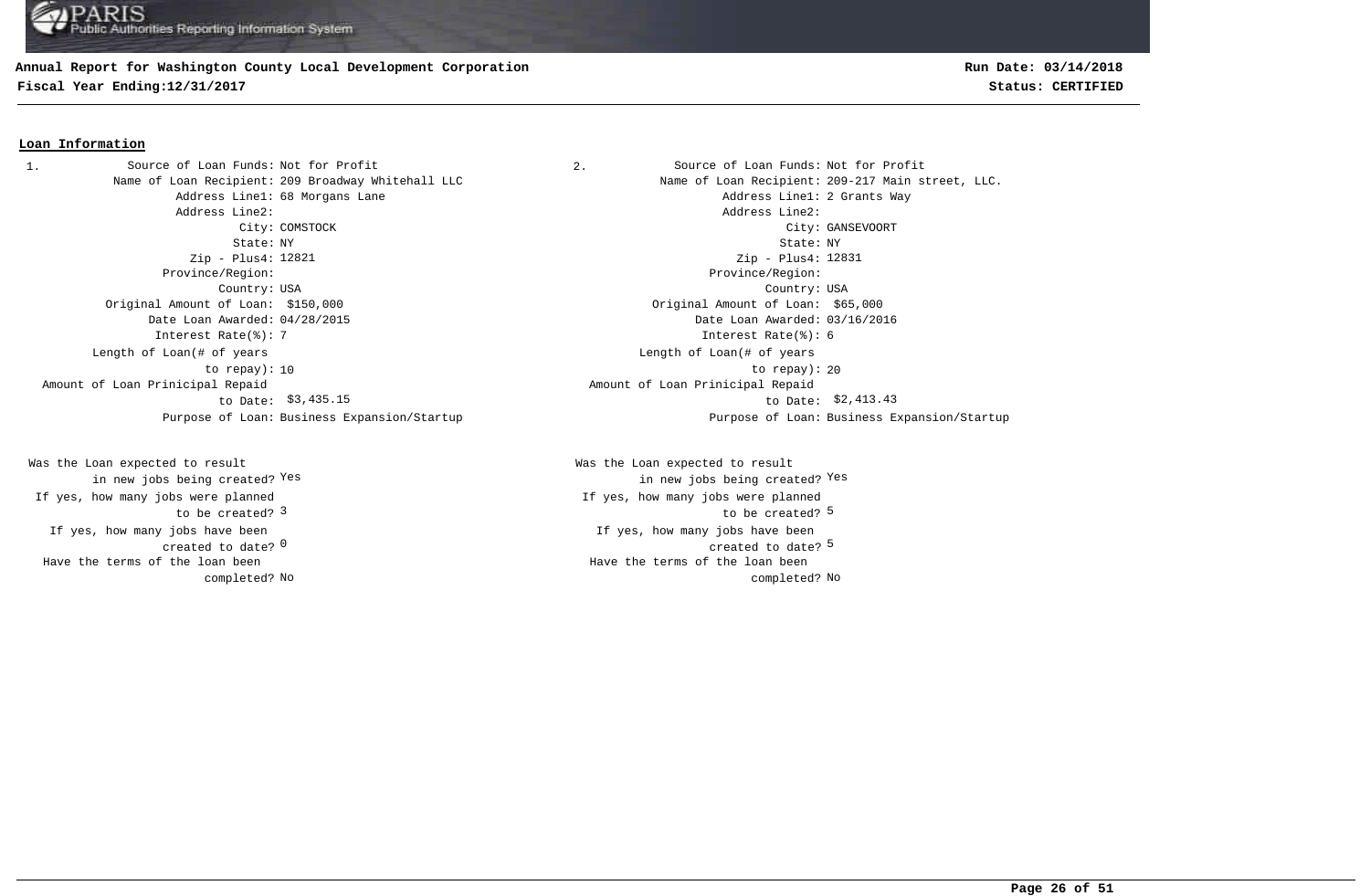#### **Annual Report for Washington County Local Development Corporation**

**Fiscal Year Ending:12/31/2017 Status: CERTIFIED**

#### **Loan Information**

1. Source of Loan Funds: Not for Profit  $\qquad \qquad$  2. Source of Loan Funds: Not for Profit Address Line1: 68 Morgans Lane Address Line1: 2 Grants Way Address Line2: Address Line2: State: NY State: NY Zip - Plus4: 12821 Province/Region: Province/Region: Country: USA Country: USA Original Amount of Loan: \$150,000 Original Amount of Loan: \$65,000 Date Loan Awarded: 04/28/2015 Date Loan Awarded: 03/16/2016 Interest Rate(%): 7 Interest Rate(%): 6 Length of Loan(# of years to repay): Amount of Loan Prinicipal Repaid to Date: \$3,435.15

If yes, how many jobs have been created to date? 0 Was the Loan expected to result in new jobs being created? Yes If yes, how many jobs were planned to be created? 3 Have the terms of the loan been completed?

Name of Loan Recipient: 209 Broadway Whitehall LLC Name of Loan Recipient: 209-217 Main street, LLC. City: COMSTOCK City: GANSEVOORT Zip - Plus4: 12831 10 between the contraction of the contraction of the contraction of the contraction of the contraction of the contraction of the contraction of the contraction of the contraction of the contraction of the contraction of th Length of Loan(# of years \$3,435.15 to Date: \$2,413.43 Amount of Loan Prinicipal Repaid Purpose of Loan: Business Expansion/Startup Purpose of Loan: Business Expansion/Startup

> $\sim$  0  $\sim$  5  $\sim$  5  $\sim$  5  $\sim$  5  $\sim$  5  $\sim$  5  $\sim$  5  $\sim$  5  $\sim$  5  $\sim$  5  $\sim$  5  $\sim$  5  $\sim$  5  $\sim$  5  $\sim$  5  $\sim$  5  $\sim$  5  $\sim$  5  $\sim$  5  $\sim$  5  $\sim$  5  $\sim$  5  $\sim$  5  $\sim$  5  $\sim$  5  $\sim$  5  $\sim$  5  $\sim$  5  $\sim$  5  $\sim$  5  $\sim$ If yes, how many jobs have been 3 and the contract of the contract of the contract of the contract of the contract of the contract of the contract of the contract of the contract of the contract of the contract of the contract of the contract of the cont Was the Loan expected to result in new jobs being created? Yes Yes If yes, how many jobs were planned No No completed? Have the terms of the loan been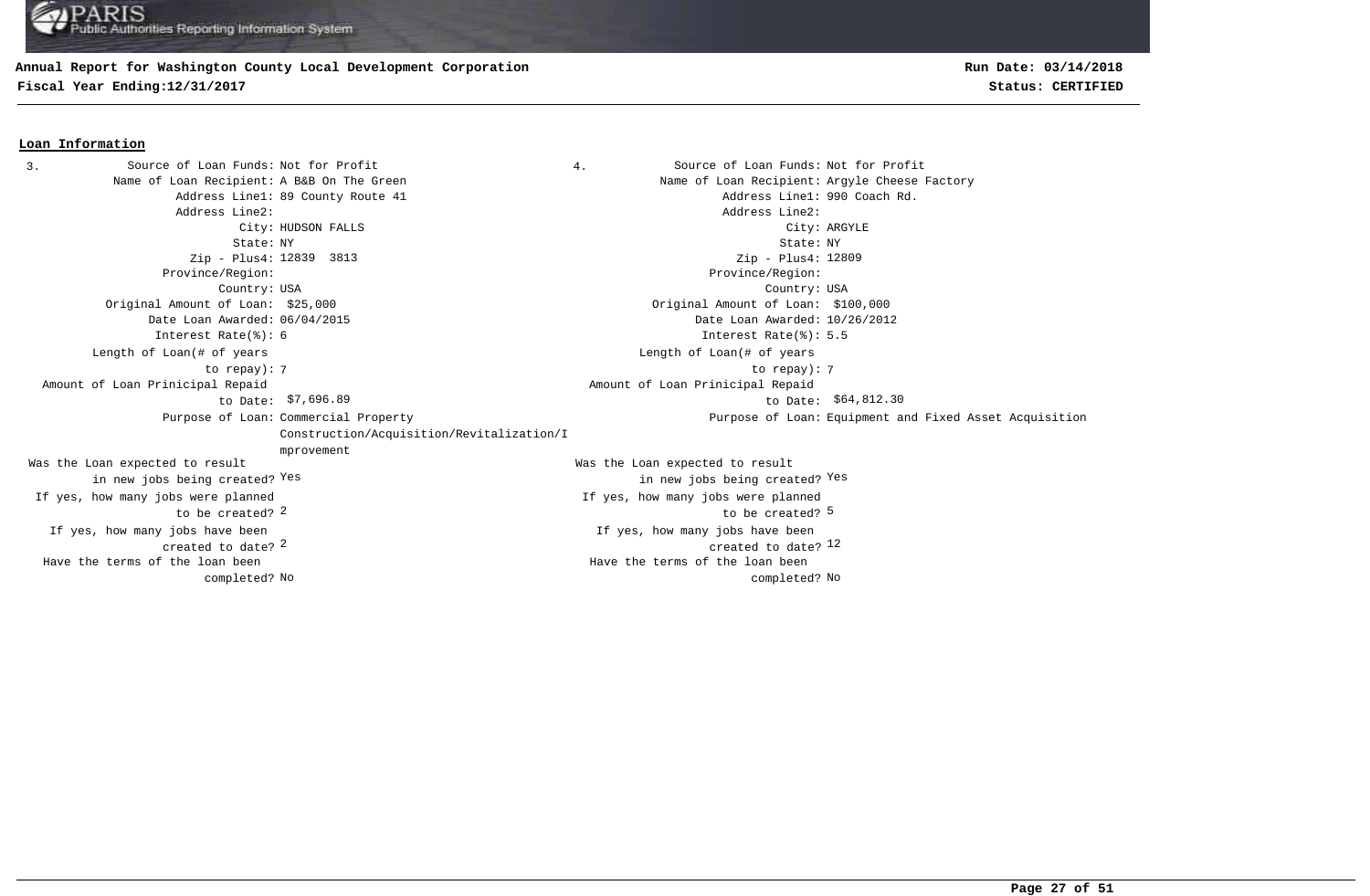#### **Annual Report for Washington County Local Development Corporation**

**Fiscal Year Ending:12/31/2017 Status: CERTIFIED**

#### **Loan Information**

3. Source of Loan Funds: Not for Profit  $\begin{array}{ccc} 3. & 4. &$  Source of Loan Funds: Not for Profit Name of Loan Recipient: A B&B On The Green Name States and Name of Loan Recipient: Argyle Cheese Factory Address Line1: 89 County Route 41 Address Line1: 990 Coach Rd. Address Line2: Address Line2: City: HUDSON FALLS City: ARGYLE State: NY State: NY Zip - Plus4: 12839 3813 Province/Region: Province/Region: Country: USA Country: USA  $\frac{2}{2}$  created to date?  $\frac{12}{2}$ If yes, how many jobs have been created to date? If yes, how many jobs have been Original Amount of Loan: \$25,000 Original Amount of Loan: \$100,000 Date Loan Awarded: 06/04/2015 Date Loan Awarded: 10/26/2012 2 5 to be created? Was the Loan expected to result in new jobs being created? Yes Was the Loan expected to result in new jobs being created? Yes Yes Zip - Plus4: 12809 Interest Rate(%): 6 Interest Rate(%): 5.5 If yes, how many jobs were planned to be created? If yes, how many jobs were planned 7 7 to repay): Length of Loan(# of years to repay): Length of Loan(# of years \$7,696.89 \$64,812.30 to Date: Amount of Loan Prinicipal Repaid to Date: \$7,696.89 Amount of Loan Prinicipal Repaid Purpose of Loan: Commercial Property Construction/Acquisition/Revitalization/I mprovement Purpose of Loan: Equipment and Fixed Asset Acquisition No No completed? Have the terms of the loan been completed? Have the terms of the loan been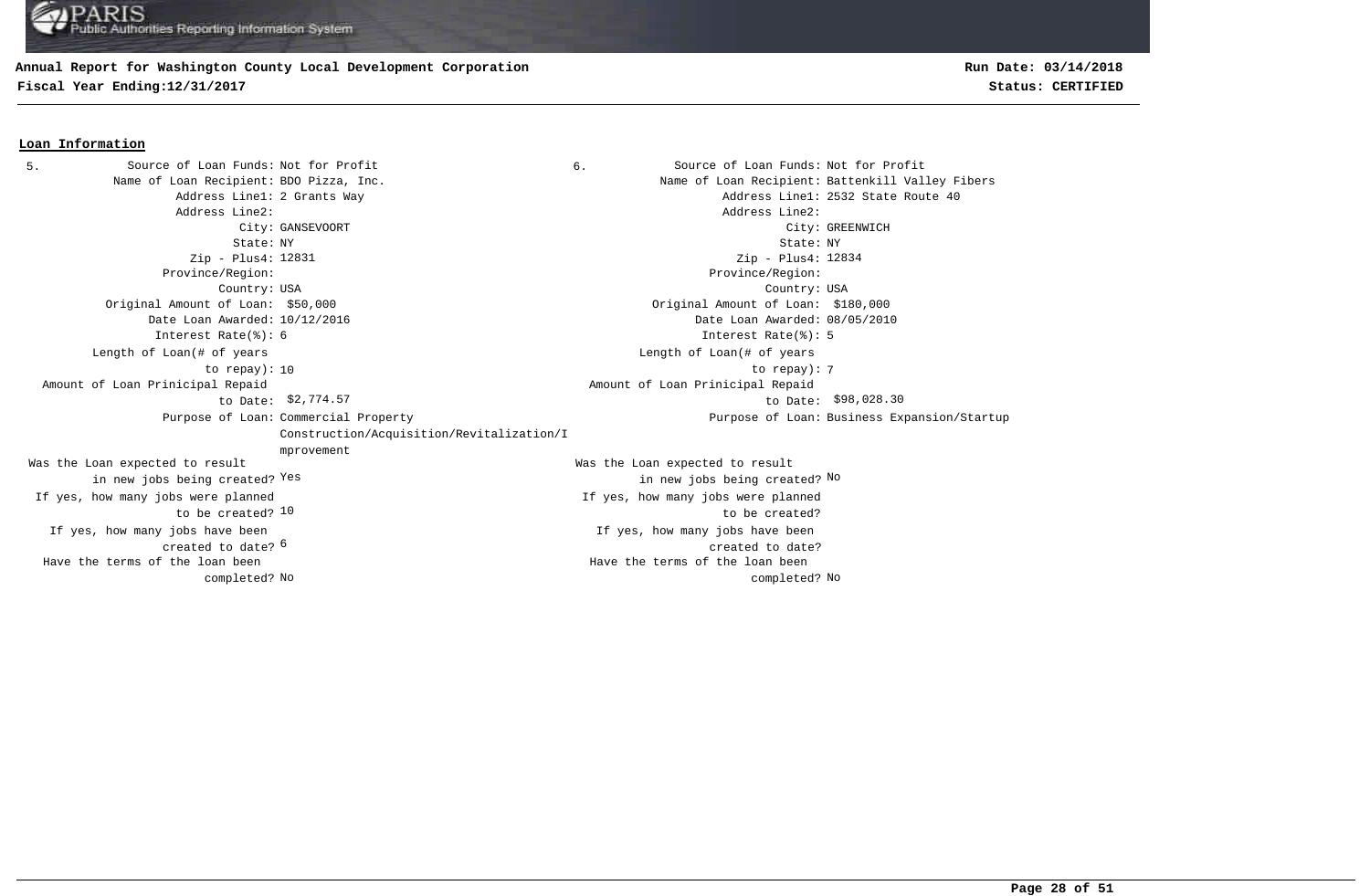## **Annual Report for Washington County Local Development Corporation**

**Fiscal Year Ending:12/31/2017 Status: CERTIFIED**

#### **Loan Information**

Source of Loan Funds: Not for Profit Source of Loan Funds: Not for Profit Name of Loan Recipient: BDO Pizza, Inc. Name of Loan Recipient: Battenkill Valley Fibers Address Line1: 2 Grants Way  $\overline{40}$ Address Line2: Address Line2: City: GANSEVOORT City: GREENWICH State: NY State: NY Zip - Plus4: 12831 Province/Region: Province/Region: Country: USA Country: USA 6 created to date? If yes, how many jobs have been If yes, how many jobs have been created to date? Original Amount of Loan: \$50,000 Original Amount of Loan: \$180,000 Date Loan Awarded: 10/12/2016 Date Loan Awarded: 08/05/2010 to be created? 10 Was the Loan expected to result in new jobs being created? Yes Was the Loan expected to result Yes the contract of the contract of the contract of the contract of the contract of  $\mathbb{N}^{\mathsf{O}}$ Zip - Plus4: 12834 Interest Rate(%): 6 Interest Rate(%): 5 If yes, how many jobs were planned If yes, how many jobs were planned to be created? 10 to repay): 7 Length of Loan(# of years to repay): Length of Loan(# of years \$2,774.57 \$98,028.30 to Date: Amount of Loan Prinicipal Repaid to Date: \$2,774.57 Amount of Loan Prinicipal Repaid Purpose of Loan: Commercial Property Construction/Acquisition/Revitalization/I mprovement Purpose of Loan: Business Expansion/Startup No No completed? Have the terms of the loan been completed? Have the terms of the loan been 5. Source of Loan Funds: Not for Profit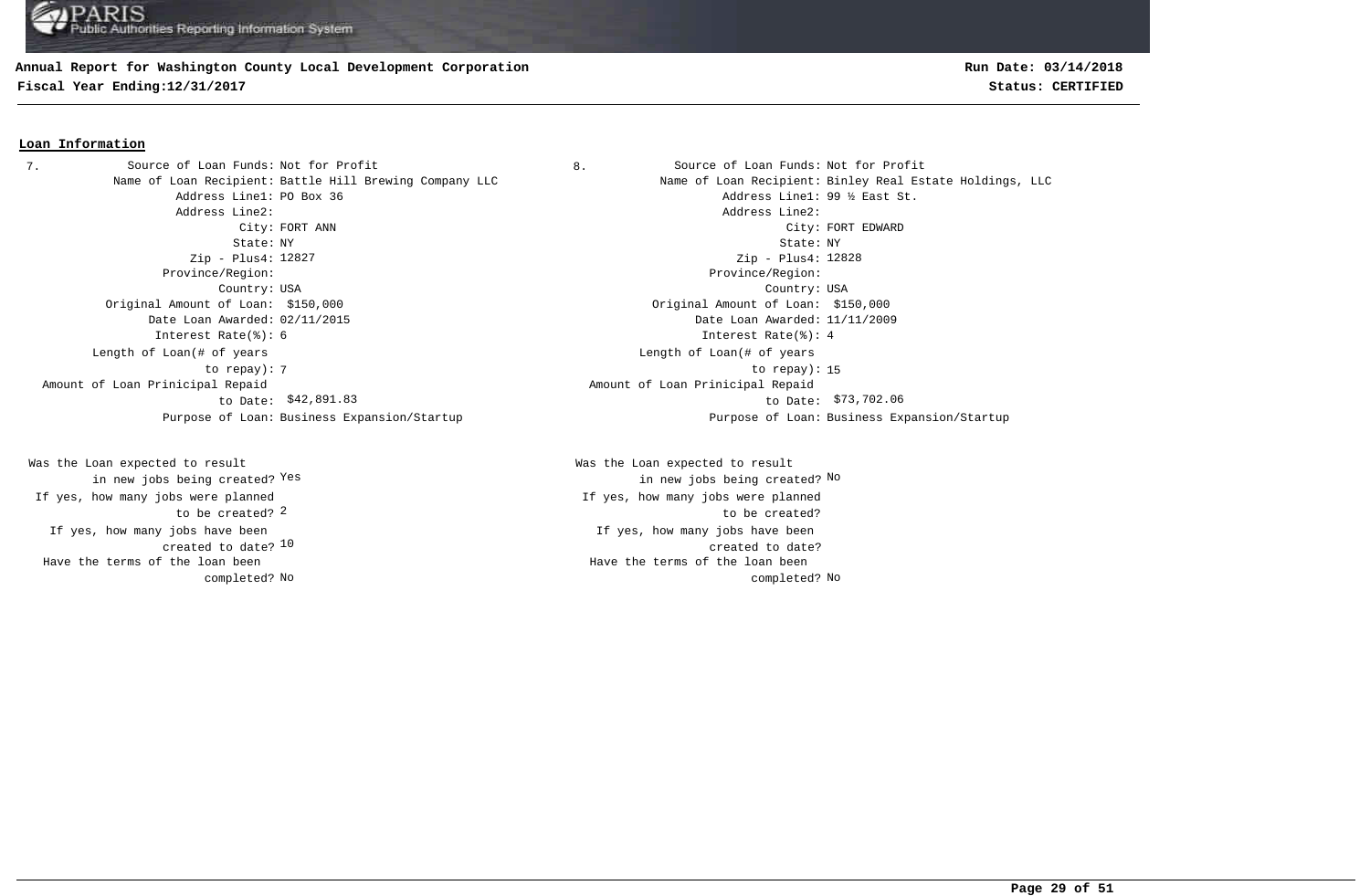#### **Annual Report for Washington County Local Development Corporation**

**Fiscal Year Ending:12/31/2017 Status: CERTIFIED**

#### **Loan Information**

7. Source of Loan Funds: Not for Profit  $\begin{array}{ccc} 8. & \hspace{1.5cm} & \hspace{1.5cm} & \hspace{1.5cm} & \hspace{1.5cm} & \hspace{1.5cm} & \hspace{1.5cm} & \hspace{1.5cm} & \hspace{1.5cm} & \hspace{1.5cm} & \hspace{1.5cm} & \hspace{1.5cm} & \hspace{1.5cm} & \hspace{1.5cm} & \hspace{1.5cm} & \hspace{1.5cm} & \hspace{1.5cm} & \hspace{1.5cm} &$ Address Line1: PO Box 36 Address Line1: 99 % East St. Address Line2: Address Line2: State: NY State: NY Zip - Plus4: 12827 Province/Region: Province/Region: Country: USA Country: USA Original Amount of Loan: \$150,000 Original Amount of Loan: \$150,000 Date Loan Awarded: 02/11/2015 Date Loan Awarded: 11/11/2009 Interest Rate(%): 6 Interest Rate(%): 4 Length of Loan(# of years to repay): Amount of Loan Prinicipal Repaid to Date: \$42,891.83 Purpose of Loan: Business Expansion/Startup Purpose of Loan: Business Expansion/Startup

created to date? <sup>10</sup> If yes, how many jobs have been to be created? 2 Was the Loan expected to result in new jobs being created? Yes If yes, how many jobs were planned Have the terms of the loan been completed?

Name of Loan Recipient: Battle Hill Brewing Company LLC Name of Loan Recipient: Binley Real Estate Holdings, LLC City: FORT ANN City: FORT EDWARD Zip - Plus4: 12828 The contract of the contract of the contract of the contract of the contract of the contract of the contract of the contract of the contract of the contract of the contract of the contract of the contract of the contract o Length of Loan(# of years \$42,891.83 \$73,702.06 to Date: Amount of Loan Prinicipal Repaid

> If yes, how many jobs have been created to date? Was the Loan expected to result Yes the contract of the contract of the contract of the contract of the contract of  $\mathbb{N}^{\mathsf{O}}$ If yes, how many jobs were planned to be created? No No completed? Have the terms of the loan been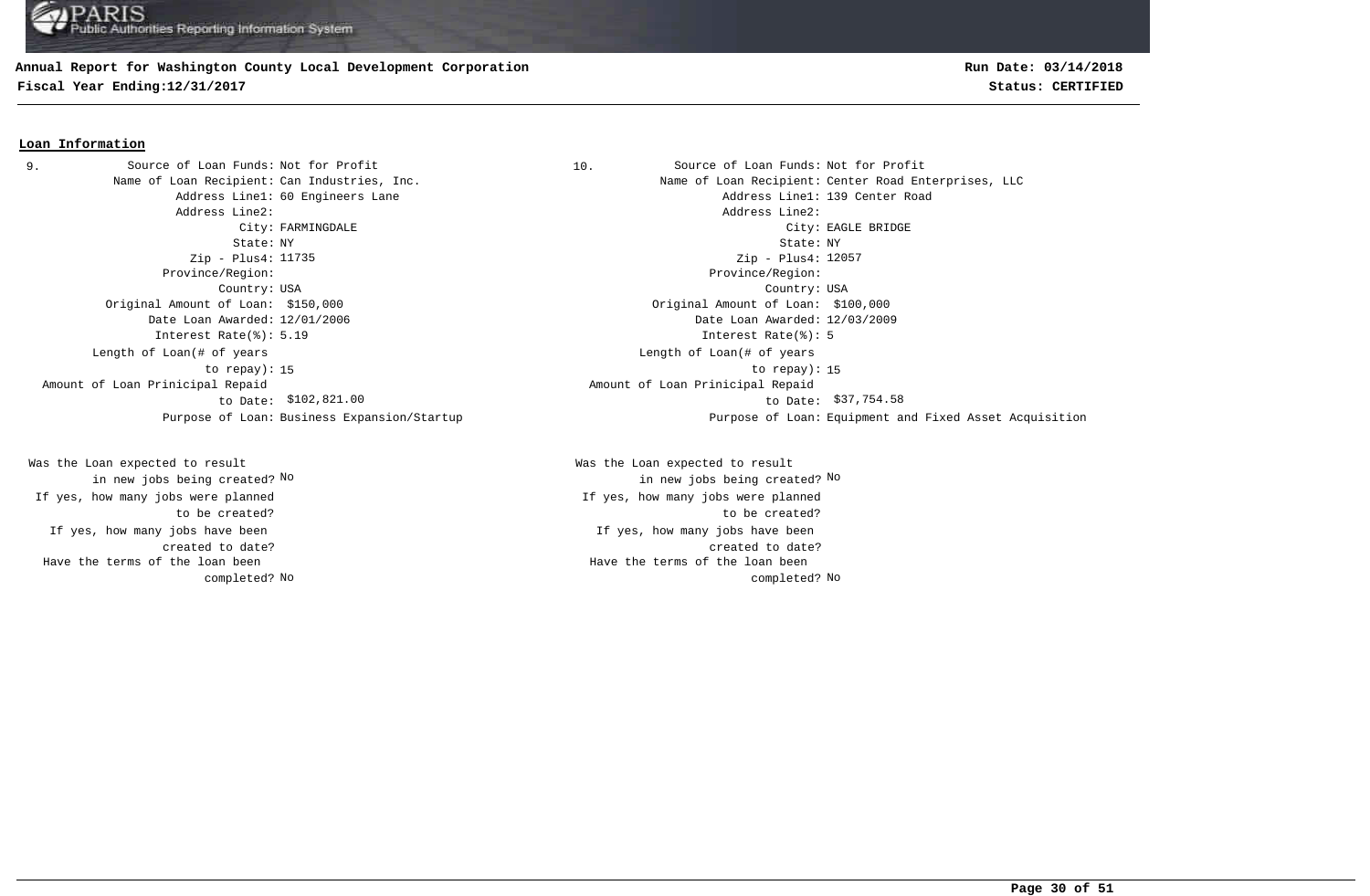## **Annual Report for Washington County Local Development Corporation**

**Fiscal Year Ending:12/31/2017 Status: CERTIFIED**

#### **Loan Information**

Address Line2: Address Line2: Zip - Plus4: 11735 Province/Region: Province/Region: Original Amount of Loan: \$150,000 Original Amount of Loan: \$100,000 Date Loan Awarded: 12/01/2006 Date Loan Awarded: 12/03/2009 Interest Rate(%): 5.19 Interest Rate(%): 5 Length of Loan(# of years to repay): Amount of Loan Prinicipal Repaid to Date: 9. Source of Loan Funds: Not for Profit

If yes, how many jobs have been created to date? Was the Loan expected to result in new jobs being created? No If yes, how many jobs were planned to be created? Have the terms of the loan been completed?

10. Source of Loan Funds: Not for Profit Name of Loan Recipient: Can Industries, Inc. Name of Loan Recipient: Center Road Enterprises, LLC Address Line1: 60 Engineers Lane Address Line1: 139 Center Road City: FARMINGDALE City: EAGLE BRIDGE State: NY State: NY Country: USA Country: USA Zip - Plus4: 12057 15 to repay): 15 Length of Loan(# of years  $$102,821.00$  to Date:  $$37,754.58$  Amount of Loan Prinicipal Repaid Purpose of Loan: Business Expansion/Startup Purpose of Loan: Equipment and Fixed Asset Acquisition

> If yes, how many jobs have been created to date? Was the Loan expected to result in new jobs being created? No No If yes, how many jobs were planned to be created? No No completed? Have the terms of the loan been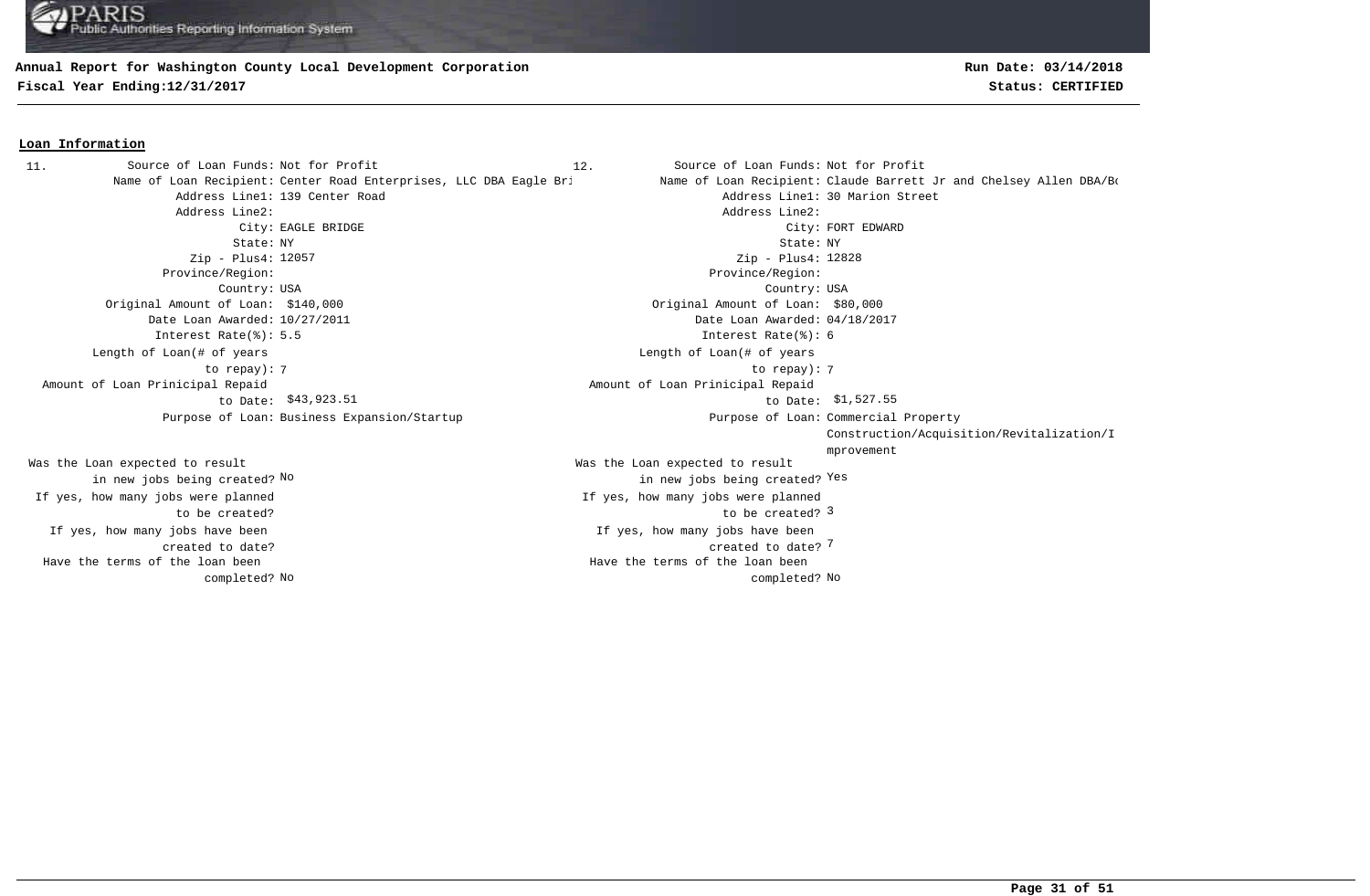#### **Annual Report for Washington County Local Development Corporation**

**Fiscal Year Ending:12/31/2017 Status: CERTIFIED**

#### **Loan Information**

Address Line1: 139 Center Road Address Line1: 139 Center Road Address Line2: Address Line2: State: NY State: NY Zip - Plus4: 12057 Province/Region: Province/Region: Country: USA Country: USA Original Amount of Loan: \$140,000 Original Amount of Loan: \$80,000 Date Loan Awarded: 10/27/2011 Date Loan Awarded: 04/18/2017 Interest Rate(%): 5.5 Interest Rate(%): 6 7 7 to repay): Length of Loan(# of years to repay): Amount of Loan Prinicipal Repaid to Date: \$43,923.51 Purpose of Loan: Business Expansion/Startup 11. Source of Loan Funds: Not for Profit

If yes, how many jobs have been created to date? Was the Loan expected to result in new jobs being created? No If yes, how many jobs were planned to be created? Have the terms of the loan been completed? **Run Date: 03/14/2018**

12. Source of Loan Funds: Not for Profit Name of Loan Recipient: Center Road Enterprises, LLC DBA Eagle Bri Name of Loan Recipient: Claude Barrett Jr and Chelsey Allen DBA/Bo City: EAGLE BRIDGE COMPANY CONTROLLER SERVICE CONTROLLER COMPANY COMPANY COMPANY CONTROLLER SERVICE OF CONTROLLER SERVICE OF CONTROLLER SERVICE OF CONTROLLER SERVICE OF CONTROLLER SERVICE OF CONTROLLER SERVICE OF CONTROLLE 7 created to date? If yes, how many jobs have been to be created? 3 Was the Loan expected to result new jobs being created? <sup>Yes</sup> in new jobs being created? <sup>Yes</sup> Zip - Plus4: 12828 If yes, how many jobs were planned Length of Loan(# of years \$43,923.51 to Date: \$1,527.55 Amount of Loan Prinicipal Repaid Purpose of Loan: Commercial Property Construction/Acquisition/Revitalization/I mprovement No No completed? Have the terms of the loan been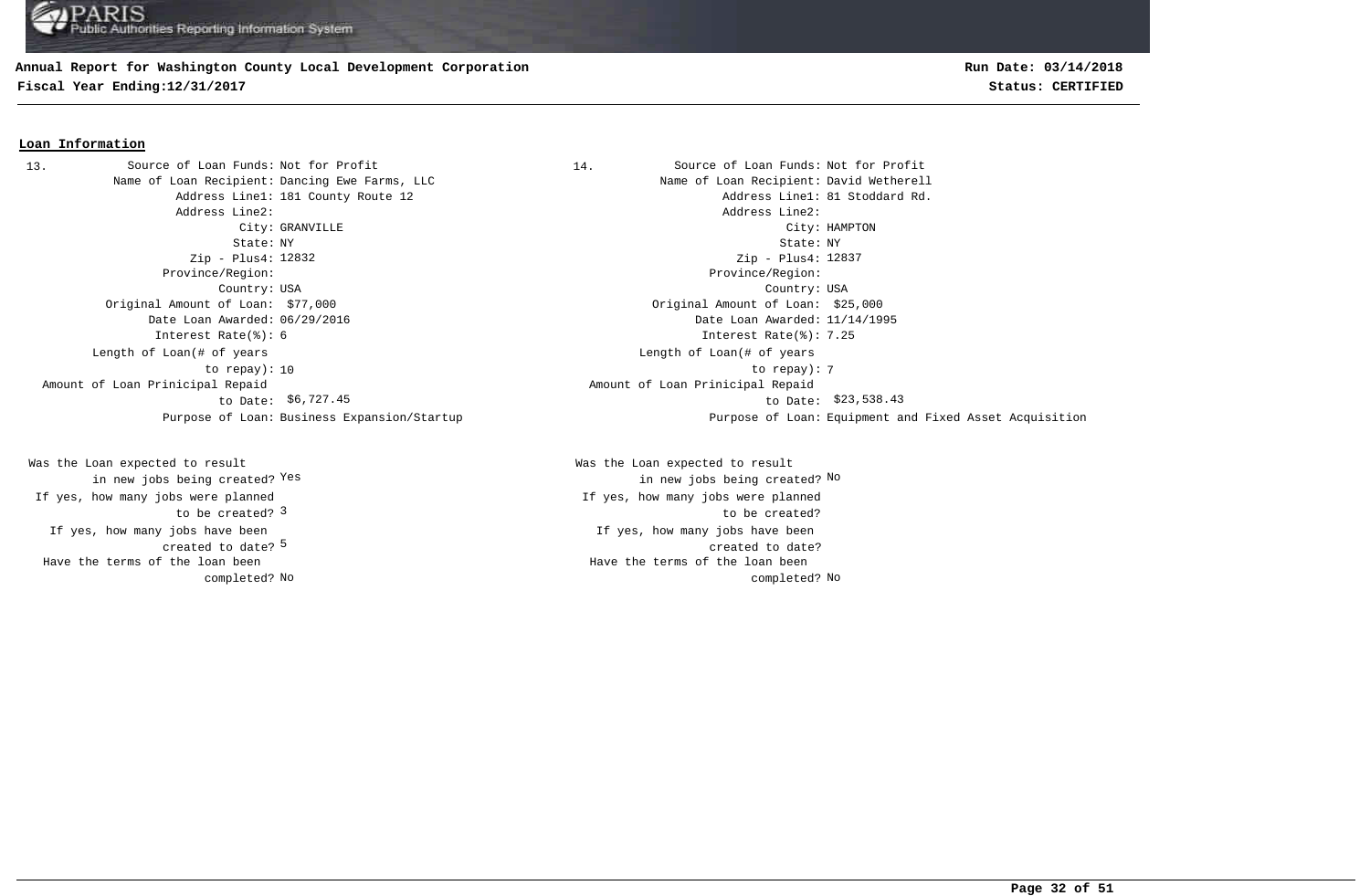## **Annual Report for Washington County Local Development Corporation**

**Fiscal Year Ending:12/31/2017 Status: CERTIFIED**

#### **Loan Information**

Name of Loan Recipient: Dancing Ewe Farms, LLC Name States Name of Loan Recipient: David Wetherell Address Line2: Address Line2: Zip - Plus4: 12832 Province/Region: Province/Region: Original Amount of Loan: \$77,000 Original Amount of Loan: \$25,000 Date Loan Awarded: 06/29/2016 Date Loan Awarded: 11/14/1995 Interest Rate(%): 6 Interest Rate(%): 7.25 Length of Loan(# of years to repay): Amount of Loan Prinicipal Repaid to Date: \$6,727.45 13. Source of Loan Funds: Not for Profit

created to date? <sup>5</sup> If yes, how many jobs have been to be created? 3 Was the Loan expected to result in new jobs being created? Yes If yes, how many jobs were planned Have the terms of the loan been completed?

14. Source of Loan Funds: Not for Profit Address Line1: 181 County Route 12 and the county of the county Route 12 and the county Route 12 and the county Route 12 City: GRANVILLE City: HAMPTON State: NY State: NY Country: USA Country: USA Zip - Plus4: 12837 10 to repay): 7 Length of Loan(# of years \$6,727.45 to Date: \$23,538.43 Amount of Loan Prinicipal Repaid Purpose of Loan: Business Expansion/Startup Purpose of Loan: Equipment and Fixed Asset Acquisition

> If yes, how many jobs have been created to date? Was the Loan expected to result Yes the contract of the contract of the contract of the contract of the contract of  $\mathbb{N}^{\mathsf{O}}$ If yes, how many jobs were planned to be created? No No completed? Have the terms of the loan been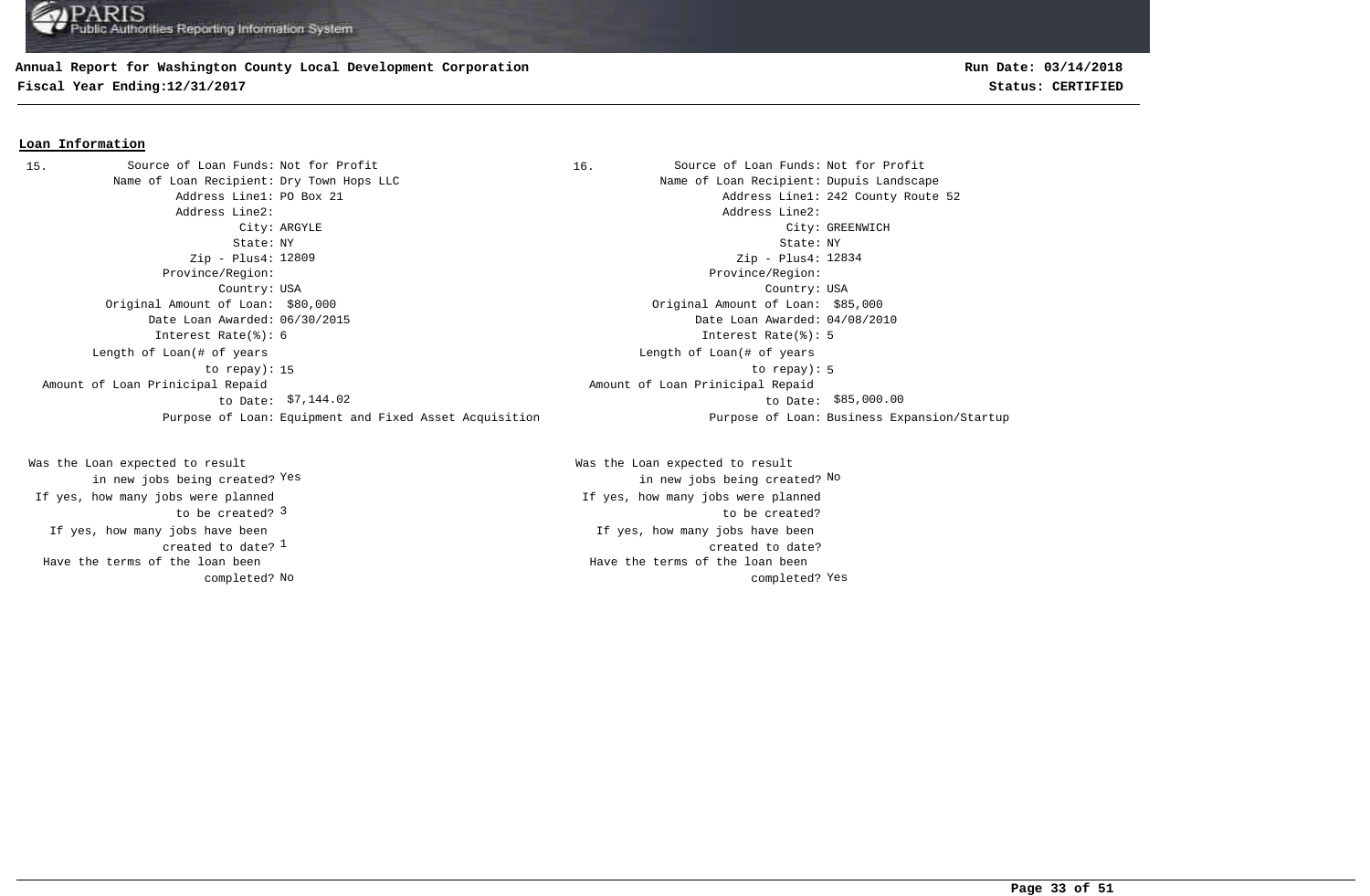## **Annual Report for Washington County Local Development Corporation**

**Fiscal Year Ending:12/31/2017 Status: CERTIFIED**

#### **Loan Information**

Name of Loan Recipient: Dry Town Hops LLC Name of Loan Recipient: Dupuis Landscape Address Line1: PO Box 21 Address Line1: 242 County Route 52 Address Line2: Address Line2: City: ARGYLE City: GREENWICH State: NY State: NY Zip - Plus4: Zip - Plus4: Province/Region: Province/Region: Country: USA Country: USA Original Amount of Loan: \$80,000 Original Amount of Loan: \$85,000 Date Loan Awarded: 06/30/2015 Date Loan Awarded: 04/08/2010 Interest Rate(%): 6 Interest Rate(%): 5 15 to repay): 5 Length of Loan(# of years to repay): \$7,144.02 to Date: \$85,000.00 Amount of Loan Prinicipal Repaid to Date: \$7,144.02 Purpose of Loan: Equipment and Fixed Asset Acquisition Purpose of Loan: Business Expansion/Startup 15. Source of Loan Funds: Not for Profit

created to date?  $^{\rm 1}$ If yes, how many jobs have been to be created? 3 Was the Loan expected to result in new jobs being created? Yes If yes, how many jobs were planned Have the terms of the loan been completed?

16. Source of Loan Funds: Not for Profit Zip - Plus4: 12834 Length of Loan(# of years Amount of Loan Prinicipal Repaid

If yes, how many jobs have been created to date? Was the Loan expected to result Yes the contract of the contract of the contract of the contract of the contract of  $\mathbb{N}^{\mathsf{O}}$ If yes, how many jobs were planned to be created? No completed? Yes a set of the completed? Yes Have the terms of the loan been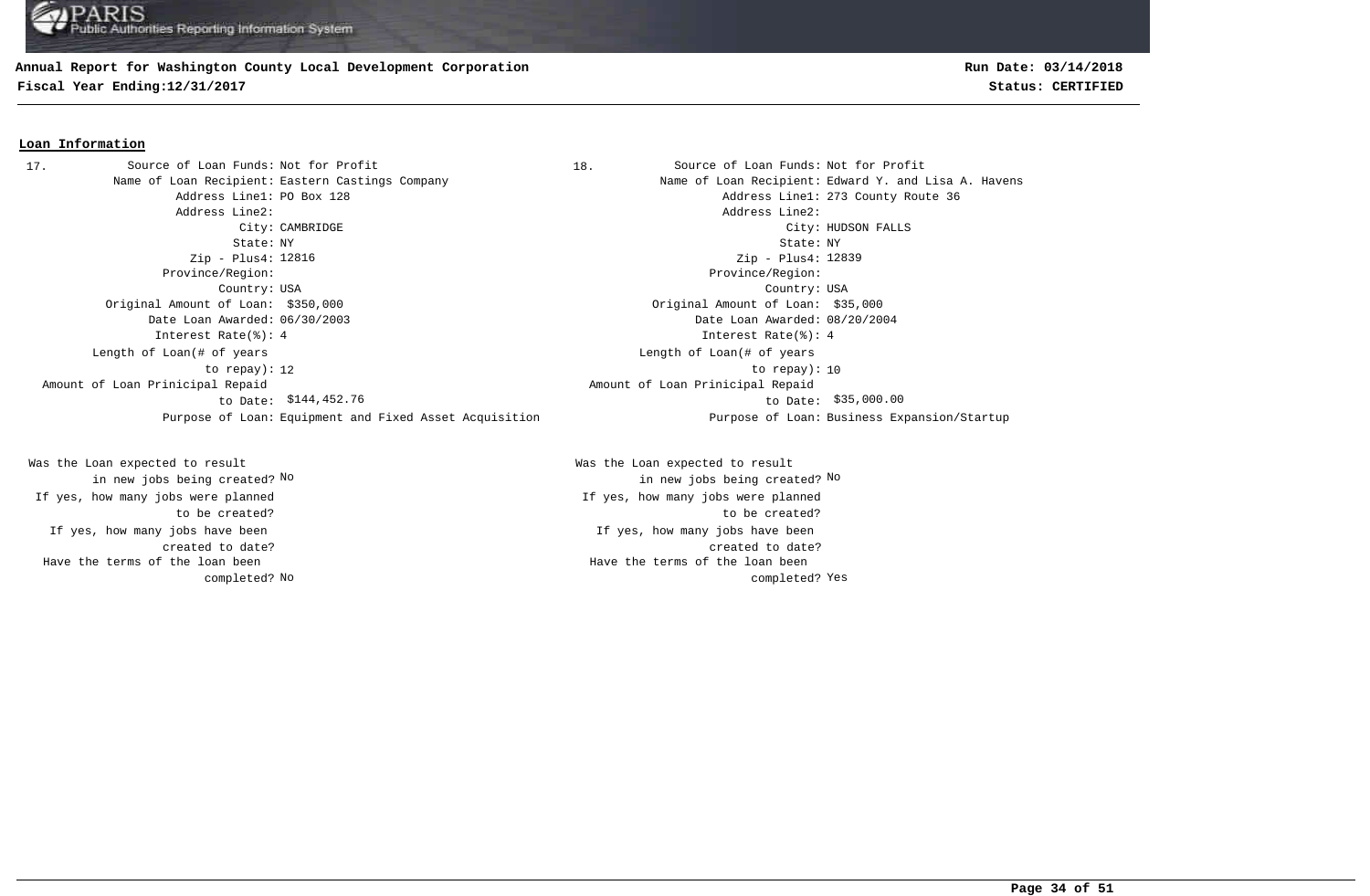#### **Annual Report for Washington County Local Development Corporation**

**Fiscal Year Ending:12/31/2017 Status: CERTIFIED**

## **Run Date: 03/14/2018**

#### **Loan Information**

Address Line2: Address Line2: State: NY State: NY Zip - Plus4: Zip - Plus4: Province/Region: Province/Region: Country: USA Country: USA Original Amount of Loan: \$350,000 Original Amount of Loan: \$35,000 Date Loan Awarded: 06/30/2003 Date Loan Awarded: 08/20/2004 Interest Rate(%): 4 Interest Rate(%): 4 Length of Loan(# of years to repay): Amount of Loan Prinicipal Repaid to Date: 17. Source of Loan Funds: Not for Profit

If yes, how many jobs have been created to date? Was the Loan expected to result in new jobs being created? No If yes, how many jobs were planned to be created? Have the terms of the loan been completed?

18. Source of Loan Funds: Not for Profit Name of Loan Recipient: Eastern Castings Company Name of Loan Recipient: Edward Y. and Lisa A. Havens Address Line1: PO Box 128 Address Line1: 273 County Route 36 City: CAMBRIDGE City: HUDSON FALLS Zip - Plus4: 12839 12 to repay): 10 Length of Loan(# of years \$144,452.76 \$35,000.00 to Date: Amount of Loan Prinicipal Repaid Purpose of Loan: Equipment and Fixed Asset Acquisition Purpose of Loan: Business Expansion/Startup

> If yes, how many jobs have been created to date? Was the Loan expected to result in new jobs being created? No No If yes, how many jobs were planned to be created? No completed? Yes a set of the completed? Yes Have the terms of the loan been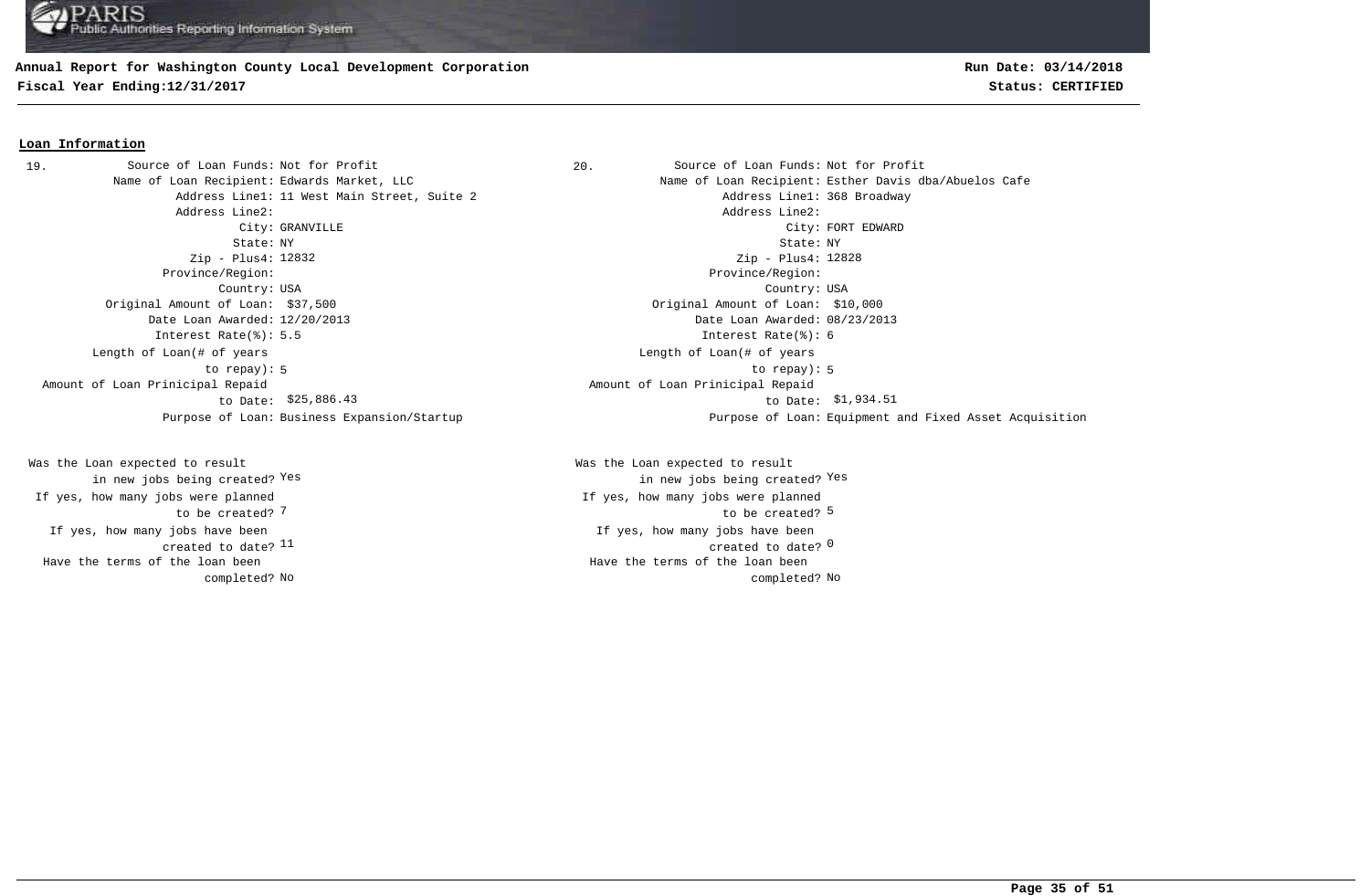## **Annual Report for Washington County Local Development Corporation**

**Fiscal Year Ending:12/31/2017 Status: CERTIFIED**

## **Run Date: 03/14/2018**

#### **Loan Information**

Address Line1: 11 West Main Street, Suite 2 and Address Line1: 368 Broadway Address Line2: Address Line2: State: NY State: NY Zip - Plus4: 12832 Province/Region: Province/Region: Country: USA Country: USA Original Amount of Loan: \$37,500 Original Amount of Loan: \$10,000 Date Loan Awarded: 12/20/2013 Date Loan Awarded: 08/23/2013 Interest Rate(%): 5.5 Interest Rate(%): 6 Length of Loan(# of years to repay): Amount of Loan Prinicipal Repaid to Date: \$25,886.43 19. Source of Loan Funds: Not for Profit

If yes, how many jobs have been created to date? 11 Was the Loan expected to result in new jobs being created? Yes If yes, how many jobs were planned to be created? 7 Have the terms of the loan been completed?

20. Source of Loan Funds: Not for Profit Name of Loan Recipient: Edwards Market, LLC Name of Loan Recipient: Esther Davis dba/Abuelos Cafe City: GRANVILLE CHARD CONSULTER CONSULTER CONSUMING COMPANY CONSULTER CONSULTER CONSULTER CONSULTER CONSULTER CONSULTER CONSULTER CONSULTER CONSULTER CONSULTER CONSULTER CONSULTER CONSULTER CONSULTER CONSULTER CONSULTER CO Zip - Plus4: 12828 5 to repay): 5 Length of Loan(# of years \$25,886.43 \$1,934.51 to Date: Amount of Loan Prinicipal Repaid Purpose of Loan: Business Expansion/Startup Purpose of Loan: Equipment and Fixed Asset Acquisition

> $11$  created to date?  $0$ If yes, how many jobs have been The contraction of the contraction of the contraction of the contraction of the contraction of the contraction of the contraction of the contraction of the contraction of the contraction of the contraction of the contracti Was the Loan expected to result in new jobs being created? Yes Yes If yes, how many jobs were planned No No completed? Have the terms of the loan been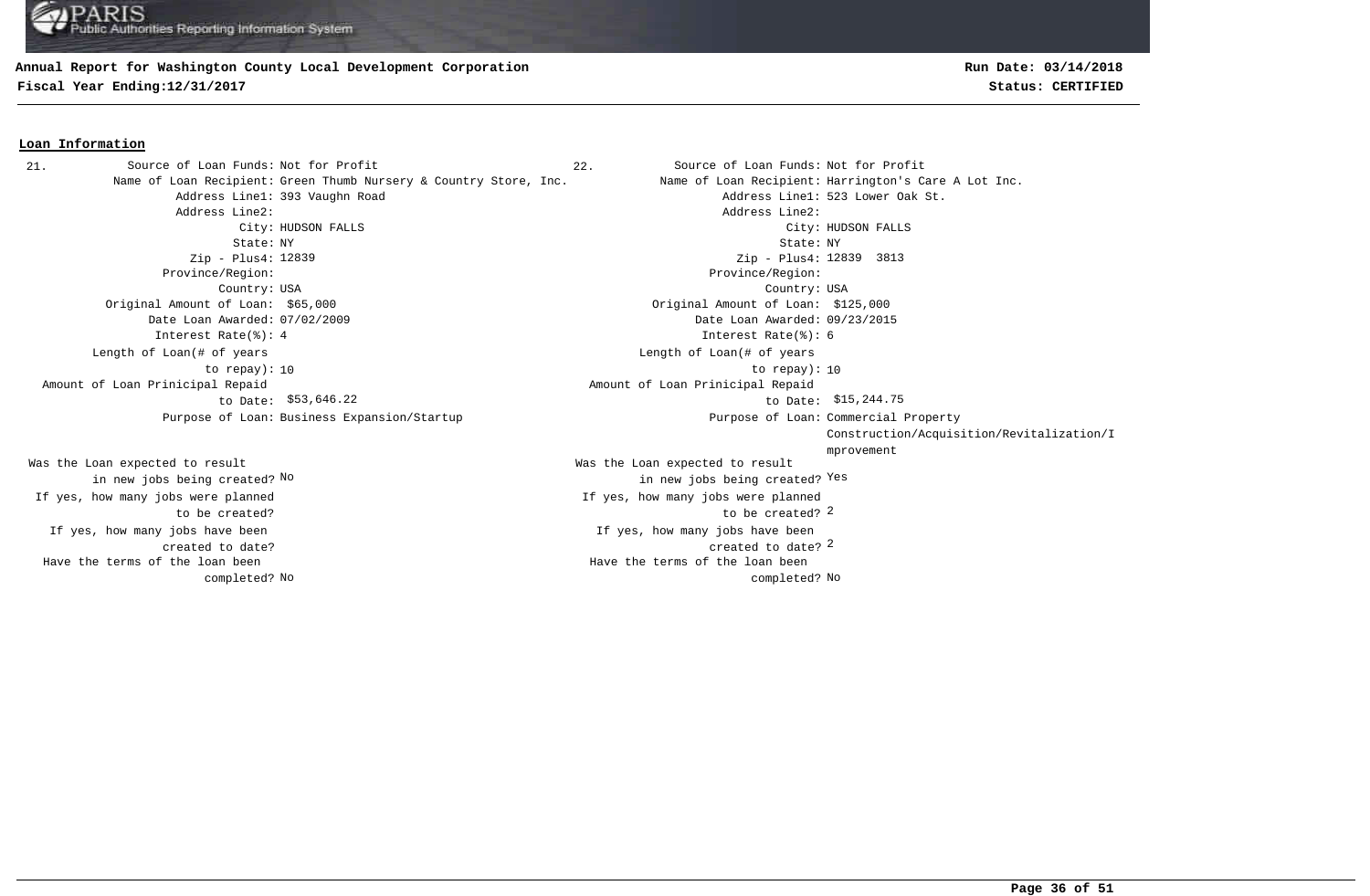#### **Annual Report for Washington County Local Development Corporation**

**Fiscal Year Ending:12/31/2017 Status: CERTIFIED**

#### **Loan Information**

Address Line1: 393 Vaughn Road Address Line1: 523 Lower Oak St. Address Line2: Address Line2: State: NY State: NY Zip - Plus4: Zip - Plus4: 3813 12839 12839 Province/Region: Province/Region: Country: USA Country: USA Original Amount of Loan: \$65,000 Original Amount of Loan: \$125,000 Date Loan Awarded: 07/02/2009 Date Loan Awarded: 09/23/2015 Interest Rate(%): 4 Interest Rate(%): 6 10 to repay): 10 Length of Loan(# of years to repay): Amount of Loan Prinicipal Repaid to Date: \$53,646.22 Purpose of Loan: Business Expansion/Startup 21. Source of Loan Funds: Not for Profit

If yes, how many jobs have been created to date? Was the Loan expected to result in new jobs being created? No If yes, how many jobs were planned to be created? Have the terms of the loan been completed? **Run Date: 03/14/2018**

22. Source of Loan Funds: Not for Profit Name of Loan Recipient: Green Thumb Nursery & Country Store, Inc. Name of Loan Recipient: Harrington's Care A Lot Inc. City: HUDSON FALLS City: HUDSON FALLS created to date? 2 If yes, how many jobs have been to be created? 2 Was the Loan expected to result new jobs being created? <sup>Yes</sup> in new jobs being created? <sup>Yes</sup> If yes, how many jobs were planned Length of Loan(# of years  $$53,646.22$  to Date:  $$15,244.75$  Amount of Loan Prinicipal Repaid Purpose of Loan: Commercial Property Construction/Acquisition/Revitalization/I mprovement No No completed? Have the terms of the loan been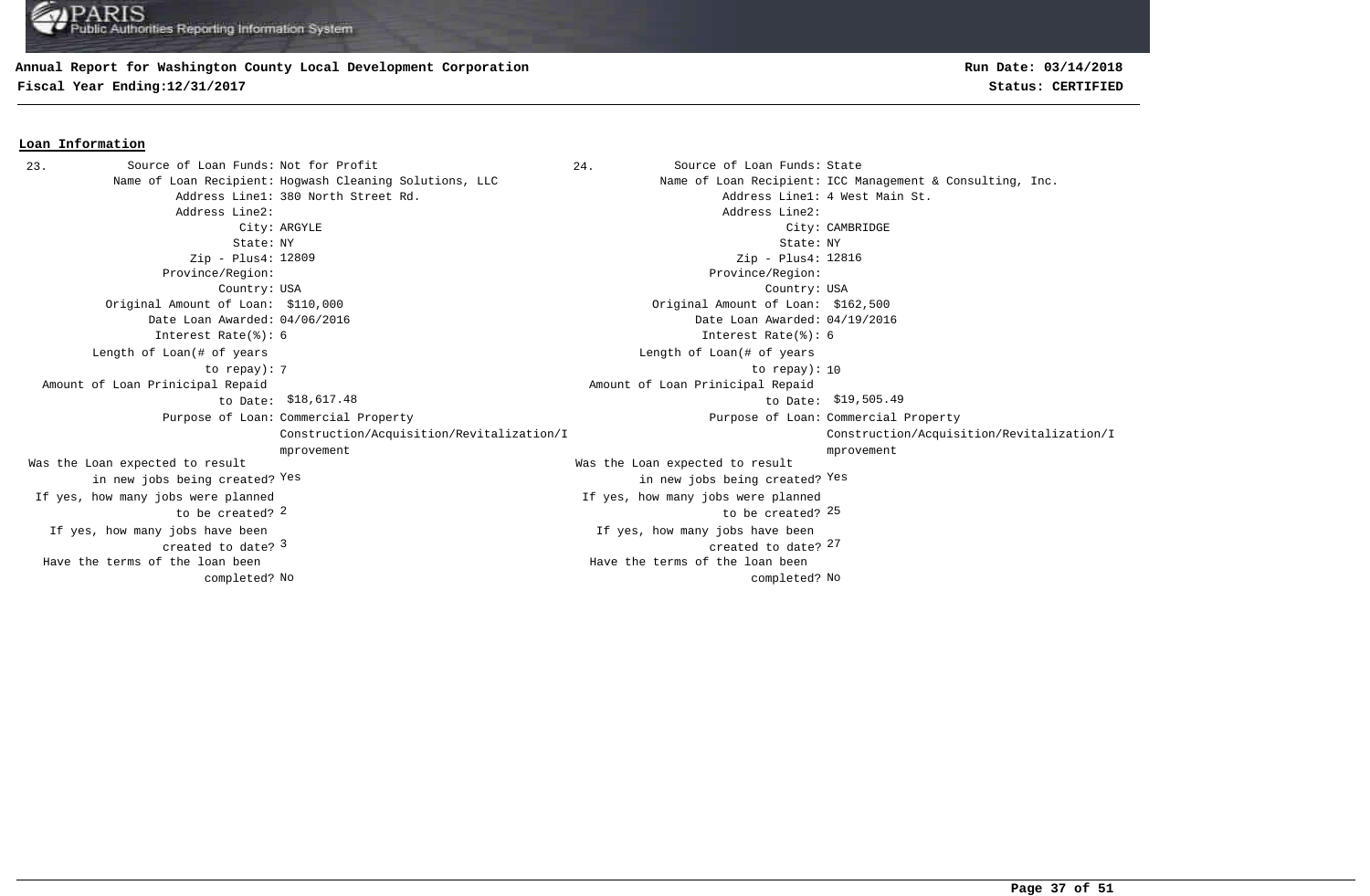#### **Annual Report for Washington County Local Development Corporation**

**Fiscal Year Ending:12/31/2017 Status: CERTIFIED**

**Loan Information**

## **Run Date: 03/14/2018**

#### 23. Source of Loan Funds: Not for Profit and Source of Loan Funds: State Name of Loan Recipient: Hogwash Cleaning Solutions, LLC Name of Loan Recipient: ICC Management & Consulting, Inc. Address Line1: 380 North Street Rd. Address Line1: 4 West Main St. Address Line2: Address Line2: City: ARGYLE City: CAMBRIDGE State: NY State: NY Zip - Plus4: Zip - Plus4: Province/Region: Province/Region: Country: USA Country: USA  $\frac{3}{27}$  created to date?  $\frac{27}{27}$ If yes, how many jobs have been created to date? If yes, how many jobs have been Original Amount of Loan: \$110,000 Original Amount of Loan: \$162,500 Date Loan Awarded: 04/06/2016 Date Loan Awarded: 04/19/2016  $2$  to be created?  $25$ Was the Loan expected to result in new jobs being created? Yes Was the Loan expected to result in new jobs being created? Yes Yes Zip - Plus4: 12816 Interest Rate(%): 6 Interest Rate(%): 6 If yes, how many jobs were planned to be created? If yes, how many jobs were planned The contract of the contract of the contract of the contract of the contract of the contract of the contract of the contract of the contract of the contract of the contract of the contract of the contract of the contract o Length of Loan(# of years to repay): Length of Loan(# of years \$18,617.48 \$19,505.49 to Date: Amount of Loan Prinicipal Repaid to Date: \$18,617.48 Amount of Loan Prinicipal Repaid Purpose of Loan: Commercial Property **Example 2** and the community of Loan: Purpose of Loan: Construction/Acquisition/Revitalization/I mprovement Purpose of Loan: Commercial Property Construction/Acquisition/Revitalization/I mprovement No No completed? Have the terms of the loan been completed? Have the terms of the loan been

**Page 37 of 51**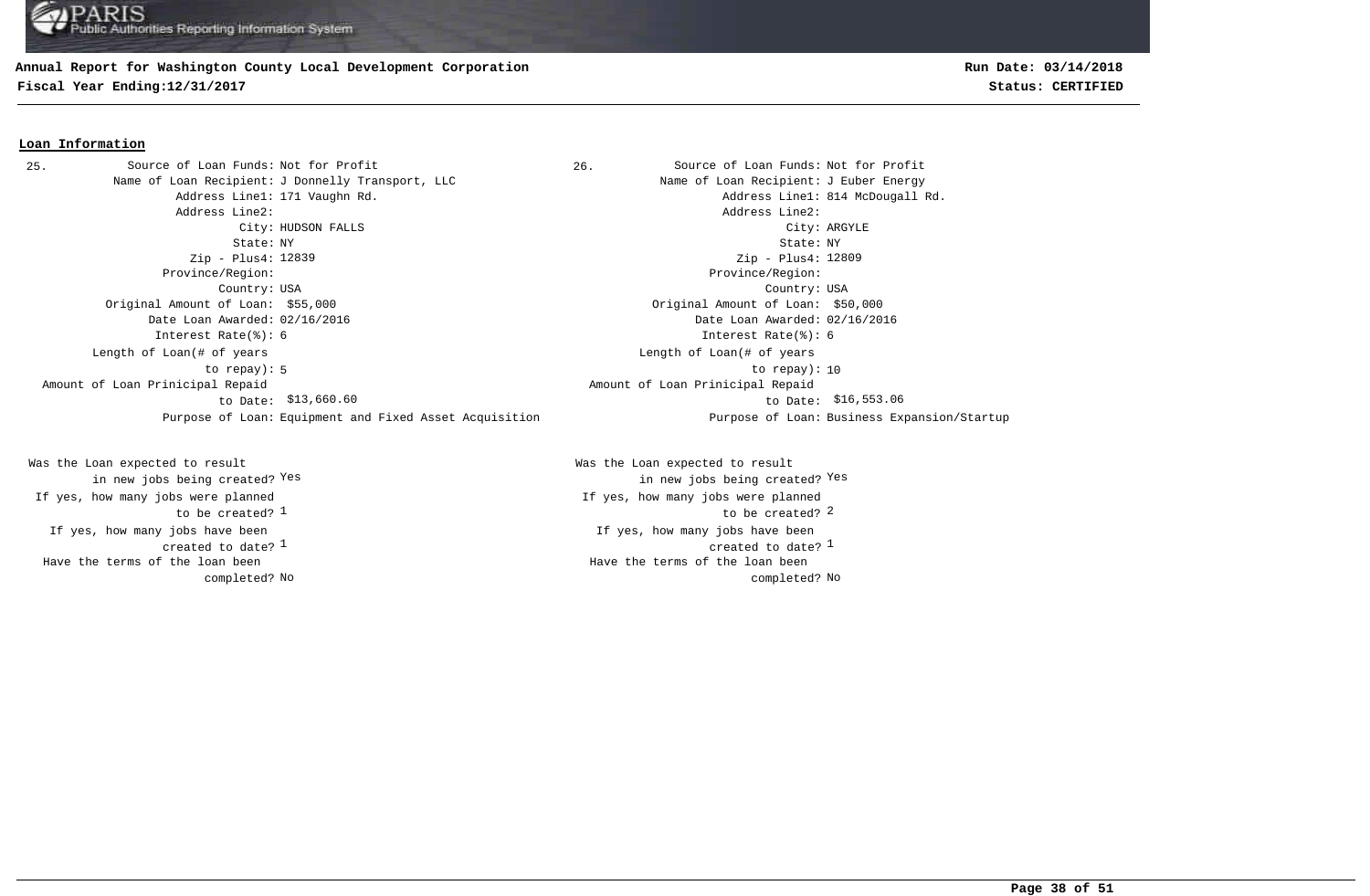#### **Annual Report for Washington County Local Development Corporation**

**Fiscal Year Ending:12/31/2017 Status: CERTIFIED**

# **Run Date: 03/14/2018**

#### **Loan Information**

25. Source of Loan Funds: Not for Profit and Source of Loan Funds: Not for Profit Name of Loan Recipient: J Donnelly Transport, LLC Name of Loan Recipient: J Euber Energy Address Line1: 171 Vaughn Rd. 2008 and the Communication of the Address Line1: 814 McDougall Rd. Address Line2: Address Line2: City: HUDSON FALLS City: ARGYLE State: NY State: NY Zip - Plus4: 12839 Province/Region: Province/Region: Country: USA Country: USA Original Amount of Loan: \$55,000 Original Amount of Loan: \$50,000 Date Loan Awarded: 02/16/2016 Date Loan Awarded: 02/16/2016 Interest Rate(%): 6 Interest Rate(%): 6 5 10 to repay): 10 Length of Loan(# of years to repay): \$13,660.60 \$16,553.06 to Date: Amount of Loan Prinicipal Repaid to Date: \$13,660.60 Purpose of Loan: Equipment and Fixed Asset Acquisition Purpose of Loan: Business Expansion/Startup

If yes, how many jobs have been created to date?  $1$ Was the Loan expected to result in new jobs being created? Yes If yes, how many jobs were planned to be created? 1 Have the terms of the loan been completed?

Zip - Plus4: 12809 Length of Loan(# of years Amount of Loan Prinicipal Repaid

 $\frac{1}{2}$  created to date?  $\frac{1}{2}$ If yes, how many jobs have been  $\frac{1}{2}$  to be created?  $\frac{2}{3}$ Was the Loan expected to result in new jobs being created? Yes Yes If yes, how many jobs were planned No No completed? Have the terms of the loan been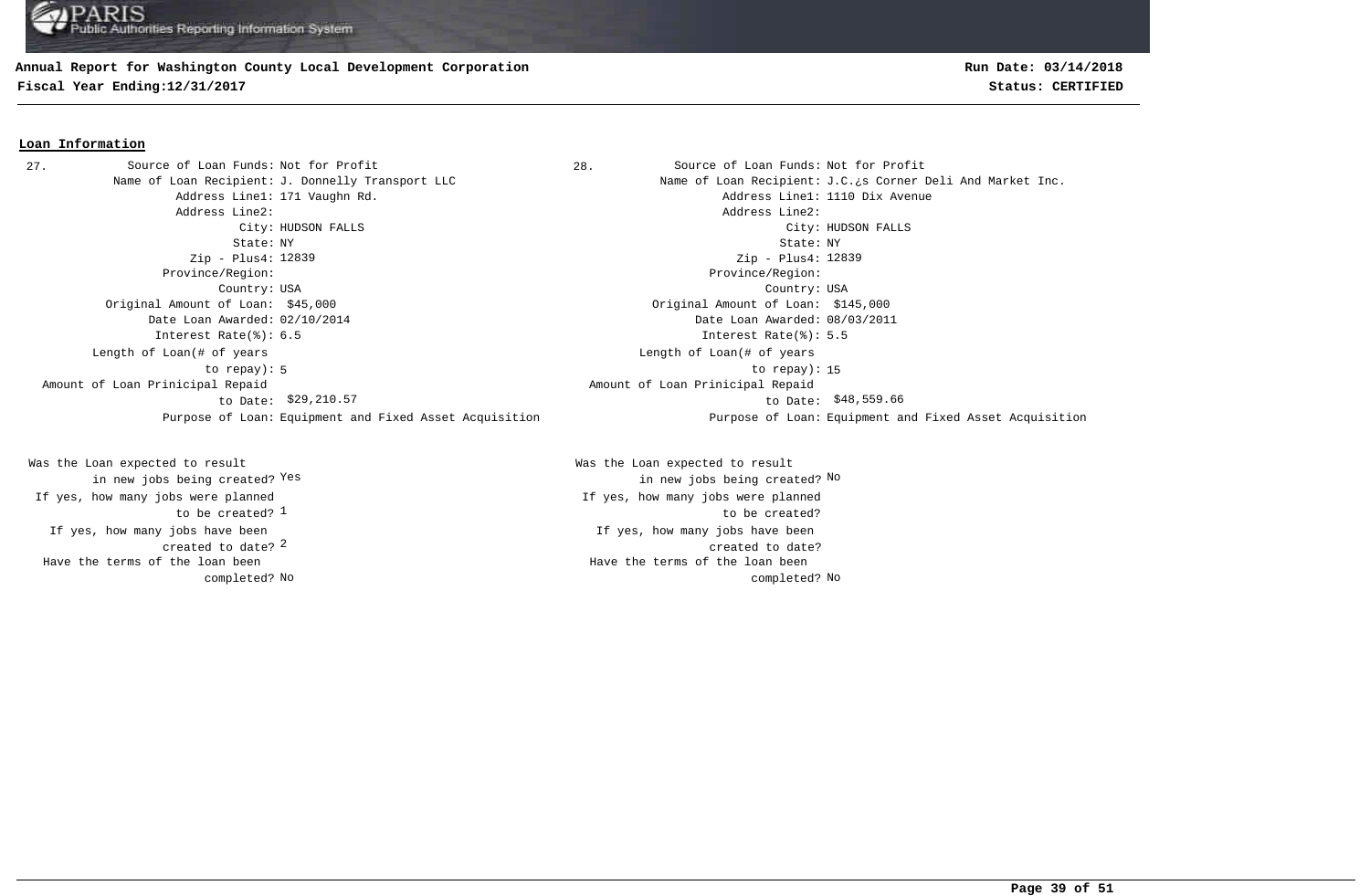#### **Annual Report for Washington County Local Development Corporation**

**Fiscal Year Ending:12/31/2017 Status: CERTIFIED**

## **Run Date: 03/14/2018**

#### **Loan Information**

27. Source of Loan Funds: Not for Profit and Source of Loan Funds: Not for Profit Address Line1: 171 Vaughn Rd. Address Line1: 1110 Dix Avenue Address Line2: Address Line2: State: NY State: NY Zip - Plus4: 12839 Province/Region: Province/Region: Country: USA Country: USA Original Amount of Loan: \$45,000 Original Amount of Loan: \$145,000 Date Loan Awarded: 02/10/2014 Date Loan Awarded: 08/03/2011 Interest Rate(%): 6.5 Interest Rate(%): 5.5 5 to repay): 15 Length of Loan(# of years to repay): Amount of Loan Prinicipal Repaid to Date: \$29,210.57

created to date? <sup>2</sup> If yes, how many jobs have been to be created? <sup>1</sup> Was the Loan expected to result in new jobs being created? Yes If yes, how many jobs were planned Have the terms of the loan been completed?

Name of Loan Recipient: J. Donnelly Transport LLC Name of Loan Recipient: J.C.¿s Corner Deli And Market Inc. City: HUDSON FALLS City: HUDSON FALLS Zip - Plus4: 12839 Length of Loan(# of years \$29,210.57 \$48,559.66 to Date: Amount of Loan Prinicipal Repaid Purpose of Loan: Equipment and Fixed Asset Acquisition Purpose of Loan: Equipment and Fixed Asset Acquisition

> If yes, how many jobs have been created to date? Was the Loan expected to result Yes the contraction of the contraction of the contraction of the contraction of  $\mathbb{N}^{\infty}$  and  $\mathbb{N}^{\infty}$ If yes, how many jobs were planned to be created? No No completed? Have the terms of the loan been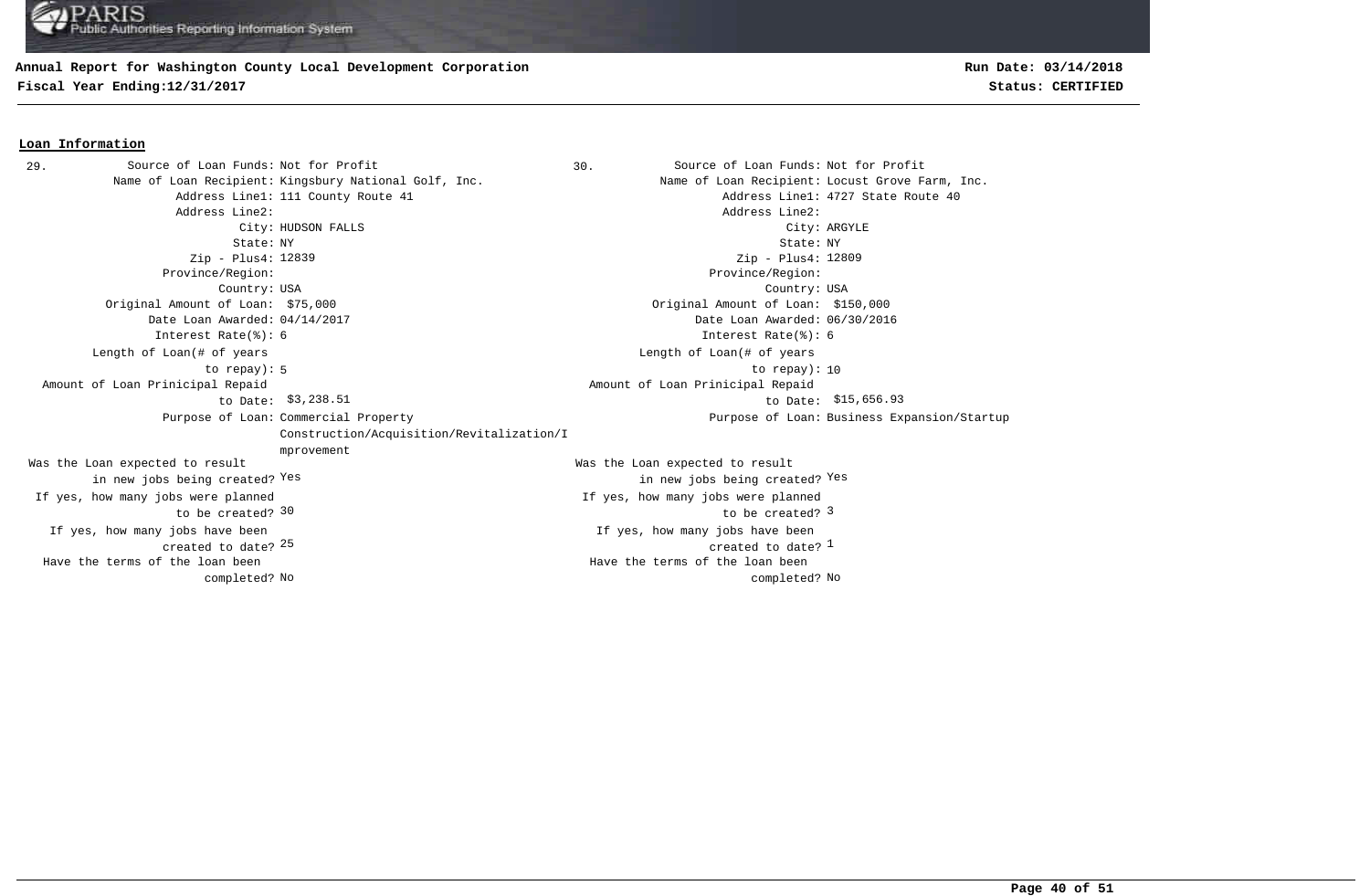## **Annual Report for Washington County Local Development Corporation**

**Fiscal Year Ending:12/31/2017 Status: CERTIFIED**

#### **Loan Information**

29. Source of Loan Funds: Not for Profit (1999) 30. Source of Loan Funds: Not for Profit Name of Loan Recipient: Kingsbury National Golf, Inc. Name of Loan Recipient: Locust Grove Farm, Inc. Address Line1: 111 County Route 41 and the County Route 40 and the County Route 40 and the County Route 40 and the County Route 40 and the County Route 40 and the County Route 40 and the County Route 40 and the County Rout Address Line2: Address Line2: City: HUDSON FALLS City: ARGYLE State: NY State: NY Zip - Plus4: 12839 Province/Region: Province/Region: Country: USA Country: USA  $25$  created to date?  $\frac{1}{2}$ If yes, how many jobs have been created to date? If yes, how many jobs have been Original Amount of Loan: \$75,000 Original Amount of Loan: \$150,000 Date Loan Awarded: 04/14/2017 Date Loan Awarded: 06/30/2016 30 be created? 3 and  $\sim$  5 and  $\sim$  5 and  $\sim$  5 and  $\sim$  5 and  $\sim$  5 and  $\sim$  5 and  $\sim$  5 and  $\sim$  5 and  $\sim$  5 and  $\sim$  5 and  $\sim$  5 and  $\sim$  5 and  $\sim$  5 and  $\sim$  5 and  $\sim$  5 and  $\sim$  5 and  $\sim$  5 and  $\sim$  5 and  $\sim$ Was the Loan expected to result in new jobs being created? Yes Was the Loan expected to result in new jobs being created? Yes Yes Zip - Plus4: 12809 Interest Rate(%): 6 Interest Rate(%): 6 If yes, how many jobs were planned to be created? If yes, how many jobs were planned 5 10 to repay): 10 Length of Loan(# of years to repay): Length of Loan(# of years \$3,238.51 \$15,656.93 to Date: Amount of Loan Prinicipal Repaid to Date: \$3,238.51 Amount of Loan Prinicipal Repaid Purpose of Loan: Commercial Property Construction/Acquisition/Revitalization/I mprovement Purpose of Loan: Business Expansion/Startup No No completed? Have the terms of the loan been completed? Have the terms of the loan been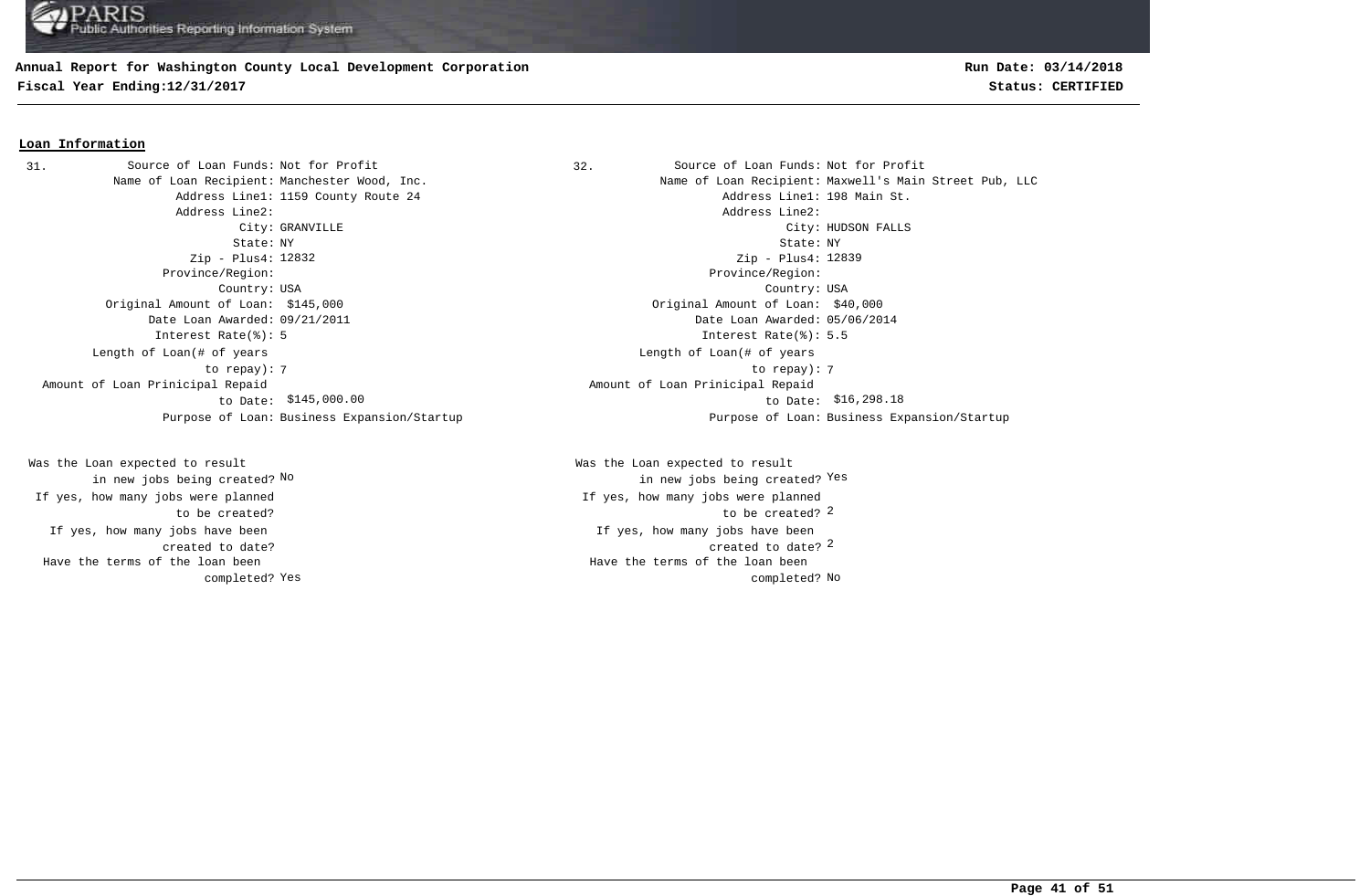#### **Annual Report for Washington County Local Development Corporation**

**Fiscal Year Ending:12/31/2017 Status: CERTIFIED**

## **Run Date: 03/14/2018**

#### **Loan Information**

31. Source of Loan Funds: Not for Profit (32. Source of Loan Funds: Not for Profit Address Line2: Address Line2: Zip - Plus4: 12832 Province/Region: Province/Region: Original Amount of Loan: \$145,000 Original Amount of Loan: \$40,000 Date Loan Awarded: 09/21/2011 Date Loan Awarded: 05/06/2014 Interest Rate(%): 5 Interest Rate(%): 5.5 Length of Loan(# of years to repay): Amount of Loan Prinicipal Repaid to Date:

If yes, how many jobs have been created to date? Was the Loan expected to result in new jobs being created? No If yes, how many jobs were planned to be created? Have the terms of the loan been completed?

Name of Loan Recipient: Manchester Wood, Inc. Name of Loan Recipient: Maxwell's Main Street Pub, LLC Address Line1: 1159 County Route 24 Address Line1: 198 Main St. City: GRANVILLE City: HUDSON FALLS State: NY State: NY Country: USA Country: USA Zip - Plus4: 12839 7 7 to repay): Length of Loan(# of years \$145,000.00 \$16,298.18 to Date: Amount of Loan Prinicipal Repaid Purpose of Loan: Business Expansion/Startup Purpose of Loan: Business Expansion/Startup

> created to date? 2 If yes, how many jobs have been to be created? 2 Was the Loan expected to result new jobs being created? <sup>Yes</sup> in new jobs being created? <sup>Yes</sup> If yes, how many jobs were planned Yes and the completed? No completed? No completed? No completed? No completed? No Have the terms of the loan been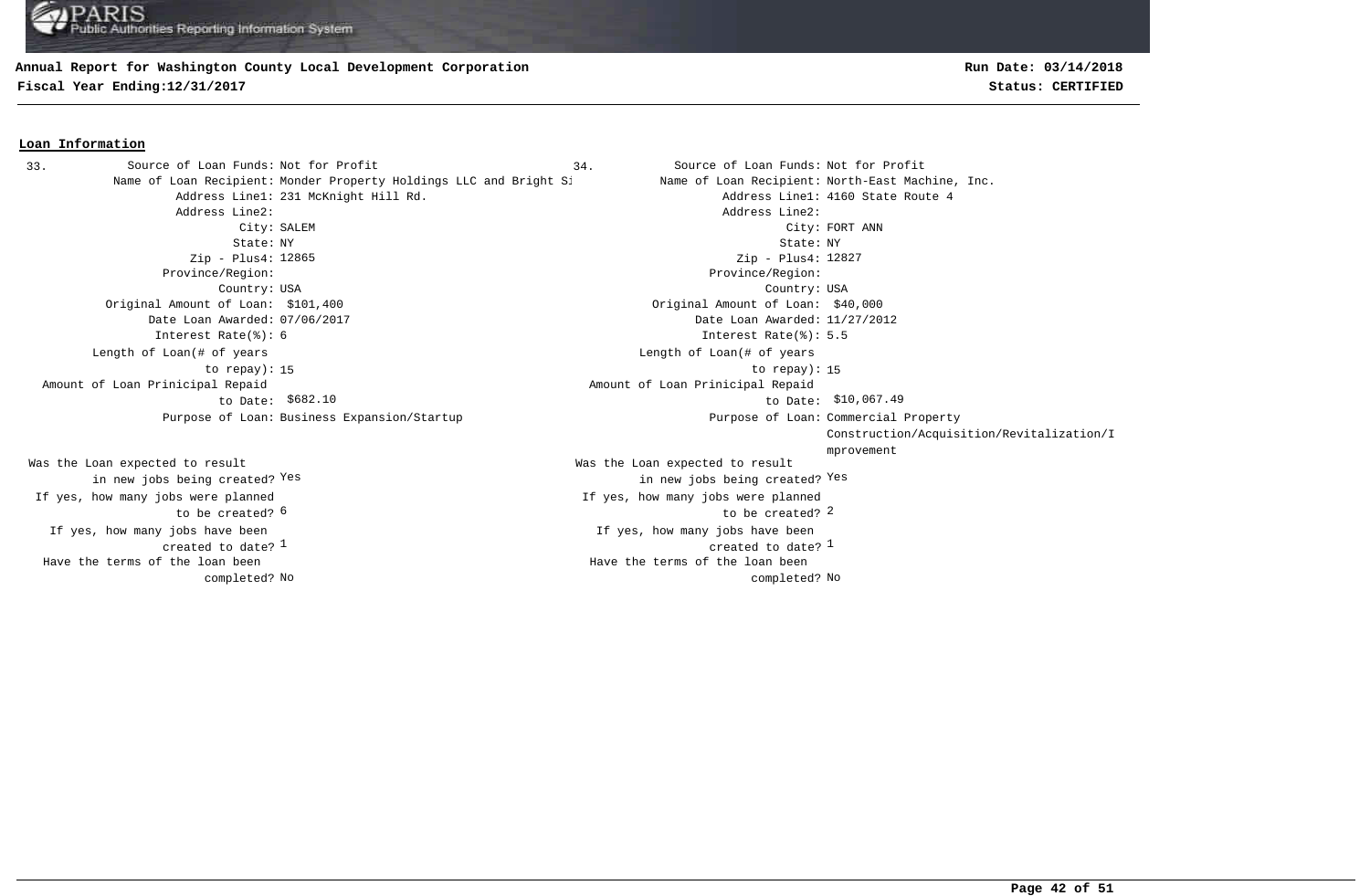#### **Annual Report for Washington County Local Development Corporation**

**Fiscal Year Ending:12/31/2017 Status: CERTIFIED**

#### **Loan Information**

Name of Loan Recipient: Monder Property Holdings LLC and Bright Si Name of Loan Recipient: North-East Machine, Inc. Address Line1: 231 McKnight Hill Rd. Address Line1: 4160 State Route 4 Address Line2: Address Line2: City: SALEM City: FORT ANN State: NY State: NY Zip - Plus4: 12865 Province/Region: Province/Region: Country: USA Country: USA Original Amount of Loan: \$101,400 Original Amount of Loan: \$40,000 Date Loan Awarded: 07/06/2017 Date Loan Awarded: 11/27/2012 Interest Rate(%): 6 Interest Rate(%): 5.5 15 to repay): 15 Length of Loan(# of years to repay): Amount of Loan Prinicipal Repaid to Date: Purpose of Loan: Business Expansion/Startup 33. Source of Loan Funds: Not for Profit

If yes, how many jobs have been created to date?  $1$ Was the Loan expected to result in new jobs being created? Yes If yes, how many jobs were planned to be created? 6 No No completed? Have the terms of the loan been completed?

**Run Date: 03/14/2018**

Source of Loan Funds: Not for Profit Source of Loan Funds: Not for Profit  $\frac{1}{2}$  created to date?  $\frac{1}{2}$ If yes, how many jobs have been 6 2 to be created? Was the Loan expected to result in new jobs being created? Yes Yes Zip - Plus4: 12827 If yes, how many jobs were planned Length of Loan(# of years  $$682.10$  to Date: \$10,067.49 Amount of Loan Prinicipal Repaid Purpose of Loan: Commercial Property Construction/Acquisition/Revitalization/I mprovement Have the terms of the loan been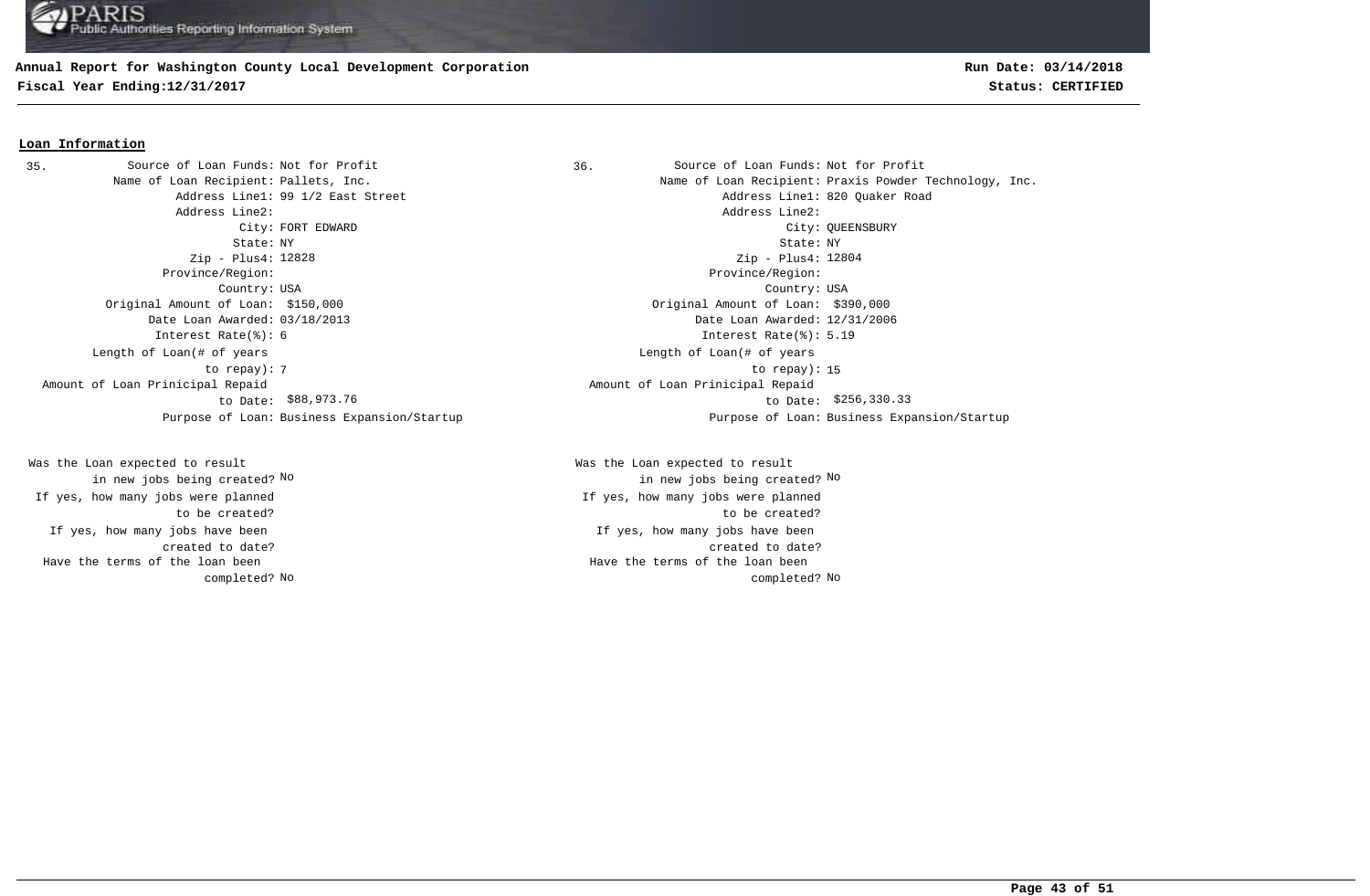## **Annual Report for Washington County Local Development Corporation**

**Fiscal Year Ending:12/31/2017 Status: CERTIFIED**

## **Run Date: 03/14/2018**

#### **Loan Information**

Address Line2: Address Line2: Zip - Plus4: 12828 Province/Region: Province/Region: Original Amount of Loan: \$150,000 Original Amount of Loan: \$390,000 Date Loan Awarded: 03/18/2013 Date Loan Awarded: 12/31/2006 Interest Rate(%): 6 Interest Rate(%): 5.19 Length of Loan(# of years to repay): Amount of Loan Prinicipal Repaid to Date: \$88,973.76 35. Source of Loan Funds: Not for Profit

If yes, how many jobs have been created to date? Was the Loan expected to result in new jobs being created? No If yes, how many jobs were planned to be created? Have the terms of the loan been completed?

Source of Loan Funds: Not for Profit Source of Loan Funds: Not for Profit Name of Loan Recipient: Pallets, Inc. The Same of Loan Recipient: Praxis Powder Technology, Inc. Address Line1: 99 1/2 East Street Address Line1: 820 Quaker Road City: FORT EDWARD City: QUEENSBURY State: NY State: NY Country: USA Country: USA Zip - Plus4: 12804 The contract of the contract of the contract of the contract of the contract of the contract of the contract of the contract of the contract of the contract of the contract of the contract of the contract of the contract o Length of Loan(# of years \$88,973.76 \$256,330.33 to Date: Amount of Loan Prinicipal Repaid Purpose of Loan: Business Expansion/Startup Purpose of Loan: Business Expansion/Startup

> If yes, how many jobs have been created to date? Was the Loan expected to result in new jobs being created? No No If yes, how many jobs were planned to be created? No No completed? Have the terms of the loan been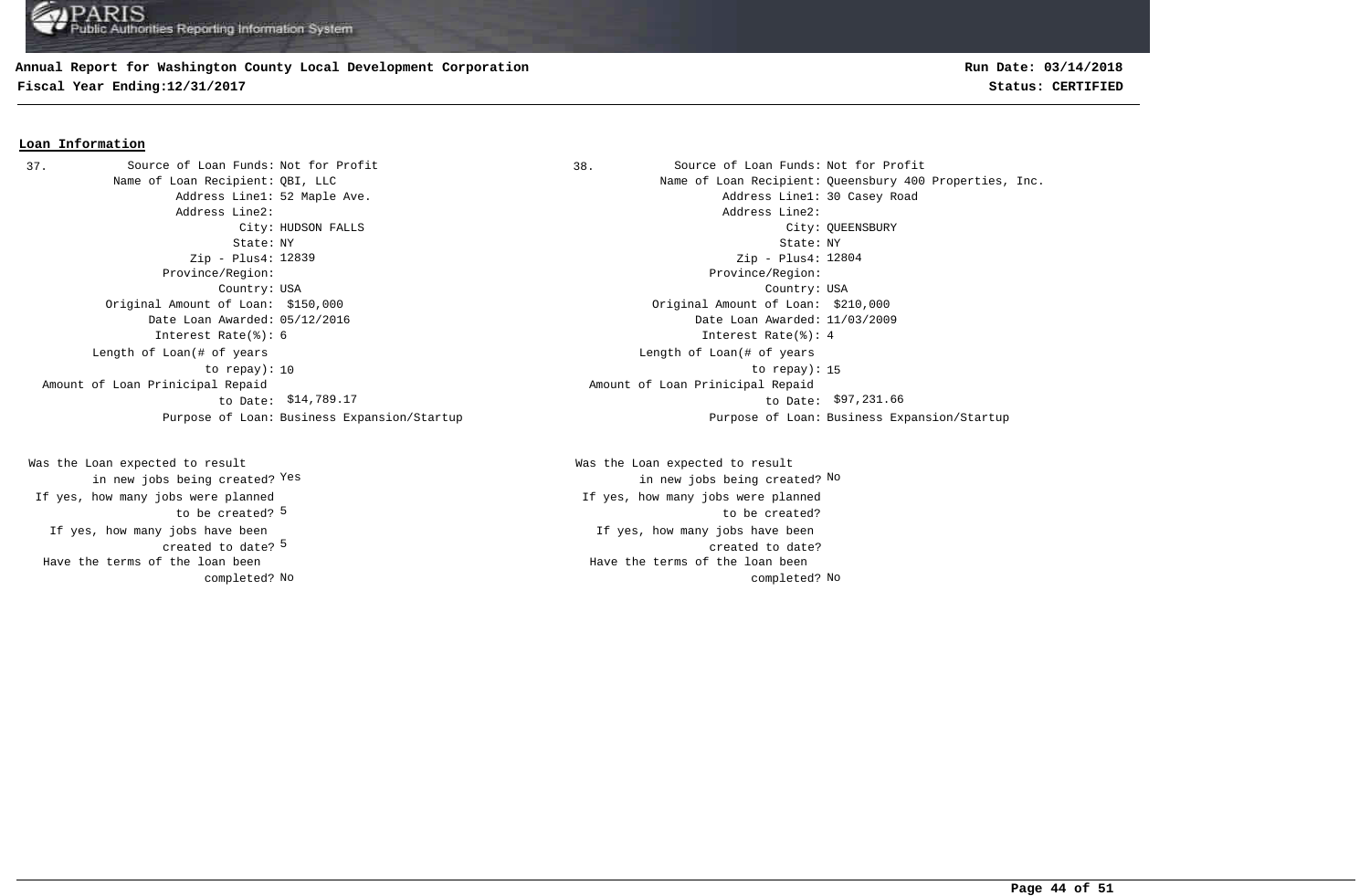## **Annual Report for Washington County Local Development Corporation**

**Fiscal Year Ending:12/31/2017 Status: CERTIFIED**

## **Run Date: 03/14/2018**

#### **Loan Information**

Address Line2: Address Line2: Zip - Plus4: 12839 Province/Region: Province/Region: Original Amount of Loan: \$150,000 Original Amount of Loan: \$210,000 Date Loan Awarded: 05/12/2016 Date Loan Awarded: 11/03/2009 Interest Rate(%): 6 Interest Rate(%): 4 Length of Loan(# of years to repay): Amount of Loan Prinicipal Repaid to Date: \$14,789.17 37. Source of Loan Funds: Not for Profit

created to date? <sup>5</sup> If yes, how many jobs have been to be created? 5 Was the Loan expected to result in new jobs being created? Yes If yes, how many jobs were planned Have the terms of the loan been completed?

38. Source of Loan Funds: Not for Profit Name of Loan Recipient: QBI, LLC Name of Loan Recipient: Queensbury 400 Properties, Inc. Address Line1: 52 Maple Ave. Address Line1: 30 Casey Road City: HUDSON FALLS City: QUEENSBURY State: NY State: NY Country: USA Country: USA Zip - Plus4: 12804 10 to repay): 15 Length of Loan(# of years \$14,789.17 \$97,231.66 to Date: Amount of Loan Prinicipal Repaid Purpose of Loan: Business Expansion/Startup Purpose of Loan: Business Expansion/Startup

> If yes, how many jobs have been created to date? Was the Loan expected to result Yes the contraction of the contraction of the contraction of the contraction of  $\mathbb{N}^{\infty}$  and  $\mathbb{N}^{\infty}$ If yes, how many jobs were planned to be created? No No completed? Have the terms of the loan been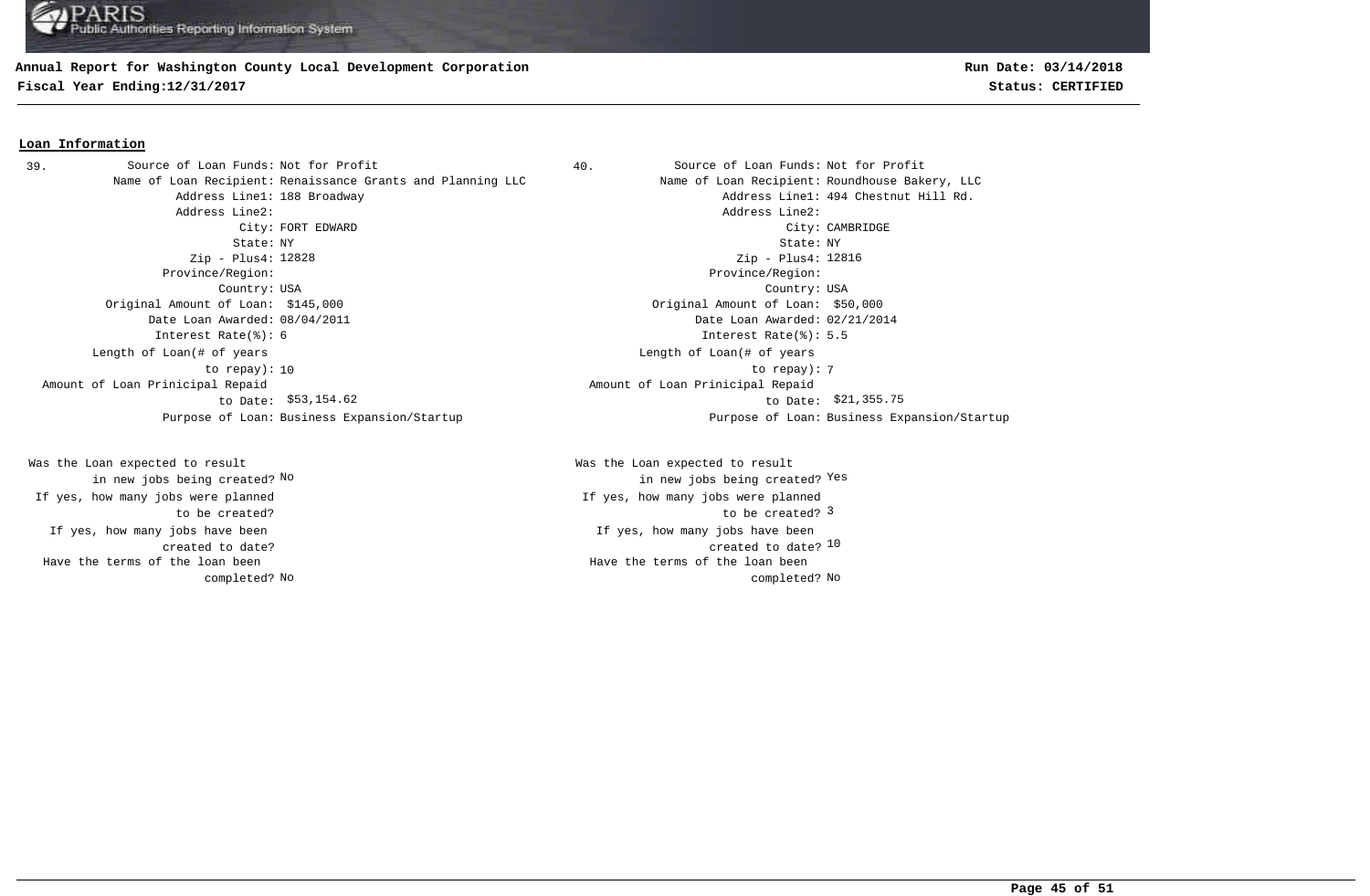#### **Annual Report for Washington County Local Development Corporation**

**Fiscal Year Ending:12/31/2017 Status: CERTIFIED**

#### **Loan Information**

Name of Loan Recipient: Renaissance Grants and Planning LLC Name of Loan Recipient: Roundhouse Bakery, LLC Address Line2: Address Line2: State: NY State: NY Zip - Plus4: 12828 Province/Region: Province/Region: Country: USA Country: USA Original Amount of Loan: \$145,000 Original Amount of Loan: \$50,000 Date Loan Awarded: 08/04/2011 Date Loan Awarded: 02/21/2014 Interest Rate(%): 6 Interest Rate(%): 5.5 Length of Loan(# of years to repay): Amount of Loan Prinicipal Repaid to Date: \$53,154.62 39. Source of Loan Funds: Not for Profit

If yes, how many jobs have been created to date? Was the Loan expected to result in new jobs being created? No If yes, how many jobs were planned to be created? Have the terms of the loan been completed? 40. Source of Loan Funds: Not for Profit

Address Line1: 188 Broadway Address Line1: 494 Chestnut Hill Rd. City: FORT EDWARD City: CAMBRIDGE Zip - Plus4: 12816 10 to repay): 7 Length of Loan(# of years  $$53,154.62$  to Date:  $$21,355.75$  Amount of Loan Prinicipal Repaid Purpose of Loan: Business Expansion/Startup Purpose of Loan: Business Expansion/Startup

> created to date? 10 If yes, how many jobs have been to be created? 3 Was the Loan expected to result new jobs being created? <sup>Yes</sup> in new jobs being created? <sup>Yes</sup> If yes, how many jobs were planned No No completed? Have the terms of the loan been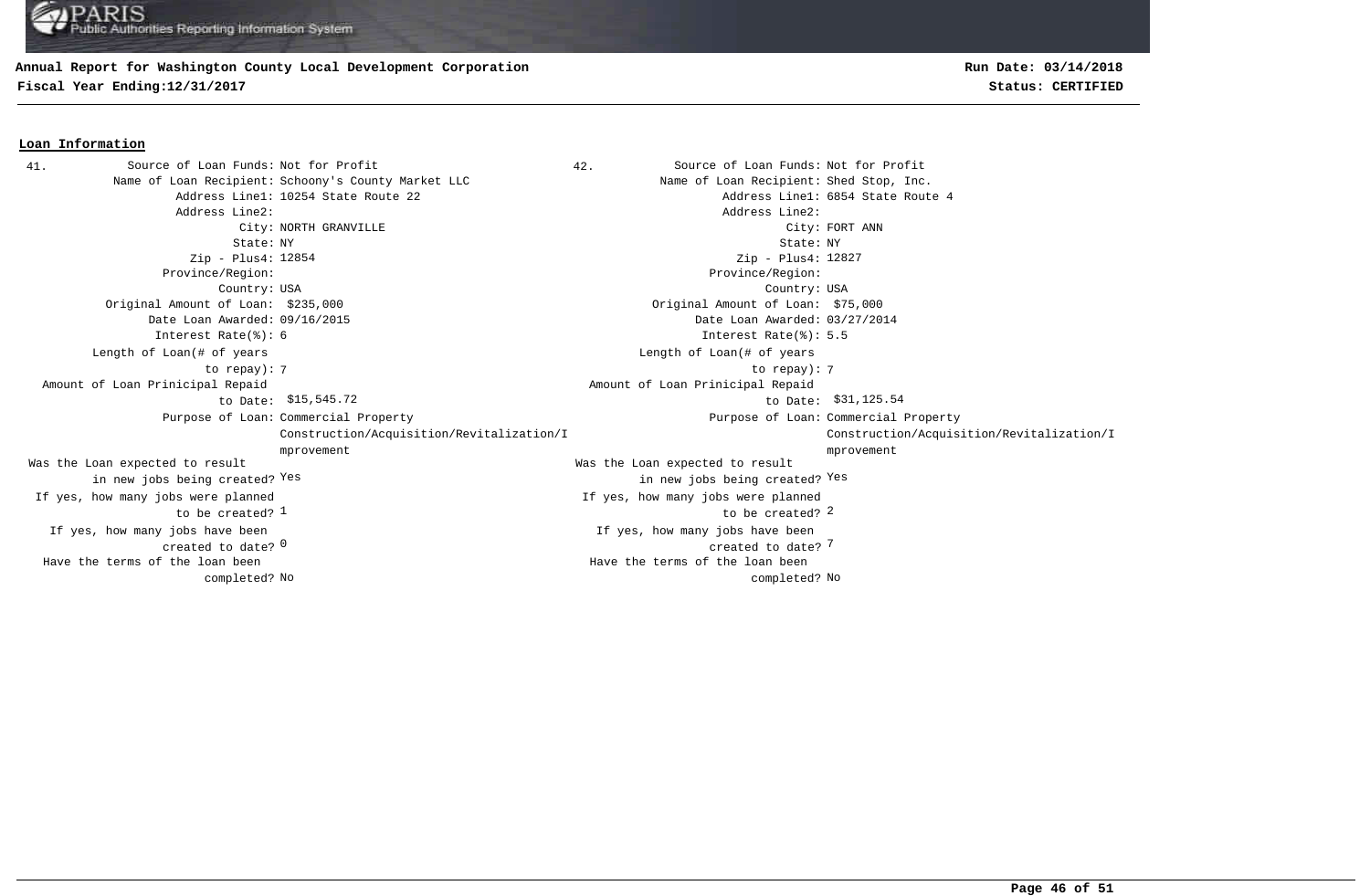#### **Annual Report for Washington County Local Development Corporation**

**Fiscal Year Ending:12/31/2017 Status: CERTIFIED**

#### **Loan Information**

41. Source of Loan Funds: Not for Profit (and Source of Loan Funds: Not for Profit Name of Loan Recipient: Schoony's County Market LLC Name of Loan Recipient: Shed Stop, Inc. Address Line1: 10254 State Route 22 Address Line1: 6854 State Route 4 Address Line2: Address Line2: City: NORTH GRANVILLE City: FORT ANN State: NY State: NY Zip - Plus4: Zip - Plus4: Province/Region: Province/Region: Country: USA Country: USA  $\sim$  0  $\sim$  7  $\sim$  7  $\sim$  7  $\sim$  7  $\sim$  7  $\sim$  7  $\sim$  7  $\sim$  7  $\sim$  7  $\sim$  7  $\sim$  7  $\sim$  7  $\sim$  7  $\sim$  7  $\sim$  7  $\sim$  7  $\sim$  7  $\sim$  7  $\sim$  7  $\sim$  7  $\sim$  7  $\sim$  7  $\sim$  7  $\sim$  7  $\sim$  7  $\sim$  7  $\sim$  7  $\sim$  7  $\sim$  7  $\sim$  7  $\sim$ If yes, how many jobs have been created to date? 0 If yes, how many jobs have been Original Amount of Loan: \$235,000 Original Amount of Loan: \$75,000 Date Loan Awarded: 09/16/2015 Date Loan Awarded: 03/27/2014  $\frac{1}{2}$  to be created?  $\frac{2}{3}$ Was the Loan expected to result in new jobs being created? Yes Was the Loan expected to result in new jobs being created? Yes Yes Zip - Plus4: 12827 Interest Rate(%): 6 Interest Rate(%): 5.5 If yes, how many jobs were planned to be created?  $1$ If yes, how many jobs were planned 7 7 to repay): Length of Loan(# of years to repay): Length of Loan(# of years \$15,545.72 to Date: \$31,125.54 Amount of Loan Prinicipal Repaid to Date: \$15,545.72 Amount of Loan Prinicipal Repaid Purpose of Loan: Commercial Property **Example 2** and the community of Loan: Purpose of Loan: Construction/Acquisition/Revitalization/I mprovement Purpose of Loan: Commercial Property Construction/Acquisition/Revitalization/I mprovement No No completed? Have the terms of the loan been completed? Have the terms of the loan been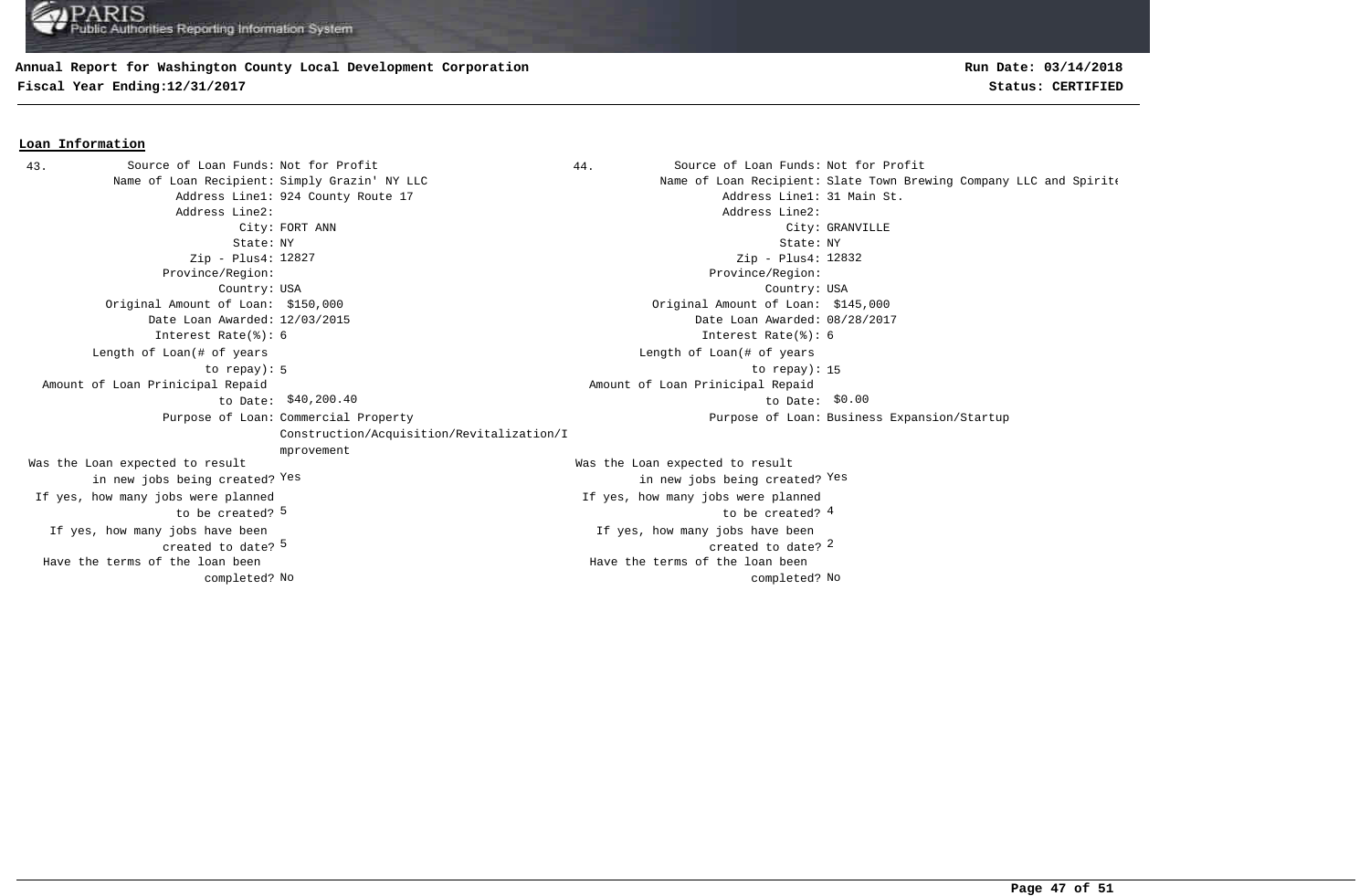#### **Annual Report for Washington County Local Development Corporation**

completed?

**Fiscal Year Ending:12/31/2017 Status: CERTIFIED**

**Loan Information**

## **Run Date: 03/14/2018**

#### 43. Source of Loan Funds: Not for Profit and Source of Loan Funds: Not for Profit Name of Loan Recipient: Simply Grazin' NY LLC Name of Loan Recipient: Slate Town Brewing Company LLC and Spirite Address Line1: 924 County Route 17 Address Line1: 31 Main St. Address Line2: Address Line2: City: FORT ANN City: GRANVILLE State: NY State: NY Zip - Plus4: 12827 Province/Region: Province/Region: Country: USA Country: USA  $\sim$  5  $\sim$  2  $\sim$  2  $\sim$  2  $\sim$  2  $\sim$  2  $\sim$  2  $\sim$  2  $\sim$  2  $\sim$  2  $\sim$  2  $\sim$  2  $\sim$  2  $\sim$  2  $\sim$  2  $\sim$  2  $\sim$  2  $\sim$  2  $\sim$  2  $\sim$  2  $\sim$  2  $\sim$  2  $\sim$  2  $\sim$  2  $\sim$  2  $\sim$  2  $\sim$  2  $\sim$  2  $\sim$  2  $\sim$  2  $\sim$  2  $\sim$ If yes, how many jobs have been created to date? If yes, how many jobs have been Original Amount of Loan: \$150,000 Original Amount of Loan: \$145,000 Date Loan Awarded: 12/03/2015 Date Loan Awarded: 08/28/2017 5 to be created?  $\frac{4}{3}$ Was the Loan expected to result in new jobs being created? Yes Was the Loan expected to result in new jobs being created? Yes Yes Zip - Plus4: 12832 Interest Rate(%): 6 Interest Rate(%): 6 If yes, how many jobs were planned to be created? 5 If yes, how many jobs were planned 5 to repay): 15 Length of Loan(# of years to repay): Length of Loan(# of years  $$40,200.40$  to Date:  $$0.00$  Amount of Loan Prinicipal Repaid to Date: \$40,200.40 Amount of Loan Prinicipal Repaid Purpose of Loan: Commercial Property Construction/Acquisition/Revitalization/I mprovement Purpose of Loan: Business Expansion/Startup Have the terms of the loan been Have the terms of the loan been

No No completed?

**Page 47 of 51**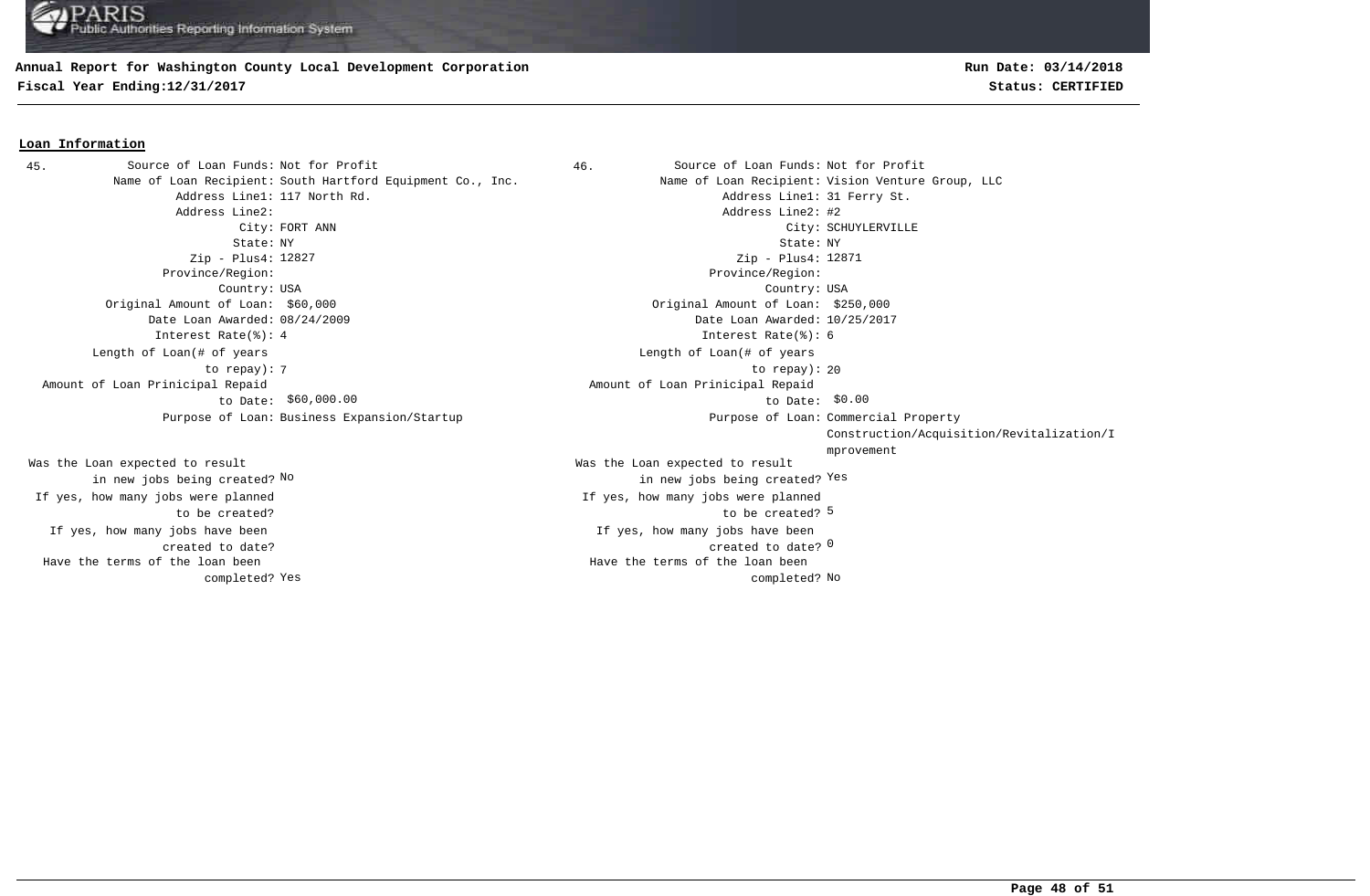#### **Annual Report for Washington County Local Development Corporation**

**Fiscal Year Ending:12/31/2017 Status: CERTIFIED**

# **Run Date: 03/14/2018**

#### **Loan Information**

45. Source of Loan Funds: Not for Profit (1990) 46. Source of Loan Funds: Not for Profit Address Line2: Address Line2: #2 Zip - Plus4: 12827 Province/Region: Province/Region: Original Amount of Loan: \$60,000 Original Amount of Loan: \$250,000 Date Loan Awarded: 08/24/2009 Date Loan Awarded: 10/25/2017 Interest Rate(%): 4 Interest Rate(%): 6 Length of Loan(# of years to repay): Amount of Loan Prinicipal Repaid to Date: \$60,000.00 Purpose of Loan: Business Expansion/Startup

If yes, how many jobs have been created to date? Was the Loan expected to result in new jobs being created? No If yes, how many jobs were planned to be created? Have the terms of the loan been completed?

Name of Loan Recipient: South Hartford Equipment Co., Inc. Name of Loan Recipient: Vision Venture Group, LLC Address Line1: 117 North Rd. Address Line1: 31 Ferry St. City: FORT ANN City: SCHUYLERVILLE State: NY State: NY Country: USA Country: USA created to date? <sup>0</sup> If yes, how many jobs have been to be created? 5 Was the Loan expected to result new jobs being created? <sup>Yes</sup> in new jobs being created? <sup>Yes</sup> Zip - Plus4: 12871 If yes, how many jobs were planned The contract of the contract of the contract of the contract of the contract of the contract of the contract of the contract of the contract of the contract of the contract of the contract of the contract of the contract o Length of Loan(# of years  $$60,000.00$   $$60,000.00$  Amount of Loan Prinicipal Repaid Purpose of Loan: Commercial Property Construction/Acquisition/Revitalization/I mprovement Yes and the completed? No completed? No completed? No completed? No completed? No Have the terms of the loan been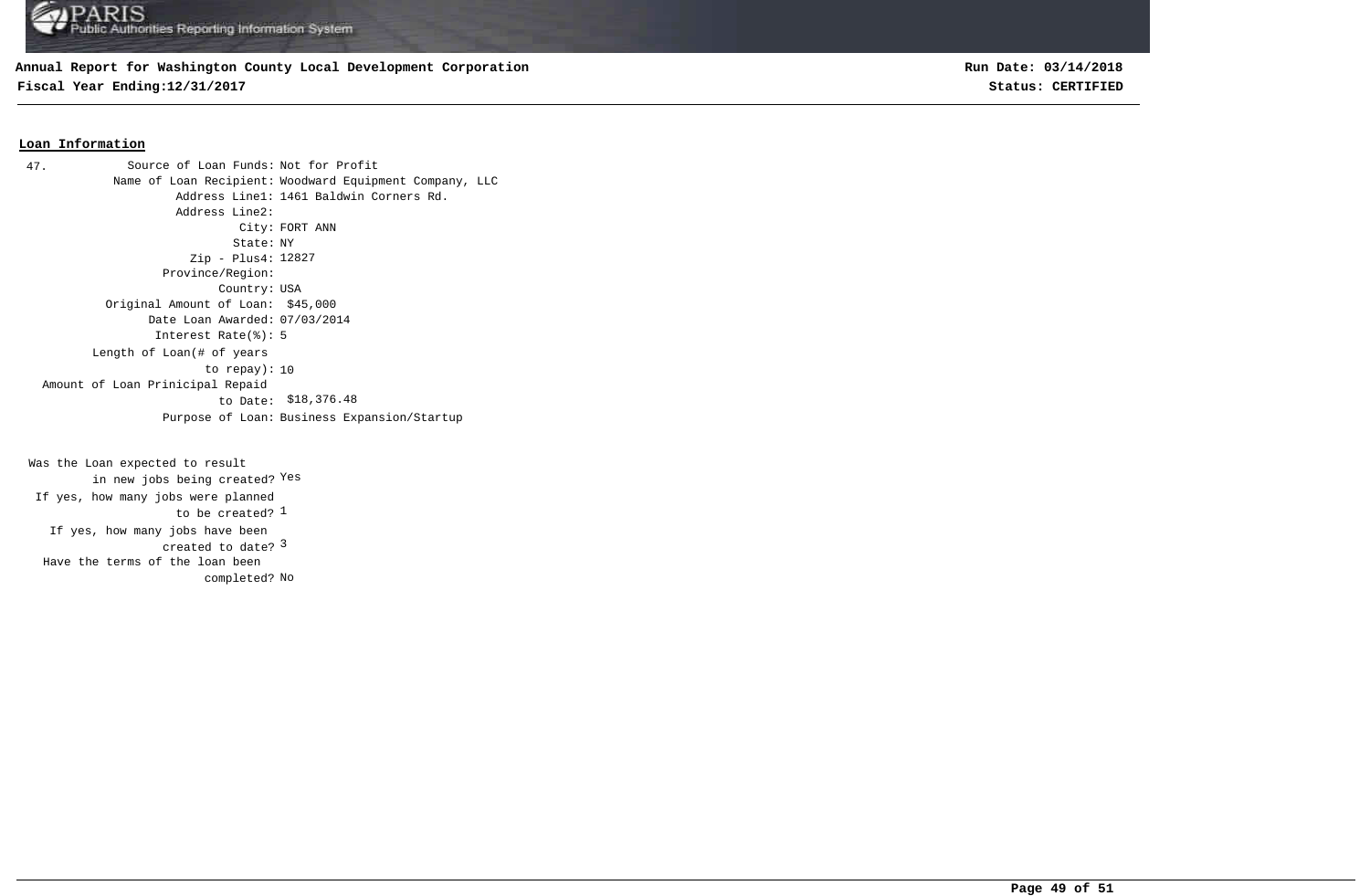## **Annual Report for Washington County Local Development Corporation**

**Fiscal Year Ending:12/31/2017 Status: CERTIFIED**

**Run Date: 03/14/2018**

#### **Loan Information**

Source of Loan Funds: Not for Profit Name of Loan Recipient: Woodward Equipment Company, LLC Address Line1: 1461 Baldwin Corners Rd. Address Line2: City: FORT ANN State: NY Zip - Plus4: 12827 Province/Region: Country: USA Original Amount of Loan: \$45,000 Date Loan Awarded: 07/03/2014 Interest Rate(%): 5 to repay): 10 Length of Loan(# of years \$18,376.48 to Date: Amount of Loan Prinicipal Repaid Purpose of Loan: Business Expansion/Startup 47.

created to date? <sup>3</sup> If yes, how many jobs have been to be created? <sup>1</sup> Was the Loan expected to result in new jobs being created? Yes If yes, how many jobs were planned completed? No Have the terms of the loan been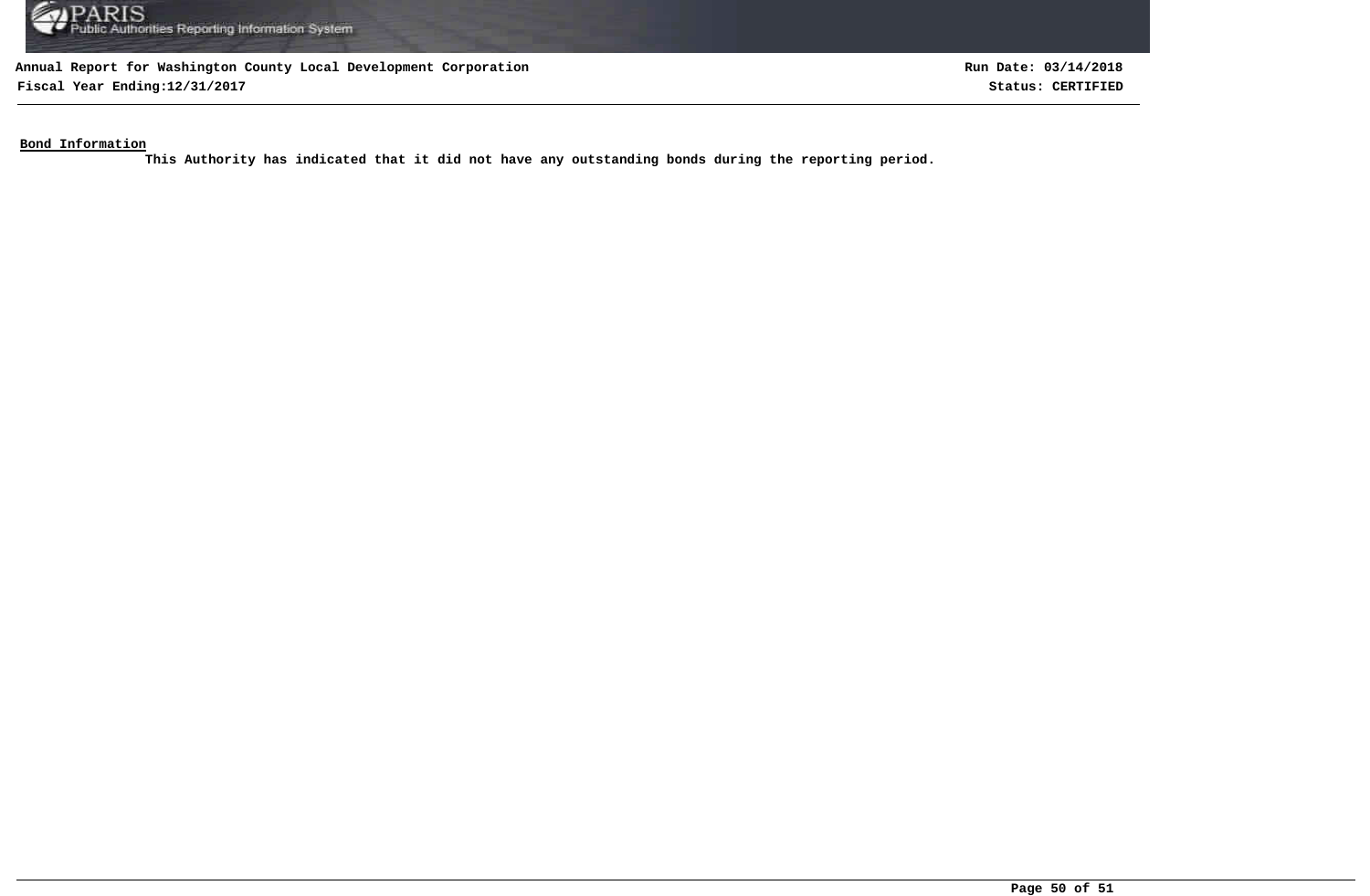

**Fiscal Year Ending:12/31/2017 Status: CERTIFIED**

**Run Date: 03/14/2018**

**Bond Information**

**This Authority has indicated that it did not have any outstanding bonds during the reporting period.**